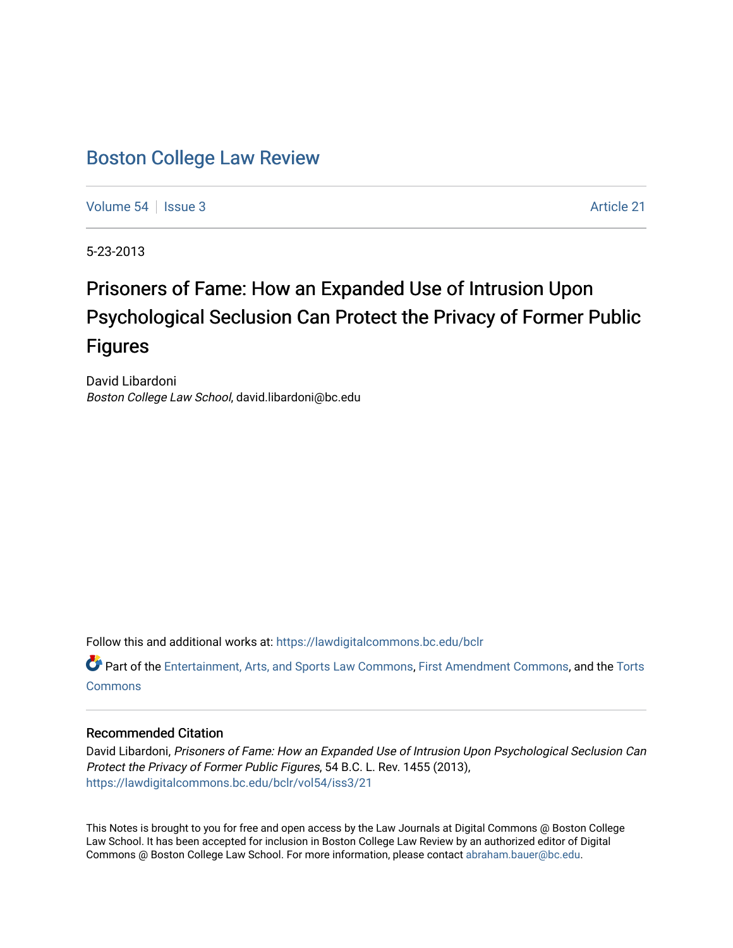## [Boston College Law Review](https://lawdigitalcommons.bc.edu/bclr)

[Volume 54](https://lawdigitalcommons.bc.edu/bclr/vol54) | [Issue 3](https://lawdigitalcommons.bc.edu/bclr/vol54/iss3) Article 21

5-23-2013

# Prisoners of Fame: How an Expanded Use of Intrusion Upon Psychological Seclusion Can Protect the Privacy of Former Public Figures

David Libardoni Boston College Law School, david.libardoni@bc.edu

Follow this and additional works at: [https://lawdigitalcommons.bc.edu/bclr](https://lawdigitalcommons.bc.edu/bclr?utm_source=lawdigitalcommons.bc.edu%2Fbclr%2Fvol54%2Fiss3%2F21&utm_medium=PDF&utm_campaign=PDFCoverPages) 

Part of the [Entertainment, Arts, and Sports Law Commons](http://network.bepress.com/hgg/discipline/893?utm_source=lawdigitalcommons.bc.edu%2Fbclr%2Fvol54%2Fiss3%2F21&utm_medium=PDF&utm_campaign=PDFCoverPages), [First Amendment Commons](http://network.bepress.com/hgg/discipline/1115?utm_source=lawdigitalcommons.bc.edu%2Fbclr%2Fvol54%2Fiss3%2F21&utm_medium=PDF&utm_campaign=PDFCoverPages), and the [Torts](http://network.bepress.com/hgg/discipline/913?utm_source=lawdigitalcommons.bc.edu%2Fbclr%2Fvol54%2Fiss3%2F21&utm_medium=PDF&utm_campaign=PDFCoverPages)  **[Commons](http://network.bepress.com/hgg/discipline/913?utm_source=lawdigitalcommons.bc.edu%2Fbclr%2Fvol54%2Fiss3%2F21&utm_medium=PDF&utm_campaign=PDFCoverPages)** 

## Recommended Citation

David Libardoni, Prisoners of Fame: How an Expanded Use of Intrusion Upon Psychological Seclusion Can Protect the Privacy of Former Public Figures, 54 B.C. L. Rev. 1455 (2013), [https://lawdigitalcommons.bc.edu/bclr/vol54/iss3/21](https://lawdigitalcommons.bc.edu/bclr/vol54/iss3/21?utm_source=lawdigitalcommons.bc.edu%2Fbclr%2Fvol54%2Fiss3%2F21&utm_medium=PDF&utm_campaign=PDFCoverPages)

This Notes is brought to you for free and open access by the Law Journals at Digital Commons @ Boston College Law School. It has been accepted for inclusion in Boston College Law Review by an authorized editor of Digital Commons @ Boston College Law School. For more information, please contact [abraham.bauer@bc.edu.](mailto:abraham.bauer@bc.edu)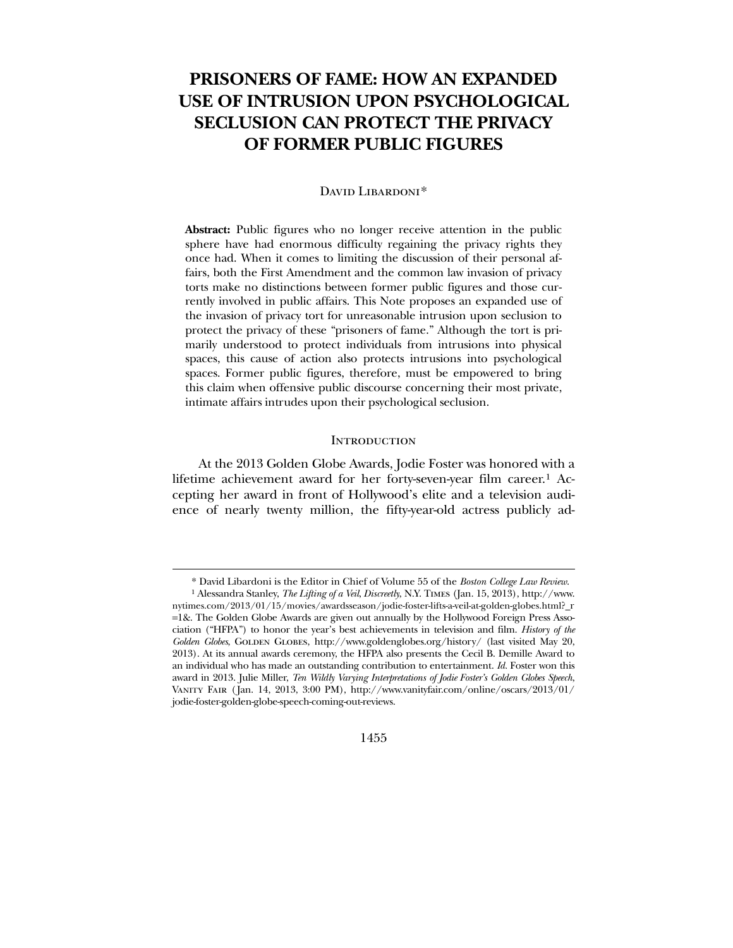## **PRISONERS OF FAME: HOW AN EXPANDED USE OF INTRUSION UPON PSYCHOLOGICAL SECLUSION CAN PROTECT THE PRIVACY OF FORMER PUBLIC FIGURES**

## DAVID LIBARDONI<sup>[\\*](#page-1-0)</sup>

**Abstract:** Public figures who no longer receive attention in the public sphere have had enormous difficulty regaining the privacy rights they once had. When it comes to limiting the discussion of their personal affairs, both the First Amendment and the common law invasion of privacy torts make no distinctions between former public figures and those currently involved in public affairs. This Note proposes an expanded use of the invasion of privacy tort for unreasonable intrusion upon seclusion to protect the privacy of these "prisoners of fame." Although the tort is primarily understood to protect individuals from intrusions into physical spaces, this cause of action also protects intrusions into psychological spaces. Former public figures, therefore, must be empowered to bring this claim when offensive public discourse concerning their most private, intimate affairs intrudes upon their psychological seclusion.

## **INTRODUCTION**

 At the 2013 Golden Globe Awards, Jodie Foster was honored with a lifetime achievement award for her forty-seven-year film career.[1](#page-1-1) Accepting her award in front of Hollywood's elite and a television audience of nearly twenty million, the fifty-year-old actress publicly ad-

 $\overline{a}$ 

1455

<sup>\*</sup> David Libardoni is the Editor in Chief of Volume 55 of the *Boston College Law Review*.

<span id="page-1-1"></span><span id="page-1-0"></span><sup>1</sup> Alessandra Stanley, *The Lifting of a Veil*, *Discreetly*, N.Y. Times (Jan. 15, 2013), http://www. nytimes.com/2013/01/15/movies/awardsseason/jodie-foster-lifts-a-veil-at-golden-globes.html?\_r =1&. The Golden Globe Awards are given out annually by the Hollywood Foreign Press Association ("HFPA") to honor the year's best achievements in television and film. *History of the*  Golden Globes, GOLDEN GLOBES, http://www.goldenglobes.org/history/ (last visited May 20, 2013). At its annual awards ceremony, the HFPA also presents the Cecil B. Demille Award to an individual who has made an outstanding contribution to entertainment. *Id.* Foster won this award in 2013. Julie Miller, *Ten Wildly Varying Interpretations of Jodie Foster's Golden Globes Speech*, Vanity Fair ( Jan. 14, 2013, 3:00 PM), http://www.vanityfair.com/online/oscars/2013/01/ jodie-foster-golden-globe-speech-coming-out-reviews.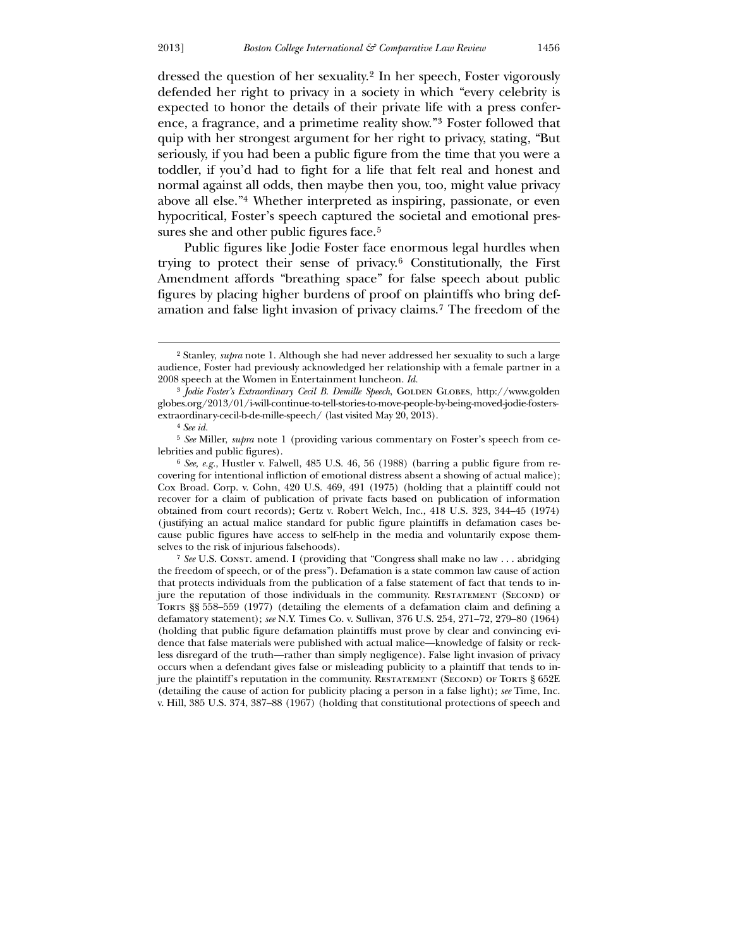dressed the question of her sexuality.[2](#page-2-0) In her speech, Foster vigorously defended her right to privacy in a society in which "every celebrity is expected to honor the details of their private life with a press conference, a fragrance, and a primetime reality show."[3](#page-2-1) Foster followed that quip with her strongest argument for her right to privacy, stating, "But seriously, if you had been a public figure from the time that you were a toddler, if you'd had to fight for a life that felt real and honest and normal against all odds, then maybe then you, too, might value privacy above all else."[4](#page-2-2) Whether interpreted as inspiring, passionate, or even hypocritical, Foster's speech captured the societal and emotional pres-sures she and other public figures face.<sup>[5](#page-2-3)</sup>

 Public figures like Jodie Foster face enormous legal hurdles when trying to protect their sense of privacy.[6](#page-2-4) Constitutionally, the First Amendment affords "breathing space" for false speech about public figures by placing higher burdens of proof on plaintiffs who bring defamation and false light invasion of privacy claims.[7](#page-2-5) The freedom of the

 $\overline{a}$ 

<span id="page-2-5"></span><span id="page-2-4"></span><span id="page-2-3"></span><span id="page-2-2"></span><span id="page-2-1"></span><span id="page-2-0"></span><sup>7</sup> See U.S. Const. amend. I (providing that "Congress shall make no law . . . abridging the freedom of speech, or of the press"). Defamation is a state common law cause of action that protects individuals from the publication of a false statement of fact that tends to injure the reputation of those individuals in the community. RESTATEMENT (SECOND) OF TORTS §§ 558–559 (1977) (detailing the elements of a defamation claim and defining a defamatory statement); *see* N.Y. Times Co. v. Sullivan, 376 U.S. 254, 271–72, 279–80 (1964) (holding that public figure defamation plaintiffs must prove by clear and convincing evidence that false materials were published with actual malice—knowledge of falsity or reckless disregard of the truth—rather than simply negligence). False light invasion of privacy occurs when a defendant gives false or misleading publicity to a plaintiff that tends to injure the plaintiff's reputation in the community. RESTATEMENT (SECOND) OF TORTS § 652E (detailing the cause of action for publicity placing a person in a false light); *see* Time, Inc. v. Hill, 385 U.S. 374, 387–88 (1967) (holding that constitutional protections of speech and

<sup>2</sup> Stanley, *supra* note 1. Although she had never addressed her sexuality to such a large audience, Foster had previously acknowledged her relationship with a female partner in a 2008 speech at the Women in Entertainment luncheon. *Id.*

<sup>&</sup>lt;sup>3</sup> *Jodie Foster's Extraordinary Cecil B. Demille Speech*, GOLDEN GLOBES, http://www.golden globes.org/2013/01/i-will-continue-to-tell-stories-to-move-people-by-being-moved-jodie-fostersextraordinary-cecil-b-de-mille-speech/ (last visited May 20, 2013).

<sup>4</sup> *See id.*

<sup>5</sup> *See* Miller, *supra* note 1 (providing various commentary on Foster's speech from celebrities and public figures).

<sup>6</sup> *See, e.g.*, Hustler v. Falwell, 485 U.S. 46, 56 (1988) (barring a public figure from recovering for intentional infliction of emotional distress absent a showing of actual malice); Cox Broad. Corp. v. Cohn, 420 U.S. 469, 491 (1975) (holding that a plaintiff could not recover for a claim of publication of private facts based on publication of information obtained from court records); Gertz v. Robert Welch, Inc., 418 U.S. 323, 344–45 (1974) (justifying an actual malice standard for public figure plaintiffs in defamation cases because public figures have access to self-help in the media and voluntarily expose themselves to the risk of injurious falsehoods).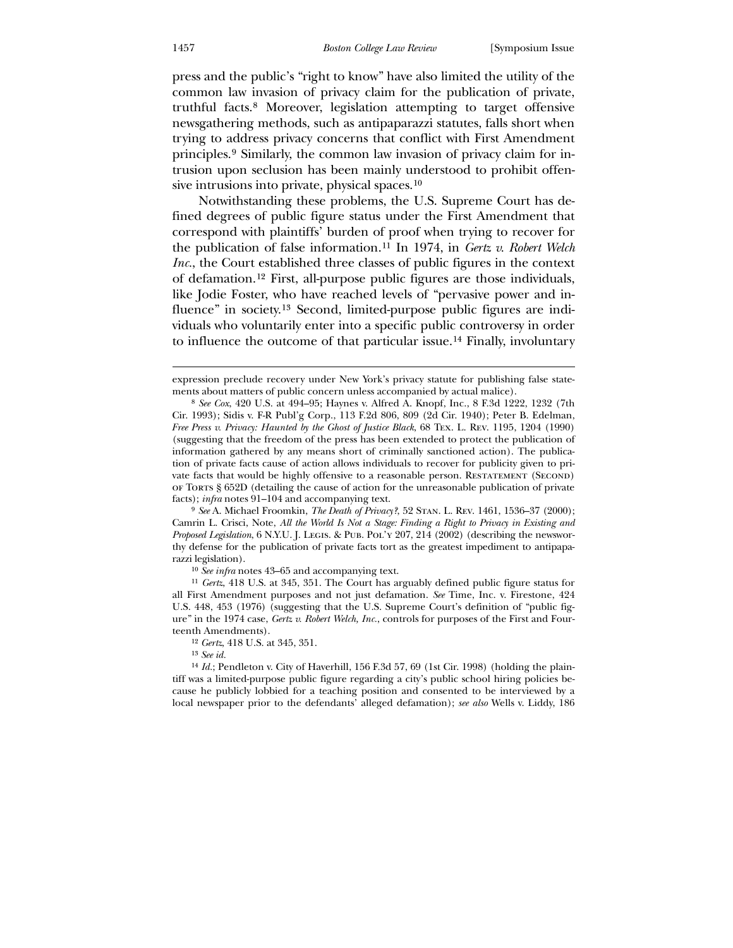press and the public's "right to know" have also limited the utility of the common law invasion of privacy claim for the publication of private, truthful facts.[8](#page-3-0) Moreover, legislation attempting to target offensive newsgathering methods, such as antipaparazzi statutes, falls short when trying to address privacy concerns that conflict with First Amendment principles.[9](#page-3-1) Similarly, the common law invasion of privacy claim for intrusion upon seclusion has been mainly understood to prohibit offensive intrusions into private, physical spaces.[10](#page-3-2)

 Notwithstanding these problems, the U.S. Supreme Court has defined degrees of public figure status under the First Amendment that correspond with plaintiffs' burden of proof when trying to recover for the publication of false information.[11](#page-3-3) In 1974, in *Gertz v. Robert Welch Inc.*, the Court established three classes of public figures in the context of defamation.[12](#page-3-4) First, all-purpose public figures are those individuals, like Jodie Foster, who have reached levels of "pervasive power and influence" in society.[13](#page-3-5) Second, limited-purpose public figures are individuals who voluntarily enter into a specific public controversy in order to influence the outcome of that particular issue.[14](#page-3-6) Finally, involuntary

10 *See infra* notes 43–65 and accompanying text.

expression preclude recovery under New York's privacy statute for publishing false statements about matters of public concern unless accompanied by actual malice).

<sup>8</sup> *See Cox*, 420 U.S. at 494–95; Haynes v. Alfred A. Knopf, Inc., 8 F.3d 1222, 1232 (7th Cir. 1993); Sidis v. F-R Publ'g Corp., 113 F.2d 806, 809 (2d Cir. 1940); Peter B. Edelman, *Free Press v. Privacy: Haunted by the Ghost of Justice Black*, 68 Tex. L. Rev. 1195, 1204 (1990) (suggesting that the freedom of the press has been extended to protect the publication of information gathered by any means short of criminally sanctioned action). The publication of private facts cause of action allows individuals to recover for publicity given to private facts that would be highly offensive to a reasonable person. Restatement (Second) of Torts § 652D (detailing the cause of action for the unreasonable publication of private facts); *infra* notes 91–104 and accompanying text.

<sup>9</sup> *See* A. Michael Froomkin, *The Death of Privacy?*, 52 Stan. L. Rev. 1461, 1536–37 (2000); Camrin L. Crisci, Note, *All the World Is Not a Stage: Finding a Right to Privacy in Existing and Proposed Legislation*, 6 N.Y.U. J. LEGIS. & PUB. POL'Y 207, 214 (2002) (describing the newsworthy defense for the publication of private facts tort as the greatest impediment to antipaparazzi legislation).

<span id="page-3-0"></span><sup>11</sup> *Gertz*, 418 U.S. at 345, 351. The Court has arguably defined public figure status for all First Amendment purposes and not just defamation. *See* Time, Inc. v. Firestone, 424 U.S. 448, 453 (1976) (suggesting that the U.S. Supreme Court's definition of "public figure" in the 1974 case, *Gertz v. Robert Welch, Inc.*, controls for purposes of the First and Fourteenth Amendments).

<sup>12</sup> *Gertz*, 418 U.S. at 345, 351.

<sup>13</sup> *See id.*

<span id="page-3-6"></span><span id="page-3-5"></span><span id="page-3-4"></span><span id="page-3-3"></span><span id="page-3-2"></span><span id="page-3-1"></span><sup>14</sup> *Id.*; Pendleton v. City of Haverhill, 156 F.3d 57, 69 (1st Cir. 1998) (holding the plaintiff was a limited-purpose public figure regarding a city's public school hiring policies because he publicly lobbied for a teaching position and consented to be interviewed by a local newspaper prior to the defendants' alleged defamation); *see also* Wells v. Liddy, 186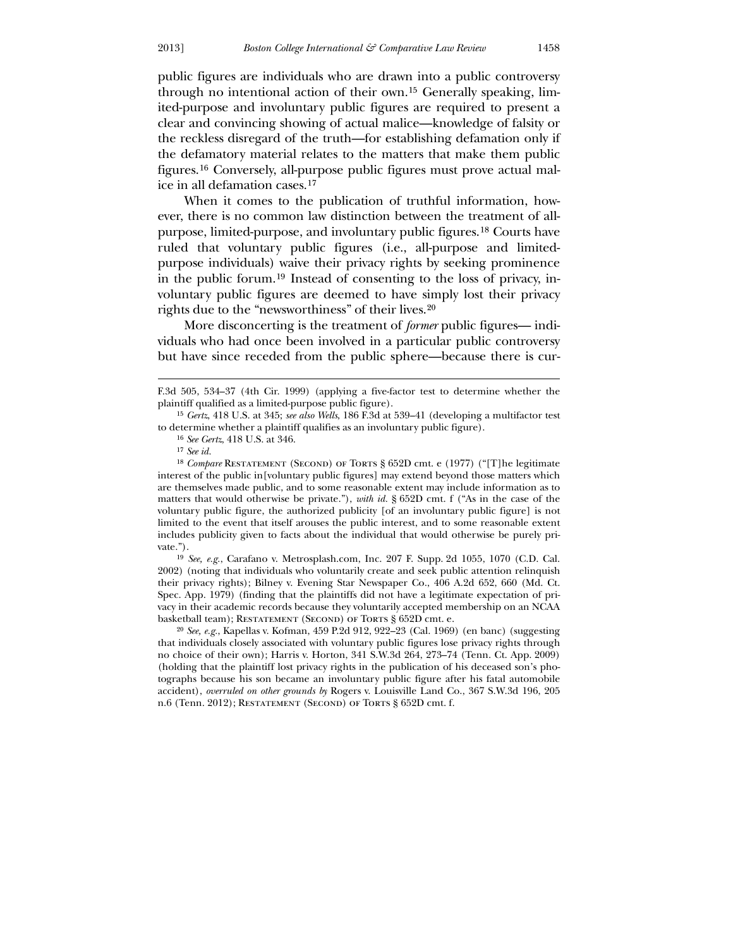public figures are individuals who are drawn into a public controversy through no intentional action of their own.[15](#page-4-0) Generally speaking, limited-purpose and involuntary public figures are required to present a clear and convincing showing of actual malice—knowledge of falsity or the reckless disregard of the truth—for establishing defamation only if the defamatory material relates to the matters that make them public figures.[16](#page-4-1) Conversely, all-purpose public figures must prove actual malice in all defamation cases.[17](#page-4-2)

 When it comes to the publication of truthful information, however, there is no common law distinction between the treatment of allpurpose, limited-purpose, and involuntary public figures.[18](#page-4-3) Courts have ruled that voluntary public figures (i.e., all-purpose and limitedpurpose individuals) waive their privacy rights by seeking prominence in the public forum.[19](#page-4-4) Instead of consenting to the loss of privacy, involuntary public figures are deemed to have simply lost their privacy rights due to the "newsworthiness" of their lives.[20](#page-4-5)

 More disconcerting is the treatment of *former* public figures— individuals who had once been involved in a particular public controversy but have since receded from the public sphere—because there is cur-

 $\overline{a}$ 

<span id="page-4-0"></span>19 *See, e.g.*, Carafano v. Metrosplash.com, Inc. 207 F. Supp. 2d 1055, 1070 (C.D. Cal. 2002) (noting that individuals who voluntarily create and seek public attention relinquish their privacy rights); Bilney v. Evening Star Newspaper Co., 406 A.2d 652, 660 (Md. Ct. Spec. App. 1979) (finding that the plaintiffs did not have a legitimate expectation of privacy in their academic records because they voluntarily accepted membership on an NCAA basketball team); RESTATEMENT (SECOND) OF TORTS § 652D cmt. e.

<span id="page-4-5"></span><span id="page-4-4"></span><span id="page-4-3"></span><span id="page-4-2"></span><span id="page-4-1"></span>20 *See, e.g.*, Kapellas v. Kofman, 459 P.2d 912, 922–23 (Cal. 1969) (en banc) (suggesting that individuals closely associated with voluntary public figures lose privacy rights through no choice of their own); Harris v. Horton, 341 S.W.3d 264, 273–74 (Tenn. Ct. App. 2009) (holding that the plaintiff lost privacy rights in the publication of his deceased son's photographs because his son became an involuntary public figure after his fatal automobile accident), *overruled on other grounds by* Rogers v. Louisville Land Co., 367 S.W.3d 196, 205 n.6 (Tenn. 2012); RESTATEMENT (SECOND) OF TORTS § 652D cmt. f.

F.3d 505, 534–37 (4th Cir. 1999) (applying a five-factor test to determine whether the plaintiff qualified as a limited-purpose public figure).

<sup>15</sup> *Gertz*, 418 U.S. at 345; *see also Wells*, 186 F.3d at 539–41 (developing a multifactor test to determine whether a plaintiff qualifies as an involuntary public figure).

<sup>16</sup> *See Gertz*, 418 U.S. at 346.

<sup>17</sup> *See id.*

<sup>&</sup>lt;sup>18</sup> *Compare* RESTATEMENT (SECOND) OF TORTS § 652D cmt. e (1977) ("[T]he legitimate interest of the public in[voluntary public figures] may extend beyond those matters which are themselves made public, and to some reasonable extent may include information as to matters that would otherwise be private."), *with id.* § 652D cmt. f ("As in the case of the voluntary public figure, the authorized publicity [of an involuntary public figure] is not limited to the event that itself arouses the public interest, and to some reasonable extent includes publicity given to facts about the individual that would otherwise be purely private.").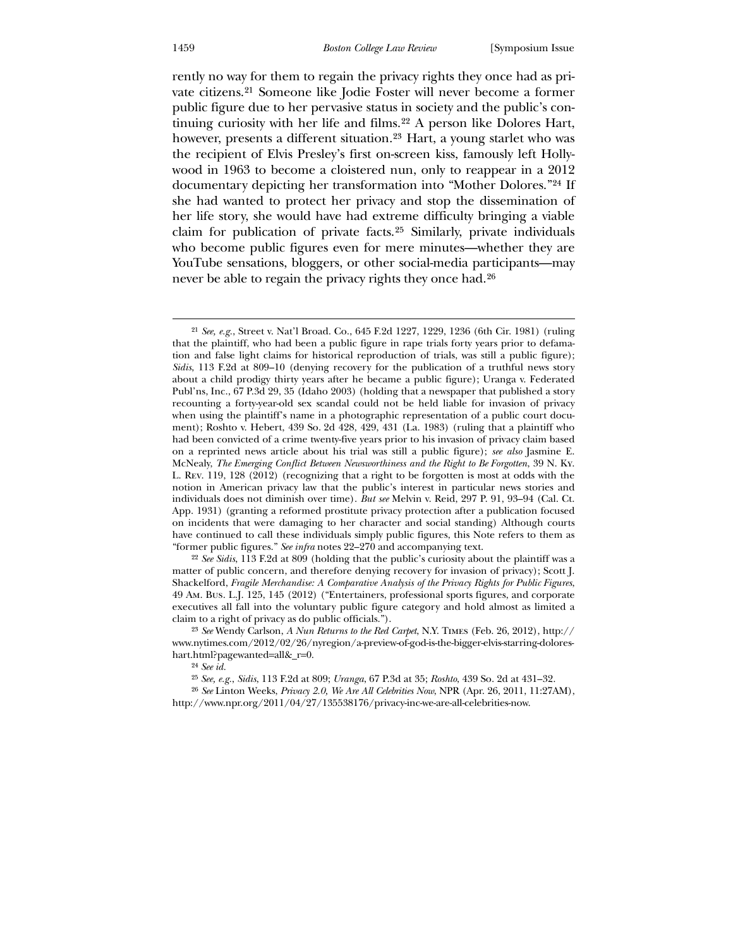#### 1459 *Boston College Law Review* [Symposium Issue

rently no way for them to regain the privacy rights they once had as private citizens.[21](#page-5-0) Someone like Jodie Foster will never become a former public figure due to her pervasive status in society and the public's continuing curiosity with her life and films.[22](#page-5-1) A person like Dolores Hart, however, presents a different situation.<sup>[23](#page-5-2)</sup> Hart, a young starlet who was the recipient of Elvis Presley's first on-screen kiss, famously left Hollywood in 1963 to become a cloistered nun, only to reappear in a 2012 documentary depicting her transformation into "Mother Dolores."[24](#page-5-3) If she had wanted to protect her privacy and stop the dissemination of her life story, she would have had extreme difficulty bringing a viable claim for publication of private facts.[25](#page-5-4) Similarly, private individuals who become public figures even for mere minutes—whether they are YouTube sensations, bloggers, or other social-media participants—may never be able to regain the privacy rights they once had.<sup>[26](#page-5-5)</sup>

<span id="page-5-0"></span>22 *See Sidis*, 113 F.2d at 809 (holding that the public's curiosity about the plaintiff was a matter of public concern, and therefore denying recovery for invasion of privacy); Scott J. Shackelford, *Fragile Merchandise: A Comparative Analysis of the Privacy Rights for Public Figures*, 49 Am. Bus. L.J. 125, 145 (2012) ("Entertainers, professional sports figures, and corporate executives all fall into the voluntary public figure category and hold almost as limited a claim to a right of privacy as do public officials.").

23 *See* Wendy Carlson, *A Nun Returns to the Red Carpet*, N.Y. Times (Feb. 26, 2012), http:// www.nytimes.com/2012/02/26/nyregion/a-preview-of-god-is-the-bigger-elvis-starring-doloreshart.html?pagewanted=all&r=0.

24 *See id.*

25 *See, e.g.*, *Sidis*, 113 F.2d at 809; *Uranga*, 67 P.3d at 35; *Roshto*, 439 So. 2d at 431–32.

<span id="page-5-5"></span><span id="page-5-4"></span><span id="page-5-3"></span><span id="page-5-2"></span><span id="page-5-1"></span>26 *See* Linton Weeks, *Privacy 2.0, We Are All Celebrities Now*, NPR (Apr. 26, 2011, 11:27AM), http://www.npr.org/2011/04/27/135538176/privacy-inc-we-are-all-celebrities-now.

<sup>21</sup> *See, e.g.*, Street v. Nat'l Broad. Co., 645 F.2d 1227, 1229, 1236 (6th Cir. 1981) (ruling that the plaintiff, who had been a public figure in rape trials forty years prior to defamation and false light claims for historical reproduction of trials, was still a public figure); *Sidis*, 113 F.2d at 809–10 (denying recovery for the publication of a truthful news story about a child prodigy thirty years after he became a public figure); Uranga v. Federated Publ'ns, Inc., 67 P.3d 29, 35 (Idaho 2003) (holding that a newspaper that published a story recounting a forty-year-old sex scandal could not be held liable for invasion of privacy when using the plaintiff's name in a photographic representation of a public court document); Roshto v. Hebert, 439 So. 2d 428, 429, 431 (La. 1983) (ruling that a plaintiff who had been convicted of a crime twenty-five years prior to his invasion of privacy claim based on a reprinted news article about his trial was still a public figure); *see also* Jasmine E. McNealy, *The Emerging Conflict Between Newsworthiness and the Right to Be Forgotten*, 39 N. Ky. L. Rev. 119, 128 (2012) (recognizing that a right to be forgotten is most at odds with the notion in American privacy law that the public's interest in particular news stories and individuals does not diminish over time). *But see* Melvin v. Reid, 297 P. 91, 93–94 (Cal. Ct. App. 1931) (granting a reformed prostitute privacy protection after a publication focused on incidents that were damaging to her character and social standing) Although courts have continued to call these individuals simply public figures, this Note refers to them as "former public figures." *See infra* notes 22–270 and accompanying text.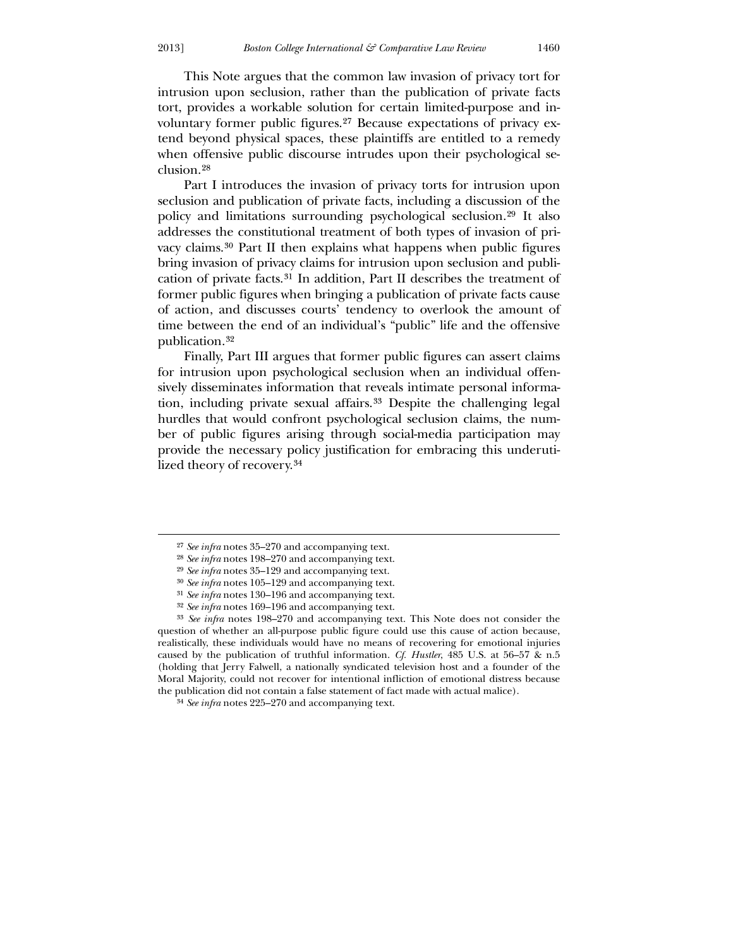This Note argues that the common law invasion of privacy tort for intrusion upon seclusion, rather than the publication of private facts tort, provides a workable solution for certain limited-purpose and in-

voluntary former public figures.[27](#page-6-0) Because expectations of privacy extend beyond physical spaces, these plaintiffs are entitled to a remedy when offensive public discourse intrudes upon their psychological seclusion.[28](#page-6-1)

 Part I introduces the invasion of privacy torts for intrusion upon seclusion and publication of private facts, including a discussion of the policy and limitations surrounding psychological seclusion.[29](#page-6-2) It also addresses the constitutional treatment of both types of invasion of privacy claims.[30](#page-6-3) Part II then explains what happens when public figures bring invasion of privacy claims for intrusion upon seclusion and publication of private facts.[31](#page-6-4) In addition, Part II describes the treatment of former public figures when bringing a publication of private facts cause of action, and discusses courts' tendency to overlook the amount of time between the end of an individual's "public" life and the offensive publication.32

Finally, Part III argues that former public figures can assert claims for intrusion upon psychological seclusion when an individual offensively disseminates information that reveals intimate personal information, including private sexual affairs.[33](#page-6-5) Despite the challenging legal hurdles that would confront psychological seclusion claims, the number of public figures arising through social-media participation may provide the necessary policy justification for embracing this underutilized theory of recovery.[34](#page-6-6)

<sup>27</sup> *See infra* notes 35–270 and accompanying text.

<sup>28</sup> *See infra* notes 198–270 and accompanying text.

<sup>29</sup> *See infra* notes 35–129 and accompanying text.

<sup>30</sup> *See infra* notes 105–129 and accompanying text.

<sup>31</sup> *See infra* notes 130–196 and accompanying text.

<sup>32</sup> *See infra* notes 169–196 and accompanying text.

<sup>33</sup> *See infra* notes 198–270 and accompanying text. This Note does not consider the question of whether an all-purpose public figure could use this cause of action because, realistically, these individuals would have no means of recovering for emotional injuries caused by the publication of truthful information. *Cf. Hustler*, 485 U.S. at 56–57 & n.5 (holding that Jerry Falwell, a nationally syndicated television host and a founder of the Moral Majority, could not recover for intentional infliction of emotional distress because the publication did not contain a false statement of fact made with actual malice).

<span id="page-6-6"></span><span id="page-6-5"></span><span id="page-6-4"></span><span id="page-6-3"></span><span id="page-6-2"></span><span id="page-6-1"></span><span id="page-6-0"></span><sup>34</sup> *See infra* notes 225–270 and accompanying text.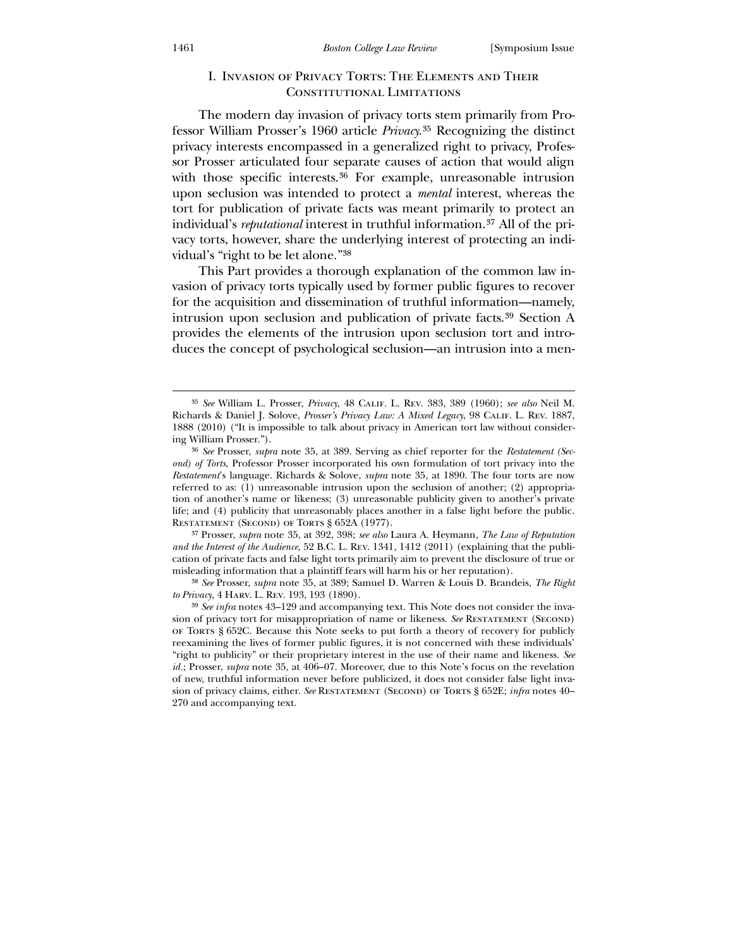## I. Invasion of Privacy Torts: The Elements and Their CONSTITUTIONAL LIMITATIONS

 The modern day invasion of privacy torts stem primarily from Professor William Prosser's 1960 article *Privacy.*[35](#page-7-0) Recognizing the distinct privacy interests encompassed in a generalized right to privacy, Professor Prosser articulated four separate causes of action that would align with those specific interests.<sup>[36](#page-7-1)</sup> For example, unreasonable intrusion upon seclusion was intended to protect a *mental* interest, whereas the tort for publication of private facts was meant primarily to protect an individual's *reputational* interest in truthful information.[37](#page-7-2) All of the privacy torts, however, share the underlying interest of protecting an individual's "right to be let alone."38

 This Part provides a thorough explanation of the common law invasion of privacy torts typically used by former public figures to recover for the acquisition and dissemination of truthful information—namely, intrusion upon seclusion and publication of private facts.[39](#page-7-3) Section A provides the elements of the intrusion upon seclusion tort and introduces the concept of psychological seclusion—an intrusion into a men-

37 Prosser, *supra* note 35, at 392, 398; *see also* Laura A. Heymann, *The Law of Reputation and the Interest of the Audience*, 52 B.C. L. Rev. 1341, 1412 (2011) (explaining that the publication of private facts and false light torts primarily aim to prevent the disclosure of true or misleading information that a plaintiff fears will harm his or her reputation).

<span id="page-7-0"></span>38 *See* Prosser, *supra* note 35, at 389; Samuel D. Warren & Louis D. Brandeis, *The Right to Privacy*, 4 Harv. L. Rev. 193, 193 (1890).

<sup>35</sup> *See* William L. Prosser, *Privacy*, 48 Calif. L. Rev. 383, 389 (1960); *see also* Neil M. Richards & Daniel J. Solove, *Prosser's Privacy Law: A Mixed Legacy*, 98 Calif. L. Rev. 1887, 1888 (2010) ("It is impossible to talk about privacy in American tort law without considering William Prosser.").

<sup>36</sup> *See* Prosser, *supra* note 35, at 389. Serving as chief reporter for the *Restatement (Second) of Torts*, Professor Prosser incorporated his own formulation of tort privacy into the *Restatement*'s language. Richards & Solove, *supra* note 35, at 1890. The four torts are now referred to as: (1) unreasonable intrusion upon the seclusion of another; (2) appropriation of another's name or likeness; (3) unreasonable publicity given to another's private life; and (4) publicity that unreasonably places another in a false light before the public. RESTATEMENT (SECOND) OF TORTS § 652A (1977).

<span id="page-7-3"></span><span id="page-7-2"></span><span id="page-7-1"></span><sup>39</sup> *See infra* notes 43–129 and accompanying text. This Note does not consider the invasion of privacy tort for misappropriation of name or likeness. *See* Restatement (Second) of Torts § 652C. Because this Note seeks to put forth a theory of recovery for publicly reexamining the lives of former public figures, it is not concerned with these individuals' "right to publicity" or their proprietary interest in the use of their name and likeness. *See id.*; Prosser, *supra* note 35, at 406–07. Moreover, due to this Note's focus on the revelation of new, truthful information never before publicized, it does not consider false light invasion of privacy claims, either. *See* Restatement (Second) of Torts § 652E; *infra* notes 40– 270 and accompanying text.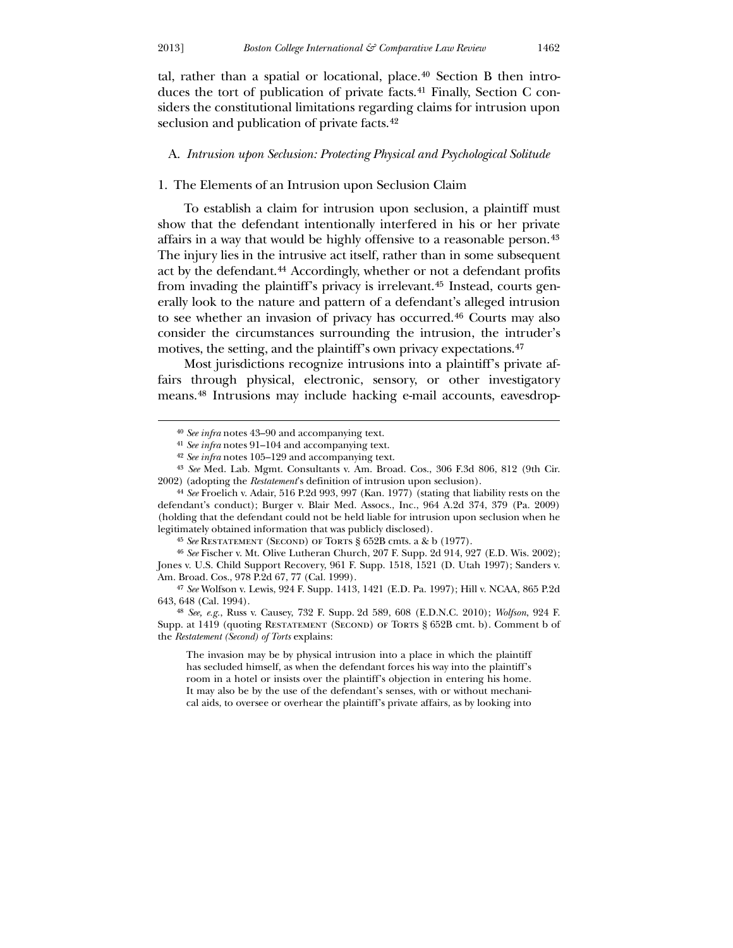$\overline{a}$ 

tal, rather than a spatial or locational, place.<sup>[40](#page-8-0)</sup> Section B then intro-duces the tort of publication of private facts.<sup>[41](#page-8-1)</sup> Finally, Section C considers the constitutional limitations regarding claims for intrusion upon seclusion and publication of private facts.<sup>[42](#page-8-2)</sup>

## A. *Intrusion upon Seclusion: Protecting Physical and Psychological Solitude*

## 1. The Elements of an Intrusion upon Seclusion Claim

 To establish a claim for intrusion upon seclusion, a plaintiff must show that the defendant intentionally interfered in his or her private affairs in a way that would be highly offensive to a reasonable person.[43](#page-8-3) The injury lies in the intrusive act itself, rather than in some subsequent act by the defendant.[44](#page-8-4) Accordingly, whether or not a defendant profits from invading the plaintiff's privacy is irrelevant.[45](#page-8-5) Instead, courts generally look to the nature and pattern of a defendant's alleged intrusion to see whether an invasion of privacy has occurred.[46](#page-8-6) Courts may also consider the circumstances surrounding the intrusion, the intruder's motives, the setting, and the plaintiff's own privacy expectations.[47](#page-8-7)

 Most jurisdictions recognize intrusions into a plaintiff's private affairs through physical, electronic, sensory, or other investigatory means.[48](#page-8-8) Intrusions may include hacking e-mail accounts, eavesdrop-

45 *See* Restatement (Second) of Torts § 652B cmts. a & b (1977).

46 *See* Fischer v. Mt. Olive Lutheran Church, 207 F. Supp. 2d 914, 927 (E.D. Wis. 2002); Jones v. U.S. Child Support Recovery, 961 F. Supp. 1518, 1521 (D. Utah 1997); Sanders v. Am. Broad. Cos., 978 P.2d 67, 77 (Cal. 1999).

47 *See* Wolfson v. Lewis, 924 F. Supp. 1413, 1421 (E.D. Pa. 1997); Hill v. NCAA, 865 P.2d 643, 648 (Cal. 1994).

<span id="page-8-6"></span><span id="page-8-5"></span><span id="page-8-4"></span><span id="page-8-3"></span><span id="page-8-2"></span><span id="page-8-1"></span><span id="page-8-0"></span>48 *See, e.g.*, Russ v. Causey, 732 F. Supp. 2d 589, 608 (E.D.N.C. 2010); *Wolfson*, 924 F. Supp. at 1419 (quoting Restatement (Second) of Torts § 652B cmt. b). Comment b of the *Restatement (Second) of Torts* explains:

<span id="page-8-8"></span><span id="page-8-7"></span>The invasion may be by physical intrusion into a place in which the plaintiff has secluded himself, as when the defendant forces his way into the plaintiff's room in a hotel or insists over the plaintiff's objection in entering his home. It may also be by the use of the defendant's senses, with or without mechanical aids, to oversee or overhear the plaintiff's private affairs, as by looking into

<sup>40</sup> *See infra* notes 43–90 and accompanying text.

<sup>41</sup> *See infra* notes 91–104 and accompanying text.

<sup>42</sup> *See infra* notes 105–129 and accompanying text.

<sup>43</sup> *See* Med. Lab. Mgmt. Consultants v. Am. Broad. Cos., 306 F.3d 806, 812 (9th Cir. 2002) (adopting the *Restatement*'s definition of intrusion upon seclusion).

<sup>44</sup> *See* Froelich v. Adair, 516 P.2d 993, 997 (Kan. 1977) (stating that liability rests on the defendant's conduct); Burger v. Blair Med. Assocs., Inc., 964 A.2d 374, 379 (Pa. 2009) (holding that the defendant could not be held liable for intrusion upon seclusion when he legitimately obtained information that was publicly disclosed).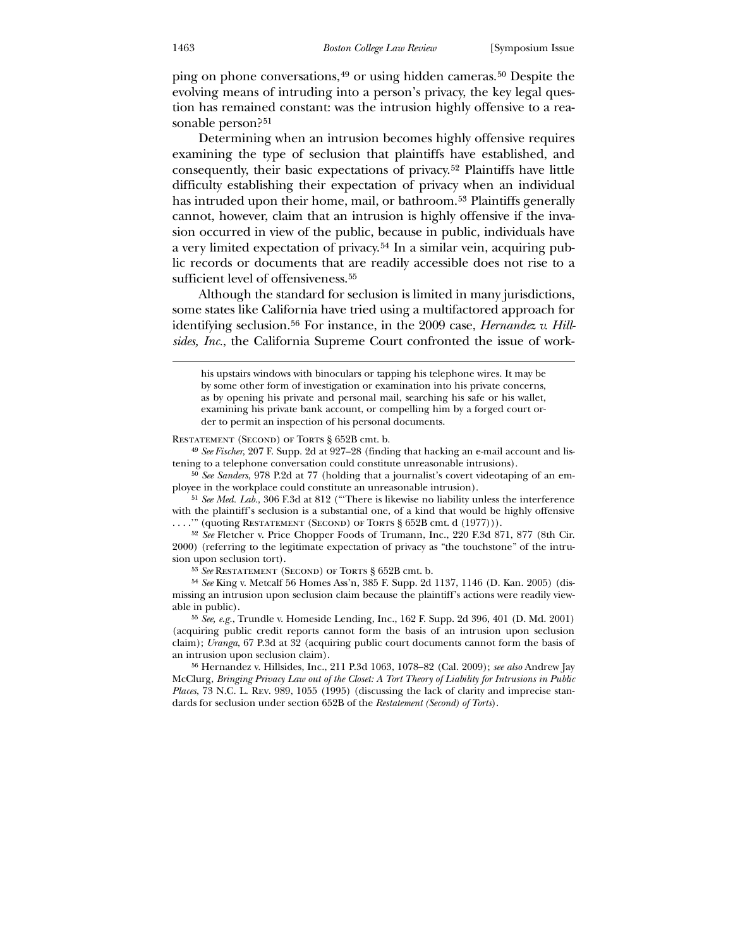ping on phone conversations,[49](#page-9-0) or using hidden cameras.[50](#page-9-1) Despite the evolving means of intruding into a person's privacy, the key legal question has remained constant: was the intrusion highly offensive to a reasonable person?[51](#page-9-2)

 Determining when an intrusion becomes highly offensive requires examining the type of seclusion that plaintiffs have established, and consequently, their basic expectations of privacy.[52](#page-9-3) Plaintiffs have little difficulty establishing their expectation of privacy when an individual has intruded upon their home, mail, or bathroom.[53](#page-9-4) Plaintiffs generally cannot, however, claim that an intrusion is highly offensive if the invasion occurred in view of the public, because in public, individuals have a very limited expectation of privacy.[54](#page-9-5) In a similar vein, acquiring public records or documents that are readily accessible does not rise to a sufficient level of offensiveness.<sup>[55](#page-9-6)</sup>

 Although the standard for seclusion is limited in many jurisdictions, some states like California have tried using a multifactored approach for identifying seclusion.<sup>[56](#page-9-7)</sup> For instance, in the 2009 case, *Hernandez v. Hillsides, Inc.*, the California Supreme Court confronted the issue of work-

RESTATEMENT (SECOND) OF TORTS § 652B cmt. b.

49 *See Fischer*, 207 F. Supp. 2d at 927–28 (finding that hacking an e-mail account and listening to a telephone conversation could constitute unreasonable intrusions).

50 *See Sanders*, 978 P.2d at 77 (holding that a journalist's covert videotaping of an employee in the workplace could constitute an unreasonable intrusion).

51 *See Med. Lab.*, 306 F.3d at 812 ("'There is likewise no liability unless the interference with the plaintiff's seclusion is a substantial one, of a kind that would be highly offensive " (quoting RESTATEMENT (SECOND) OF TORTS  $\S 652B$  cmt. d  $(1977))$ ).

52 *See* Fletcher v. Price Chopper Foods of Trumann, Inc., 220 F.3d 871, 877 (8th Cir. 2000) (referring to the legitimate expectation of privacy as "the touchstone" of the intrusion upon seclusion tort).

53 *See* Restatement (Second) of Torts § 652B cmt. b.

54 *See* King v. Metcalf 56 Homes Ass'n, 385 F. Supp. 2d 1137, 1146 (D. Kan. 2005) (dismissing an intrusion upon seclusion claim because the plaintiff's actions were readily viewable in public).

<span id="page-9-0"></span>55 *See, e.g.*, Trundle v. Homeside Lending, Inc., 162 F. Supp. 2d 396, 401 (D. Md. 2001) (acquiring public credit reports cannot form the basis of an intrusion upon seclusion claim); *Uranga*, 67 P.3d at 32 (acquiring public court documents cannot form the basis of an intrusion upon seclusion claim).

<span id="page-9-7"></span><span id="page-9-6"></span><span id="page-9-5"></span><span id="page-9-4"></span><span id="page-9-3"></span><span id="page-9-2"></span><span id="page-9-1"></span>56 Hernandez v. Hillsides, Inc., 211 P.3d 1063, 1078–82 (Cal. 2009); *see also* Andrew Jay McClurg, *Bringing Privacy Law out of the Closet: A Tort Theory of Liability for Intrusions in Public Places*, 73 N.C. L. Rev. 989, 1055 (1995) (discussing the lack of clarity and imprecise standards for seclusion under section 652B of the *Restatement (Second) of Torts*).

his upstairs windows with binoculars or tapping his telephone wires. It may be by some other form of investigation or examination into his private concerns, as by opening his private and personal mail, searching his safe or his wallet, examining his private bank account, or compelling him by a forged court order to permit an inspection of his personal documents.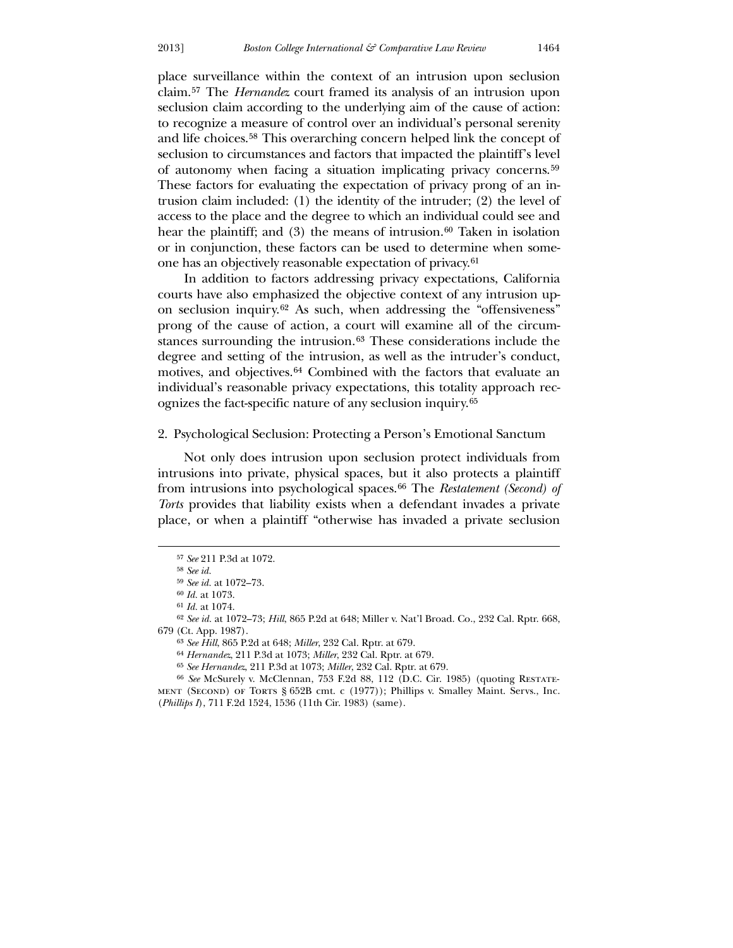place surveillance within the context of an intrusion upon seclusion claim.[57](#page-10-0) The *Hernandez* court framed its analysis of an intrusion upon seclusion claim according to the underlying aim of the cause of action: to recognize a measure of control over an individual's personal serenity and life choices.[58](#page-10-1) This overarching concern helped link the concept of seclusion to circumstances and factors that impacted the plaintiff's level of autonomy when facing a situation implicating privacy concerns.[59](#page-10-2) These factors for evaluating the expectation of privacy prong of an intrusion claim included: (1) the identity of the intruder; (2) the level of access to the place and the degree to which an individual could see and hear the plaintiff; and  $(3)$  the means of intrusion.<sup>[60](#page-10-3)</sup> Taken in isolation or in conjunction, these factors can be used to determine when someone has an objectively reasonable expectation of privacy.[61](#page-10-4)

 In addition to factors addressing privacy expectations, California courts have also emphasized the objective context of any intrusion upon seclusion inquiry.[62](#page-10-5) As such, when addressing the "offensiveness" prong of the cause of action, a court will examine all of the circum-stances surrounding the intrusion.<sup>[63](#page-10-6)</sup> These considerations include the degree and setting of the intrusion, as well as the intruder's conduct, motives, and objectives.<sup>[64](#page-10-7)</sup> Combined with the factors that evaluate an individual's reasonable privacy expectations, this totality approach recognizes the fact-specific nature of any seclusion inquiry.[65](#page-10-8)

## 2. Psychological Seclusion: Protecting a Person's Emotional Sanctum

 Not only does intrusion upon seclusion protect individuals from intrusions into private, physical spaces, but it also protects a plaintiff from intrusions into psychological spaces.[66](#page-10-9) The *Restatement (Second) of Torts* provides that liability exists when a defendant invades a private place, or when a plaintiff "otherwise has invaded a private seclusion

<sup>57</sup> *See* 211 P.3d at 1072.

<sup>58</sup> *See id.*

<sup>59</sup> *See id.* at 1072–73.

<sup>60</sup> *Id.* at 1073.

<sup>61</sup> *Id.* at 1074.

<sup>62</sup> *See id.* at 1072–73; *Hill*, 865 P.2d at 648; Miller v. Nat'l Broad. Co., 232 Cal. Rptr. 668, 679 (Ct. App. 1987).

<sup>63</sup> *See Hill*, 865 P.2d at 648; *Miller*, 232 Cal. Rptr. at 679.

<sup>64</sup> *Hernandez*, 211 P.3d at 1073; *Miller*, 232 Cal. Rptr. at 679.

<sup>65</sup> *See Hernandez*, 211 P.3d at 1073; *Miller*, 232 Cal. Rptr. at 679.

<span id="page-10-9"></span><span id="page-10-8"></span><span id="page-10-7"></span><span id="page-10-6"></span><span id="page-10-5"></span><span id="page-10-4"></span><span id="page-10-3"></span><span id="page-10-2"></span><span id="page-10-1"></span><span id="page-10-0"></span><sup>66</sup> *See* McSurely v. McClennan, 753 F.2d 88, 112 (D.C. Cir. 1985) (quoting Restatement (Second) of Torts § 652B cmt. c (1977)); Phillips v. Smalley Maint. Servs., Inc. (*Phillips I*), 711 F.2d 1524, 1536 (11th Cir. 1983) (same).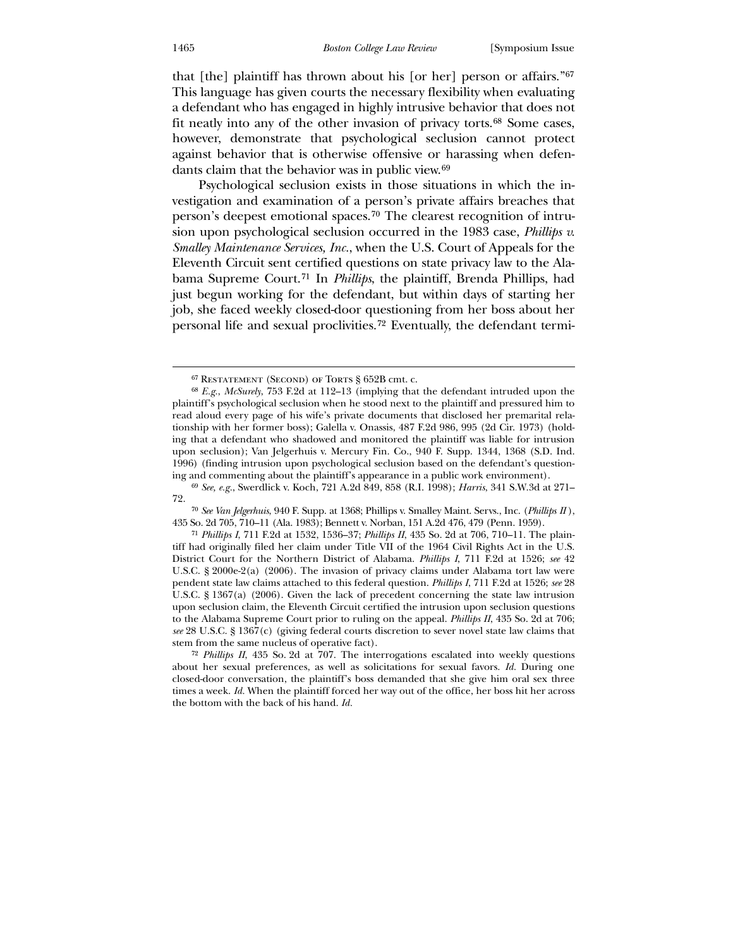that [the] plaintiff has thrown about his [or her] person or affairs."[67](#page-11-0) This language has given courts the necessary flexibility when evaluating a defendant who has engaged in highly intrusive behavior that does not fit neatly into any of the other invasion of privacy torts.[68](#page-11-1) Some cases, however, demonstrate that psychological seclusion cannot protect against behavior that is otherwise offensive or harassing when defendants claim that the behavior was in public view.[69](#page-11-2)

 Psychological seclusion exists in those situations in which the investigation and examination of a person's private affairs breaches that person's deepest emotional spaces.[70](#page-11-3) The clearest recognition of intrusion upon psychological seclusion occurred in the 1983 case, *Phillips v. Smalley Maintenance Services, Inc.*, when the U.S. Court of Appeals for the Eleventh Circuit sent certified questions on state privacy law to the Alabama Supreme Court.[71](#page-11-4) In *Phillips*, the plaintiff, Brenda Phillips, had just begun working for the defendant, but within days of starting her job, she faced weekly closed-door questioning from her boss about her personal life and sexual proclivities.[72](#page-11-5) Eventually, the defendant termi-

<sup>67</sup> Restatement (Second) of Torts § 652B cmt. c.

<sup>68</sup> *E.g.*, *McSurely*, 753 F.2d at 112–13 (implying that the defendant intruded upon the plaintiff's psychological seclusion when he stood next to the plaintiff and pressured him to read aloud every page of his wife's private documents that disclosed her premarital relationship with her former boss); Galella v. Onassis, 487 F.2d 986, 995 (2d Cir. 1973) (holding that a defendant who shadowed and monitored the plaintiff was liable for intrusion upon seclusion); Van Jelgerhuis v. Mercury Fin. Co., 940 F. Supp. 1344, 1368 (S.D. Ind. 1996) (finding intrusion upon psychological seclusion based on the defendant's questioning and commenting about the plaintiff's appearance in a public work environment).

<sup>69</sup> *See, e.g.*, Swerdlick v. Koch, 721 A.2d 849, 858 (R.I. 1998); *Harris*, 341 S.W.3d at 271– 72.

<sup>70</sup> *See Van Jelgerhuis*, 940 F. Supp. at 1368; Phillips v. Smalley Maint. Servs., Inc. (*Phillips II* ), 435 So. 2d 705, 710–11 (Ala. 1983); Bennett v. Norban, 151 A.2d 476, 479 (Penn. 1959).

<span id="page-11-1"></span><span id="page-11-0"></span><sup>71</sup> *Phillips I*, 711 F.2d at 1532, 1536–37; *Phillips II*, 435 So. 2d at 706, 710–11. The plaintiff had originally filed her claim under Title VII of the 1964 Civil Rights Act in the U.S. District Court for the Northern District of Alabama. *Phillips I*, 711 F.2d at 1526; *see* 42 U.S.C. § 2000e-2(a) (2006). The invasion of privacy claims under Alabama tort law were pendent state law claims attached to this federal question. *Phillips I*, 711 F.2d at 1526; *see* 28 U.S.C. § 1367(a) (2006). Given the lack of precedent concerning the state law intrusion upon seclusion claim, the Eleventh Circuit certified the intrusion upon seclusion questions to the Alabama Supreme Court prior to ruling on the appeal. *Phillips II*, 435 So. 2d at 706; *see* 28 U.S.C. § 1367(c) (giving federal courts discretion to sever novel state law claims that stem from the same nucleus of operative fact).

<span id="page-11-5"></span><span id="page-11-4"></span><span id="page-11-3"></span><span id="page-11-2"></span><sup>72</sup> *Phillips II*, 435 So. 2d at 707. The interrogations escalated into weekly questions about her sexual preferences, as well as solicitations for sexual favors. *Id.* During one closed-door conversation, the plaintiff's boss demanded that she give him oral sex three times a week. *Id.* When the plaintiff forced her way out of the office, her boss hit her across the bottom with the back of his hand. *Id.*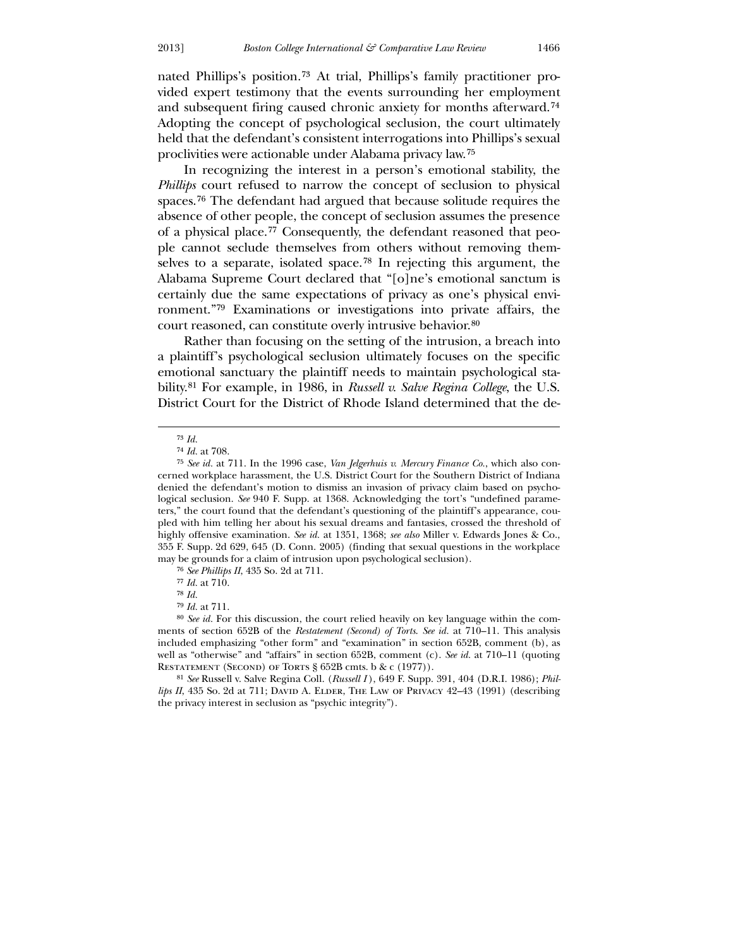nated Phillips's position.[73](#page-12-0) At trial, Phillips's family practitioner provided expert testimony that the events surrounding her employment and subsequent firing caused chronic anxiety for months afterward.[74](#page-12-1) Adopting the concept of psychological seclusion, the court ultimately held that the defendant's consistent interrogations into Phillips's sexual proclivities were actionable under Alabama privacy law.[75](#page-12-2)

 In recognizing the interest in a person's emotional stability, the *Phillips* court refused to narrow the concept of seclusion to physical spaces.[76](#page-12-3) The defendant had argued that because solitude requires the absence of other people, the concept of seclusion assumes the presence of a physical place.[77](#page-12-4) Consequently, the defendant reasoned that people cannot seclude themselves from others without removing themselves to a separate, isolated space.[78](#page-12-5) In rejecting this argument, the Alabama Supreme Court declared that "[o]ne's emotional sanctum is certainly due the same expectations of privacy as one's physical environment."[79](#page-12-6) Examinations or investigations into private affairs, the court reasoned, can constitute overly intrusive behavior.80

 Rather than focusing on the setting of the intrusion, a breach into a plaintiff's psychological seclusion ultimately focuses on the specific emotional sanctuary the plaintiff needs to maintain psychological stability.[81](#page-12-7) For example, in 1986, in *Russell v. Salve Regina College*, the U.S. District Court for the District of Rhode Island determined that the de-

<sup>73</sup> *Id.*

<sup>74</sup> *Id.* at 708.

<sup>75</sup> *See id.* at 711. In the 1996 case, *Van Jelgerhuis v. Mercury Finance Co.*, which also concerned workplace harassment, the U.S. District Court for the Southern District of Indiana denied the defendant's motion to dismiss an invasion of privacy claim based on psychological seclusion. *See* 940 F. Supp. at 1368. Acknowledging the tort's "undefined parameters," the court found that the defendant's questioning of the plaintiff's appearance, coupled with him telling her about his sexual dreams and fantasies, crossed the threshold of highly offensive examination. *See id.* at 1351, 1368; *see also* Miller v. Edwards Jones & Co., 355 F. Supp. 2d 629, 645 (D. Conn. 2005) (finding that sexual questions in the workplace may be grounds for a claim of intrusion upon psychological seclusion).

<sup>76</sup> *See Phillips II*, 435 So. 2d at 711.

<sup>77</sup> *Id.* at 710.

<sup>78</sup> *Id.*

<sup>79</sup> *Id.* at 711.

<span id="page-12-2"></span><span id="page-12-1"></span><span id="page-12-0"></span><sup>80</sup> *See id.* For this discussion, the court relied heavily on key language within the comments of section 652B of the *Restatement (Second) of Torts*. *See id.* at 710–11. This analysis included emphasizing "other form" and "examination" in section 652B, comment (b), as well as "otherwise" and "affairs" in section 652B, comment (c). *See id.* at 710–11 (quoting RESTATEMENT (SECOND) OF TORTS § 652B cmts. b & c (1977)).

<span id="page-12-7"></span><span id="page-12-6"></span><span id="page-12-5"></span><span id="page-12-4"></span><span id="page-12-3"></span><sup>81</sup> *See* Russell v. Salve Regina Coll. (*Russell I* ), 649 F. Supp. 391, 404 (D.R.I. 1986); *Phillips II*, 435 So. 2d at 711; DAVID A. ELDER, THE LAW OF PRIVACY 42-43 (1991) (describing the privacy interest in seclusion as "psychic integrity").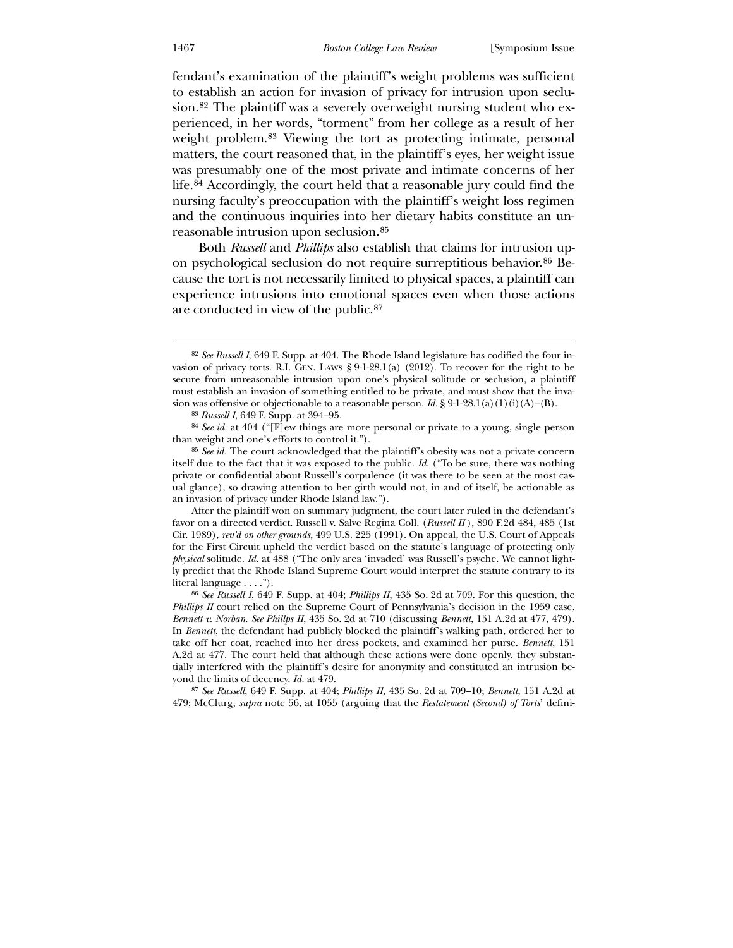fendant's examination of the plaintiff's weight problems was sufficient to establish an action for invasion of privacy for intrusion upon seclusion.[82](#page-13-0) The plaintiff was a severely overweight nursing student who experienced, in her words, "torment" from her college as a result of her weight problem.[83](#page-13-1) Viewing the tort as protecting intimate, personal matters, the court reasoned that, in the plaintiff's eyes, her weight issue was presumably one of the most private and intimate concerns of her life.[84](#page-13-2) Accordingly, the court held that a reasonable jury could find the nursing faculty's preoccupation with the plaintiff's weight loss regimen and the continuous inquiries into her dietary habits constitute an unreasonable intrusion upon seclusion.[85](#page-13-3)

 Both *Russell* and *Phillips* also establish that claims for intrusion upon psychological seclusion do not require surreptitious behavior.[86](#page-13-4) Because the tort is not necessarily limited to physical spaces, a plaintiff can experience intrusions into emotional spaces even when those actions are conducted in view of the public.[87](#page-13-5)

<span id="page-13-0"></span>After the plaintiff won on summary judgment, the court later ruled in the defendant's favor on a directed verdict. Russell v. Salve Regina Coll. (*Russell II* ), 890 F.2d 484, 485 (1st Cir. 1989), *rev'd on other grounds*, 499 U.S. 225 (1991). On appeal, the U.S. Court of Appeals for the First Circuit upheld the verdict based on the statute's language of protecting only *physical* solitude. *Id.* at 488 ("The only area 'invaded' was Russell's psyche. We cannot lightly predict that the Rhode Island Supreme Court would interpret the statute contrary to its literal language . . . .").

<u>.</u>

<sup>82</sup> *See Russell I*, 649 F. Supp. at 404. The Rhode Island legislature has codified the four invasion of privacy torts. R.I. Gen. Laws § 9-1-28.1(a) (2012). To recover for the right to be secure from unreasonable intrusion upon one's physical solitude or seclusion, a plaintiff must establish an invasion of something entitled to be private, and must show that the invasion was offensive or objectionable to a reasonable person. *Id.* § 9-1-28.1(a)(1)(i)(A)–(B).

<sup>83</sup> *Russell I*, 649 F. Supp. at 394–95.

<sup>84</sup> *See id.* at 404 ("[F]ew things are more personal or private to a young, single person than weight and one's efforts to control it.").

<sup>85</sup> *See id.* The court acknowledged that the plaintiff's obesity was not a private concern itself due to the fact that it was exposed to the public. *Id.* ("To be sure, there was nothing private or confidential about Russell's corpulence (it was there to be seen at the most casual glance), so drawing attention to her girth would not, in and of itself, be actionable as an invasion of privacy under Rhode Island law.").

<span id="page-13-3"></span><span id="page-13-2"></span><span id="page-13-1"></span><sup>86</sup> *See Russell I*, 649 F. Supp. at 404; *Phillips II*, 435 So. 2d at 709. For this question, the *Phillips II* court relied on the Supreme Court of Pennsylvania's decision in the 1959 case, *Bennett v. Norban*. *See Phillps II*, 435 So. 2d at 710 (discussing *Bennett*, 151 A.2d at 477, 479). In *Bennett*, the defendant had publicly blocked the plaintiff's walking path, ordered her to take off her coat, reached into her dress pockets, and examined her purse. *Bennett*, 151 A.2d at 477. The court held that although these actions were done openly, they substantially interfered with the plaintiff's desire for anonymity and constituted an intrusion beyond the limits of decency. *Id.* at 479.

<span id="page-13-5"></span><span id="page-13-4"></span><sup>87</sup> *See Russell*, 649 F. Supp. at 404; *Phillips II*, 435 So. 2d at 709–10; *Bennett*, 151 A.2d at 479; McClurg, *supra* note 56, at 1055 (arguing that the *Restatement (Second) of Torts*' defini-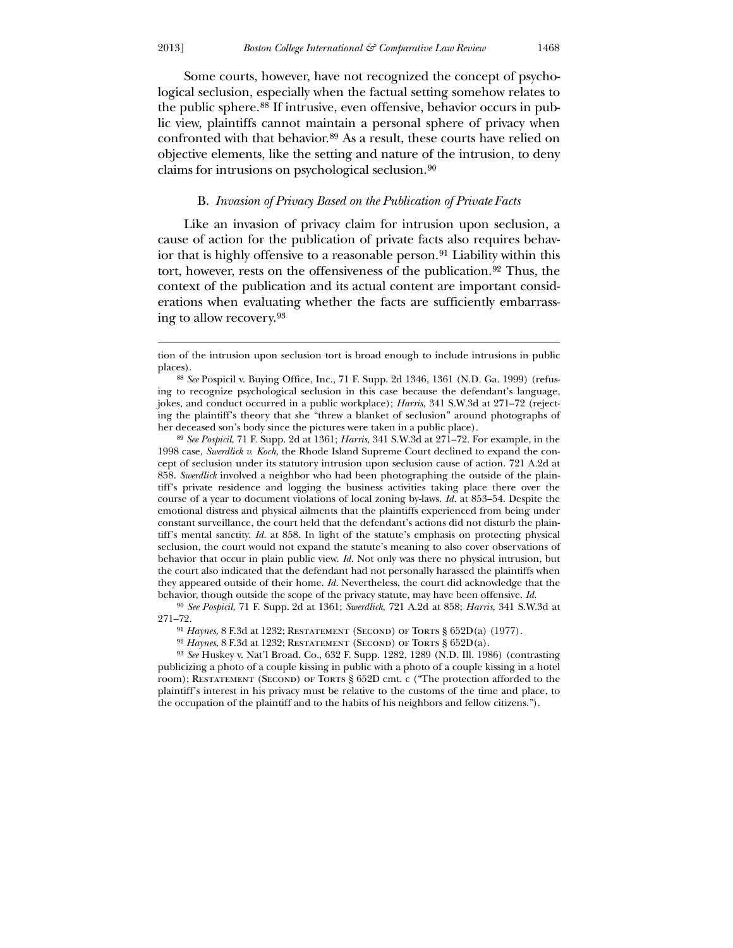Some courts, however, have not recognized the concept of psychological seclusion, especially when the factual setting somehow relates to the public sphere.[88](#page-14-0) If intrusive, even offensive, behavior occurs in public view, plaintiffs cannot maintain a personal sphere of privacy when confronted with that behavior.[89](#page-14-1) As a result, these courts have relied on objective elements, like the setting and nature of the intrusion, to deny claims for intrusions on psychological seclusion.[90](#page-14-2)

## B. *Invasion of Privacy Based on the Publication of Private Facts*

 Like an invasion of privacy claim for intrusion upon seclusion, a cause of action for the publication of private facts also requires behav-ior that is highly offensive to a reasonable person.<sup>[91](#page-14-3)</sup> Liability within this tort, however, rests on the offensiveness of the publication.[92](#page-14-4) Thus, the context of the publication and its actual content are important considerations when evaluating whether the facts are sufficiently embarrassing to allow recovery.[93](#page-14-5)

89 *See Pospicil*, 71 F. Supp. 2d at 1361; *Harris*, 341 S.W.3d at 271–72. For example, in the 1998 case, *Swerdlick v. Koch*, the Rhode Island Supreme Court declined to expand the concept of seclusion under its statutory intrusion upon seclusion cause of action. 721 A.2d at 858. *Swerdlick* involved a neighbor who had been photographing the outside of the plaintiff's private residence and logging the business activities taking place there over the course of a year to document violations of local zoning by-laws. *Id.* at 853–54. Despite the emotional distress and physical ailments that the plaintiffs experienced from being under constant surveillance, the court held that the defendant's actions did not disturb the plaintiff's mental sanctity. *Id.* at 858. In light of the statute's emphasis on protecting physical seclusion, the court would not expand the statute's meaning to also cover observations of behavior that occur in plain public view. *Id.* Not only was there no physical intrusion, but the court also indicated that the defendant had not personally harassed the plaintiffs when they appeared outside of their home. *Id.* Nevertheless, the court did acknowledge that the behavior, though outside the scope of the privacy statute, may have been offensive. *Id.*

<span id="page-14-1"></span><span id="page-14-0"></span>90 *See Pospicil*, 71 F. Supp. 2d at 1361; *Swerdlick*, 721 A.2d at 858; *Harris*, 341 S.W.3d at 271–72.

- 91 *Haynes*, 8 F.3d at 1232; Restatement (Second) of Torts § 652D(a) (1977).
- <sup>92</sup> Haynes, 8 F.3d at 1232; RESTATEMENT (SECOND) OF TORTS § 652D(a).

<span id="page-14-5"></span><span id="page-14-4"></span><span id="page-14-3"></span><span id="page-14-2"></span>93 *See* Huskey v. Nat'l Broad. Co., 632 F. Supp. 1282, 1289 (N.D. Ill. 1986) (contrasting publicizing a photo of a couple kissing in public with a photo of a couple kissing in a hotel room); RESTATEMENT (SECOND) OF TORTS § 652D cmt. c ("The protection afforded to the plaintiff's interest in his privacy must be relative to the customs of the time and place, to the occupation of the plaintiff and to the habits of his neighbors and fellow citizens.").

tion of the intrusion upon seclusion tort is broad enough to include intrusions in public places).

<sup>88</sup> *See* Pospicil v. Buying Office, Inc., 71 F. Supp. 2d 1346, 1361 (N.D. Ga. 1999) (refusing to recognize psychological seclusion in this case because the defendant's language, jokes, and conduct occurred in a public workplace); *Harris*, 341 S.W.3d at 271–72 (rejecting the plaintiff's theory that she "threw a blanket of seclusion" around photographs of her deceased son's body since the pictures were taken in a public place).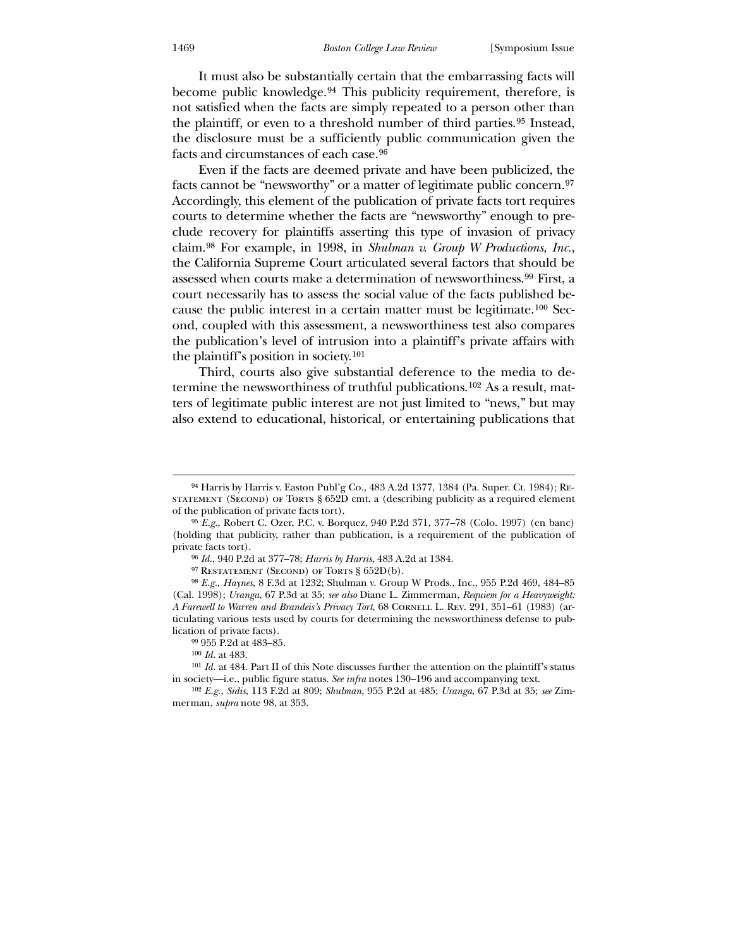It must also be substantially certain that the embarrassing facts will become public knowledge.[94](#page-15-0) This publicity requirement, therefore, is not satisfied when the facts are simply repeated to a person other than the plaintiff, or even to a threshold number of third parties.[95](#page-15-1) Instead, the disclosure must be a sufficiently public communication given the facts and circumstances of each case.[96](#page-15-2)

 Even if the facts are deemed private and have been publicized, the facts cannot be "newsworthy" or a matter of legitimate public concern.[97](#page-15-3) Accordingly, this element of the publication of private facts tort requires courts to determine whether the facts are "newsworthy" enough to preclude recovery for plaintiffs asserting this type of invasion of privacy claim.[98](#page-15-4) For example, in 1998, in *Shulman v. Group W Productions, Inc.*, the California Supreme Court articulated several factors that should be assessed when courts make a determination of newsworthiness.[99](#page-15-5) First, a court necessarily has to assess the social value of the facts published because the public interest in a certain matter must be legitimate.[100](#page-15-6) Second, coupled with this assessment, a newsworthiness test also compares the publication's level of intrusion into a plaintiff's private affairs with the plaintiff's position in society.[101](#page-15-7)

 Third, courts also give substantial deference to the media to determine the newsworthiness of truthful publications.[102](#page-15-8) As a result, matters of legitimate public interest are not just limited to "news," but may also extend to educational, historical, or entertaining publications that

-

<sup>94</sup> Harris by Harris v. Easton Publ'g Co., 483 A.2d 1377, 1384 (Pa. Super. Ct. 1984); Restatement (Second) of Torts § 652D cmt. a (describing publicity as a required element of the publication of private facts tort).

<sup>95</sup> *E.g.*, Robert C. Ozer, P.C. v. Borquez, 940 P.2d 371, 377–78 (Colo. 1997) (en banc) (holding that publicity, rather than publication, is a requirement of the publication of private facts tort).

<sup>96</sup> *Id.*, 940 P.2d at 377–78; *Harris by Harris*, 483 A.2d at 1384.

<sup>&</sup>lt;sup>97</sup> RESTATEMENT (SECOND) OF TORTS § 652D(b).

<sup>98</sup> *E.g.*, *Haynes*, 8 F.3d at 1232; Shulman v. Group W Prods., Inc., 955 P.2d 469, 484–85 (Cal. 1998); *Uranga*, 67 P.3d at 35; *see also* Diane L. Zimmerman, *Requiem for a Heavyweight: A Farewell to Warren and Brandeis's Privacy Tort*, 68 CORNELL L. REV. 291, 351-61 (1983) (articulating various tests used by courts for determining the newsworthiness defense to publication of private facts).

<sup>99</sup> 955 P.2d at 483–85.

<sup>100</sup> *Id.* at 483.

<span id="page-15-0"></span><sup>101</sup> *Id.* at 484. Part II of this Note discusses further the attention on the plaintiff's status in society—i.e., public figure status. *See infra* notes 130–196 and accompanying text.

<span id="page-15-8"></span><span id="page-15-7"></span><span id="page-15-6"></span><span id="page-15-5"></span><span id="page-15-4"></span><span id="page-15-3"></span><span id="page-15-2"></span><span id="page-15-1"></span><sup>102</sup> *E.g.*, *Sidis*, 113 F.2d at 809; *Shulman*, 955 P.2d at 485; *Uranga*, 67 P.3d at 35; *see* Zimmerman, *supra* note 98, at 353.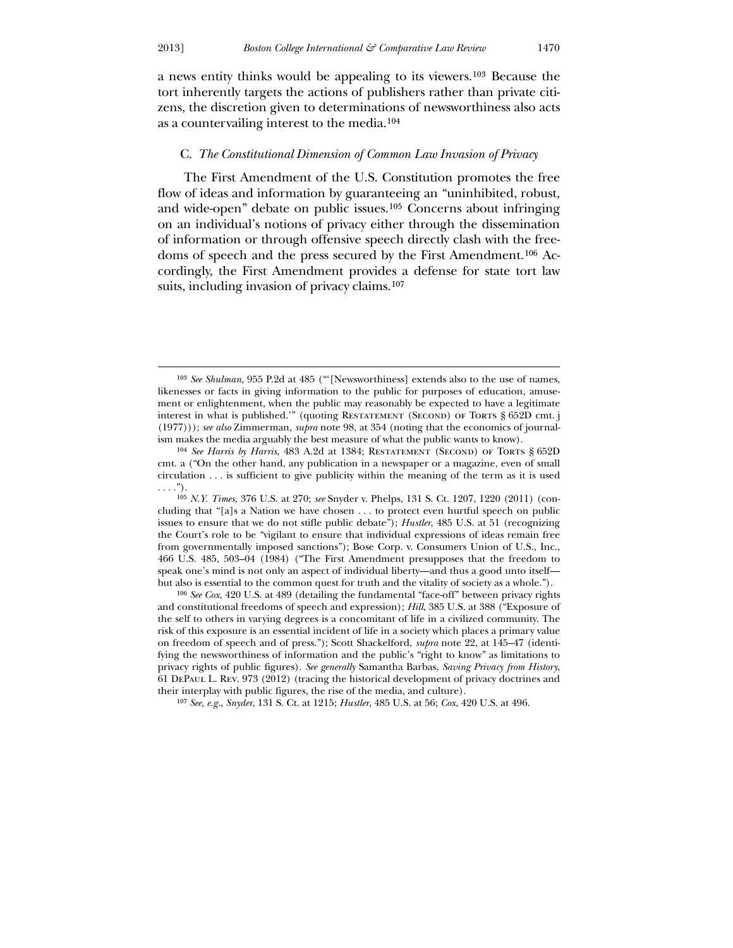$\overline{a}$ 

a news entity thinks would be appealing to its viewers.[103](#page-16-0) Because the tort inherently targets the actions of publishers rather than private citizens, the discretion given to determinations of newsworthiness also acts as a countervailing interest to the media.[104](#page-16-1)

## C. *The Constitutional Dimension of Common Law Invasion of Privacy*

 The First Amendment of the U.S. Constitution promotes the free flow of ideas and information by guaranteeing an "uninhibited, robust, and wide-open" debate on public issues.[105](#page-16-2) Concerns about infringing on an individual's notions of privacy either through the dissemination of information or through offensive speech directly clash with the freedoms of speech and the press secured by the First Amendment.[106](#page-16-3) Accordingly, the First Amendment provides a defense for state tort law suits, including invasion of privacy claims.<sup>[107](#page-16-4)</sup>

<span id="page-16-2"></span><span id="page-16-1"></span><span id="page-16-0"></span>106 *See Cox*, 420 U.S. at 489 (detailing the fundamental "face-off" between privacy rights and constitutional freedoms of speech and expression); *Hill*, 385 U.S. at 388 ("Exposure of the self to others in varying degrees is a concomitant of life in a civilized community. The risk of this exposure is an essential incident of life in a society which places a primary value on freedom of speech and of press."); Scott Shackelford, *supra* note 22, at 145–47 (identifying the newsworthiness of information and the public's "right to know" as limitations to privacy rights of public figures). *See generally* Samantha Barbas, *Saving Privacy from History*, 61 DePaul L. Rev. 973 (2012) (tracing the historical development of privacy doctrines and their interplay with public figures, the rise of the media, and culture).

<span id="page-16-4"></span><span id="page-16-3"></span>107 *See, e.g.*, *Snyder*, 131 S. Ct. at 1215; *Hustler*, 485 U.S. at 56; *Cox*, 420 U.S. at 496.

<sup>103</sup> *See Shulman*, 955 P.2d at 485 ("'[Newsworthiness] extends also to the use of names, likenesses or facts in giving information to the public for purposes of education, amusement or enlightenment, when the public may reasonably be expected to have a legitimate interest in what is published.'" (quoting RESTATEMENT (SECOND) OF TORTS § 652D cmt. j (1977))); *see also* Zimmerman, *supra* note 98, at 354 (noting that the economics of journalism makes the media arguably the best measure of what the public wants to know).

<sup>104</sup> *See Harris by Harris*, 483 A.2d at 1384; Restatement (Second) of Torts § 652D cmt. a ("On the other hand, any publication in a newspaper or a magazine, even of small circulation . . . is sufficient to give publicity within the meaning of the term as it is used  $\ldots$ .").

<sup>105</sup> *N.Y. Times*, 376 U.S. at 270; *see* Snyder v. Phelps, 131 S. Ct. 1207, 1220 (2011) (concluding that "[a]s a Nation we have chosen . . . to protect even hurtful speech on public issues to ensure that we do not stifle public debate"); *Hustler*, 485 U.S. at 51 (recognizing the Court's role to be "vigilant to ensure that individual expressions of ideas remain free from governmentally imposed sanctions"); Bose Corp. v. Consumers Union of U.S., Inc., 466 U.S. 485, 503–04 (1984) ("The First Amendment presupposes that the freedom to speak one's mind is not only an aspect of individual liberty—and thus a good unto itself but also is essential to the common quest for truth and the vitality of society as a whole.").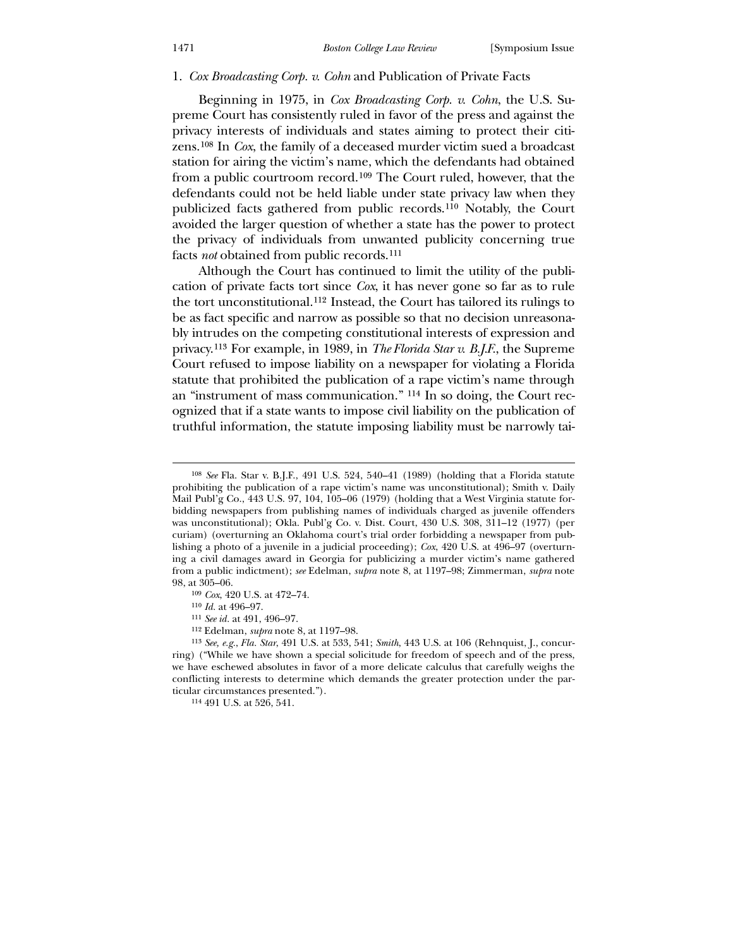#### 1. *Cox Broadcasting Corp. v. Cohn* and Publication of Private Facts

 Beginning in 1975, in *Cox Broadcasting Corp. v. Cohn*, the U.S. Supreme Court has consistently ruled in favor of the press and against the privacy interests of individuals and states aiming to protect their citizens.[108](#page-17-0) In *Cox*, the family of a deceased murder victim sued a broadcast station for airing the victim's name, which the defendants had obtained from a public courtroom record.[109](#page-17-1) The Court ruled, however, that the defendants could not be held liable under state privacy law when they publicized facts gathered from public records.[110](#page-17-2) Notably, the Court avoided the larger question of whether a state has the power to protect the privacy of individuals from unwanted publicity concerning true facts *not* obtained from public records.[111](#page-17-3)

 Although the Court has continued to limit the utility of the publication of private facts tort since *Cox*, it has never gone so far as to rule the tort unconstitutional.[112](#page-17-4) Instead, the Court has tailored its rulings to be as fact specific and narrow as possible so that no decision unreasonably intrudes on the competing constitutional interests of expression and privacy.[113](#page-17-5) For example, in 1989, in *The Florida Star v. B.J.F.*, the Supreme Court refused to impose liability on a newspaper for violating a Florida statute that prohibited the publication of a rape victim's name through an "instrument of mass communication." [114](#page-17-6) In so doing, the Court recognized that if a state wants to impose civil liability on the publication of truthful information, the statute imposing liability must be narrowly tai-

<u>.</u>

<sup>108</sup> *See* Fla. Star v. B.J.F., 491 U.S. 524, 540–41 (1989) (holding that a Florida statute prohibiting the publication of a rape victim's name was unconstitutional); Smith v. Daily Mail Publ'g Co., 443 U.S. 97, 104, 105–06 (1979) (holding that a West Virginia statute forbidding newspapers from publishing names of individuals charged as juvenile offenders was unconstitutional); Okla. Publ'g Co. v. Dist. Court, 430 U.S. 308, 311–12 (1977) (per curiam) (overturning an Oklahoma court's trial order forbidding a newspaper from publishing a photo of a juvenile in a judicial proceeding); *Cox*, 420 U.S. at 496–97 (overturning a civil damages award in Georgia for publicizing a murder victim's name gathered from a public indictment); *see* Edelman, *supra* note 8, at 1197–98; Zimmerman, *supra* note 98, at 305–06.

<sup>109</sup> *Cox*, 420 U.S. at 472–74.

<sup>110</sup> *Id.* at 496–97.

<sup>111</sup> *See id.* at 491, 496–97.

<sup>112</sup> Edelman, *supra* note 8, at 1197–98.

<span id="page-17-0"></span><sup>113</sup> *See, e.g.*, *Fla. Star*, 491 U.S. at 533, 541; *Smith*, 443 U.S. at 106 (Rehnquist, J., concurring) ("While we have shown a special solicitude for freedom of speech and of the press, we have eschewed absolutes in favor of a more delicate calculus that carefully weighs the conflicting interests to determine which demands the greater protection under the particular circumstances presented.").

<span id="page-17-6"></span><span id="page-17-5"></span><span id="page-17-4"></span><span id="page-17-3"></span><span id="page-17-2"></span><span id="page-17-1"></span><sup>114</sup> 491 U.S. at 526, 541.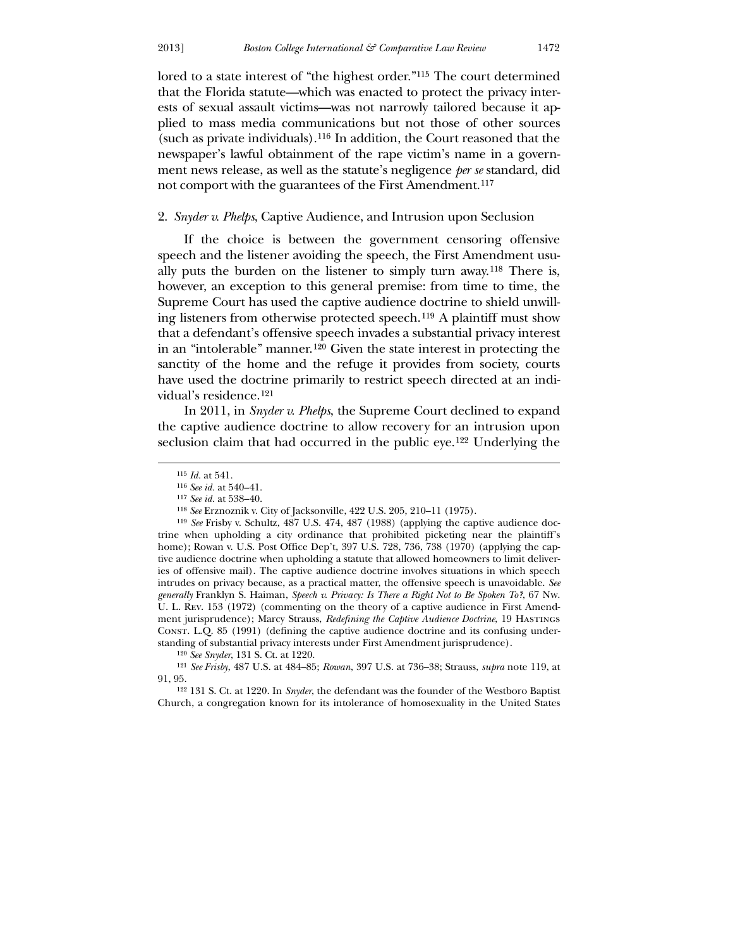lored to a state interest of "the highest order."[115](#page-18-0) The court determined that the Florida statute—which was enacted to protect the privacy interests of sexual assault victims—was not narrowly tailored because it applied to mass media communications but not those of other sources (such as private individuals).[116](#page-18-1) In addition, the Court reasoned that the newspaper's lawful obtainment of the rape victim's name in a government news release, as well as the statute's negligence *per se* standard, did not comport with the guarantees of the First Amendment.<sup>[117](#page-18-2)</sup>

#### 2. *Snyder v. Phelps*, Captive Audience, and Intrusion upon Seclusion

 If the choice is between the government censoring offensive speech and the listener avoiding the speech, the First Amendment usually puts the burden on the listener to simply turn away.[118](#page-18-3) There is, however, an exception to this general premise: from time to time, the Supreme Court has used the captive audience doctrine to shield unwilling listeners from otherwise protected speech.[119](#page-18-4) A plaintiff must show that a defendant's offensive speech invades a substantial privacy interest in an "intolerable" manner.[120](#page-18-5) Given the state interest in protecting the sanctity of the home and the refuge it provides from society, courts have used the doctrine primarily to restrict speech directed at an individual's residence.[121](#page-18-6)

 In 2011, in *Snyder v. Phelps*, the Supreme Court declined to expand the captive audience doctrine to allow recovery for an intrusion upon seclusion claim that had occurred in the public eye.<sup>[122](#page-18-7)</sup> Underlying the

 $\overline{a}$ 

120 *See Snyder*, 131 S. Ct. at 1220.

<span id="page-18-2"></span><span id="page-18-1"></span><span id="page-18-0"></span>121 *See Frisby*, 487 U.S. at 484–85; *Rowan*, 397 U.S. at 736–38; Strauss, *supra* note 119, at 91, 95.

<span id="page-18-7"></span><span id="page-18-6"></span><span id="page-18-5"></span><span id="page-18-4"></span><span id="page-18-3"></span>122 131 S. Ct. at 1220. In *Snyder*, the defendant was the founder of the Westboro Baptist Church, a congregation known for its intolerance of homosexuality in the United States

<sup>115</sup> *Id.* at 541.

<sup>116</sup> *See id.* at 540–41.

<sup>117</sup> *See id.* at 538–40.

<sup>118</sup> *See* Erznoznik v. City of Jacksonville, 422 U.S. 205, 210–11 (1975).

<sup>119</sup> *See* Frisby v. Schultz, 487 U.S. 474, 487 (1988) (applying the captive audience doctrine when upholding a city ordinance that prohibited picketing near the plaintiff's home); Rowan v. U.S. Post Office Dep't, 397 U.S. 728, 736, 738 (1970) (applying the captive audience doctrine when upholding a statute that allowed homeowners to limit deliveries of offensive mail). The captive audience doctrine involves situations in which speech intrudes on privacy because, as a practical matter, the offensive speech is unavoidable. *See generally* Franklyn S. Haiman, *Speech v. Privacy: Is There a Right Not to Be Spoken To?*, 67 Nw. U. L. Rev. 153 (1972) (commenting on the theory of a captive audience in First Amendment jurisprudence); Marcy Strauss, *Redefining the Captive Audience Doctrine*, 19 Hastings Const. L.Q. 85 (1991) (defining the captive audience doctrine and its confusing understanding of substantial privacy interests under First Amendment jurisprudence).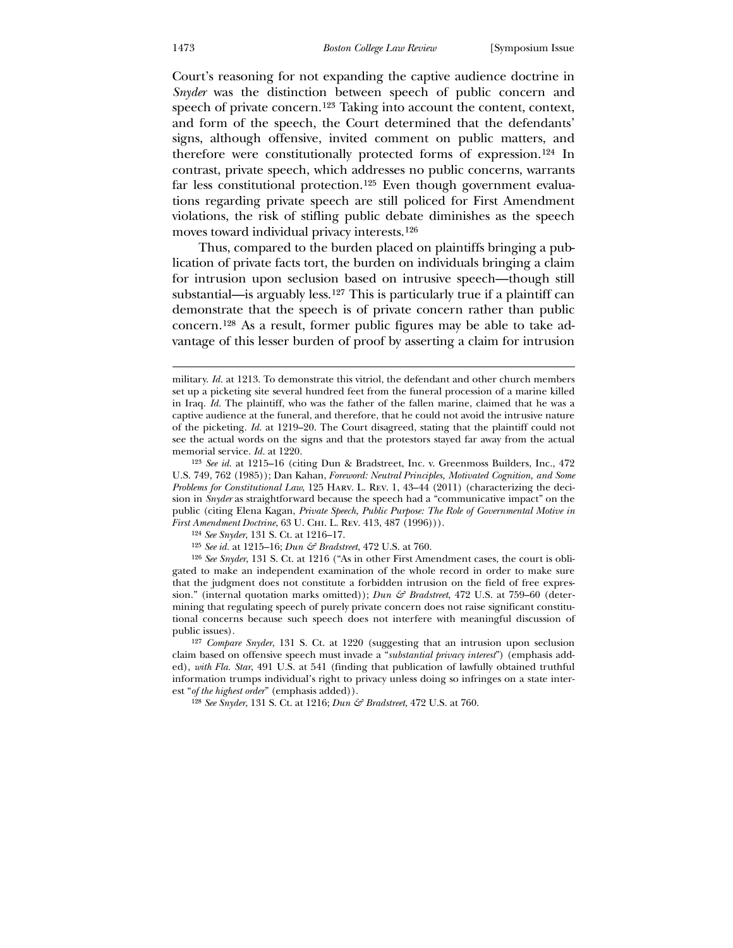Court's reasoning for not expanding the captive audience doctrine in *Snyder* was the distinction between speech of public concern and speech of private concern.[123](#page-19-0) Taking into account the content, context, and form of the speech, the Court determined that the defendants' signs, although offensive, invited comment on public matters, and therefore were constitutionally protected forms of expression.[124](#page-19-1) In contrast, private speech, which addresses no public concerns, warrants far less constitutional protection.[125](#page-19-2) Even though government evaluations regarding private speech are still policed for First Amendment violations, the risk of stifling public debate diminishes as the speech moves toward individual privacy interests.[126](#page-19-3)

 Thus, compared to the burden placed on plaintiffs bringing a publication of private facts tort, the burden on individuals bringing a claim for intrusion upon seclusion based on intrusive speech—though still substantial—is arguably less.[127](#page-19-4) This is particularly true if a plaintiff can demonstrate that the speech is of private concern rather than public concern.[128](#page-19-5) As a result, former public figures may be able to take advantage of this lesser burden of proof by asserting a claim for intrusion

-

military. *Id.* at 1213. To demonstrate this vitriol, the defendant and other church members set up a picketing site several hundred feet from the funeral procession of a marine killed in Iraq. *Id.* The plaintiff, who was the father of the fallen marine, claimed that he was a captive audience at the funeral, and therefore, that he could not avoid the intrusive nature of the picketing. *Id.* at 1219–20. The Court disagreed, stating that the plaintiff could not see the actual words on the signs and that the protestors stayed far away from the actual memorial service. *Id.* at 1220.

<sup>123</sup> *See id.* at 1215–16 (citing Dun & Bradstreet, Inc. v. Greenmoss Builders, Inc., 472 U.S. 749, 762 (1985)); Dan Kahan, *Foreword: Neutral Principles, Motivated Cognition, and Some Problems for Constitutional Law*, 125 Harv. L. Rev. 1, 43–44 (2011) (characterizing the decision in *Snyder* as straightforward because the speech had a "communicative impact" on the public (citing Elena Kagan, *Private Speech, Public Purpose: The Role of Governmental Motive in First Amendment Doctrine*, 63 U. CHI. L. REV. 413, 487 (1996))).

<sup>124</sup> *See Snyder*, 131 S. Ct. at 1216–17.

<sup>125</sup> *See id.* at 1215–16; *Dun & Bradstreet*, 472 U.S. at 760.

<sup>126</sup> *See Snyder*, 131 S. Ct. at 1216 ("As in other First Amendment cases, the court is obligated to make an independent examination of the whole record in order to make sure that the judgment does not constitute a forbidden intrusion on the field of free expression." (internal quotation marks omitted)); *Dun & Bradstreet*, 472 U.S. at 759–60 (determining that regulating speech of purely private concern does not raise significant constitutional concerns because such speech does not interfere with meaningful discussion of public issues).

<span id="page-19-2"></span><span id="page-19-1"></span><span id="page-19-0"></span><sup>127</sup> *Compare Snyder*, 131 S. Ct. at 1220 (suggesting that an intrusion upon seclusion claim based on offensive speech must invade a "*substantial privacy interest*") (emphasis added), *with Fla. Star*, 491 U.S. at 541 (finding that publication of lawfully obtained truthful information trumps individual's right to privacy unless doing so infringes on a state interest "*of the highest order*" (emphasis added)).

<span id="page-19-5"></span><span id="page-19-4"></span><span id="page-19-3"></span><sup>128</sup> *See Snyder*, 131 S. Ct. at 1216; *Dun & Bradstreet*, 472 U.S. at 760.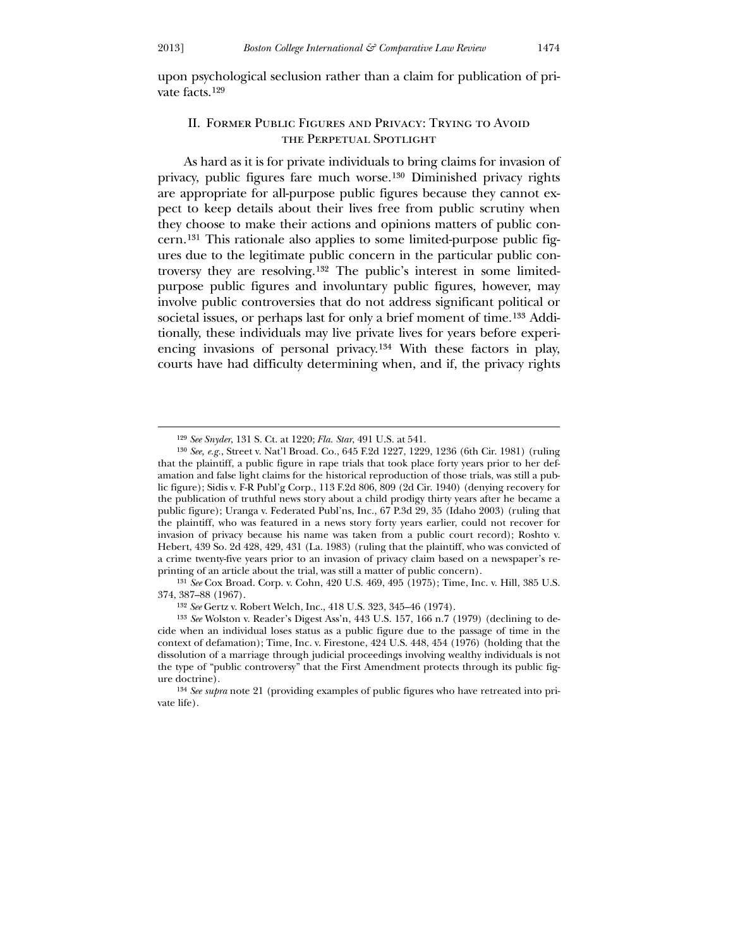$\overline{a}$ 

upon psychological seclusion rather than a claim for publication of private facts.[129](#page-20-0)

## II. Former Public Figures and Privacy: Trying to Avoid the Perpetual Spotlight

 As hard as it is for private individuals to bring claims for invasion of privacy, public figures fare much worse.[130](#page-20-1) Diminished privacy rights are appropriate for all-purpose public figures because they cannot expect to keep details about their lives free from public scrutiny when they choose to make their actions and opinions matters of public concern.[131](#page-20-2) This rationale also applies to some limited-purpose public figures due to the legitimate public concern in the particular public controversy they are resolving.[132](#page-20-3) The public's interest in some limitedpurpose public figures and involuntary public figures, however, may involve public controversies that do not address significant political or societal issues, or perhaps last for only a brief moment of time.[133](#page-20-4) Additionally, these individuals may live private lives for years before experiencing invasions of personal privacy.[134](#page-20-5) With these factors in play, courts have had difficulty determining when, and if, the privacy rights

131 *See* Cox Broad. Corp. v. Cohn, 420 U.S. 469, 495 (1975); Time, Inc. v. Hill, 385 U.S. 374, 387–88 (1967).

<sup>129</sup> *See Snyder*, 131 S. Ct. at 1220; *Fla. Star*, 491 U.S. at 541.

<sup>130</sup> *See, e.g.*, Street v. Nat'l Broad. Co., 645 F.2d 1227, 1229, 1236 (6th Cir. 1981) (ruling that the plaintiff, a public figure in rape trials that took place forty years prior to her defamation and false light claims for the historical reproduction of those trials, was still a public figure); Sidis v. F-R Publ'g Corp., 113 F.2d 806, 809 (2d Cir. 1940) (denying recovery for the publication of truthful news story about a child prodigy thirty years after he became a public figure); Uranga v. Federated Publ'ns, Inc., 67 P.3d 29, 35 (Idaho 2003) (ruling that the plaintiff, who was featured in a news story forty years earlier, could not recover for invasion of privacy because his name was taken from a public court record); Roshto v. Hebert, 439 So. 2d 428, 429, 431 (La. 1983) (ruling that the plaintiff, who was convicted of a crime twenty-five years prior to an invasion of privacy claim based on a newspaper's reprinting of an article about the trial, was still a matter of public concern).

<sup>132</sup> *See* Gertz v. Robert Welch, Inc., 418 U.S. 323, 345–46 (1974).

<span id="page-20-1"></span><span id="page-20-0"></span><sup>133</sup> *See* Wolston v. Reader's Digest Ass'n, 443 U.S. 157, 166 n.7 (1979) (declining to decide when an individual loses status as a public figure due to the passage of time in the context of defamation); Time, Inc. v. Firestone, 424 U.S. 448, 454 (1976) (holding that the dissolution of a marriage through judicial proceedings involving wealthy individuals is not the type of "public controversy" that the First Amendment protects through its public figure doctrine).

<span id="page-20-5"></span><span id="page-20-4"></span><span id="page-20-3"></span><span id="page-20-2"></span><sup>134</sup> *See supra* note 21 (providing examples of public figures who have retreated into private life).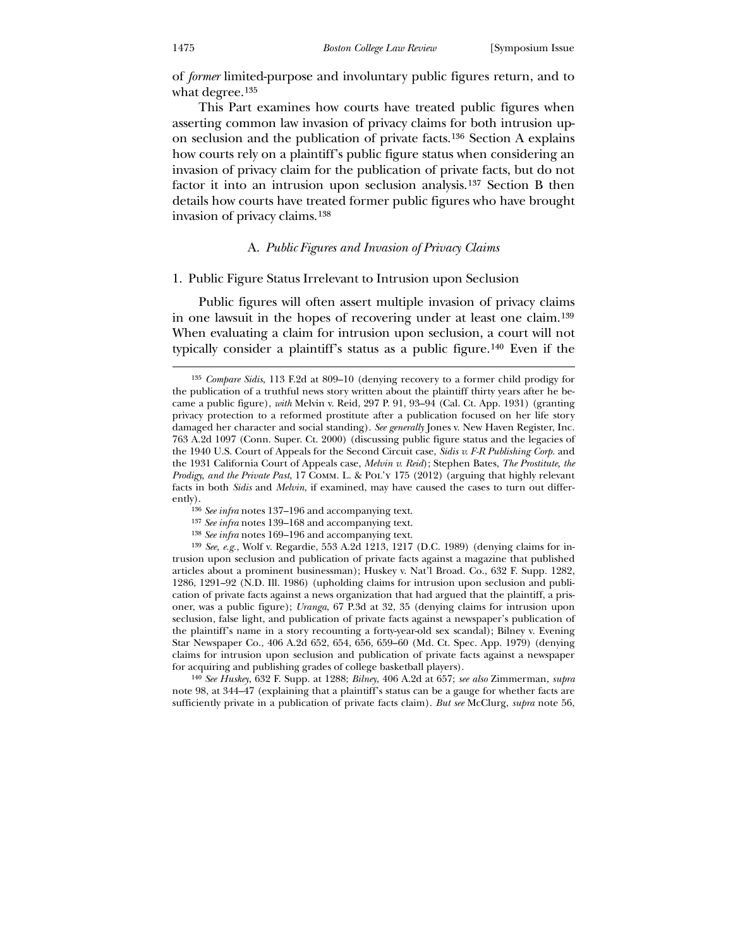of *former* limited-purpose and involuntary public figures return, and to what degree.<sup>135</sup>

This Part examines how courts have treated public figures when asserting common law invasion of privacy claims for both intrusion upon seclusion and the publication of private facts.[136](#page-21-0) Section A explains how courts rely on a plaintiff's public figure status when considering an invasion of privacy claim for the publication of private facts, but do not factor it into an intrusion upon seclusion analysis.[137](#page-21-1) Section B then details how courts have treated former public figures who have brought invasion of privacy claims.[138](#page-21-2)

## A. *Public Figures and Invasion of Privacy Claims*

#### 1. Public Figure Status Irrelevant to Intrusion upon Seclusion

 Public figures will often assert multiple invasion of privacy claims in one lawsuit in the hopes of recovering under at least one claim.[139](#page-21-3) When evaluating a claim for intrusion upon seclusion, a court will not typically consider a plaintiff's status as a public figure.[140](#page-21-4) Even if the

<span id="page-21-4"></span><span id="page-21-3"></span><span id="page-21-2"></span><span id="page-21-1"></span><span id="page-21-0"></span>140 *See Huskey*, 632 F. Supp. at 1288; *Bilney*, 406 A.2d at 657; *see also* Zimmerman, *supra* note 98, at 344–47 (explaining that a plaintiff's status can be a gauge for whether facts are sufficiently private in a publication of private facts claim). *But see* McClurg, *supra* note 56,

<sup>135</sup> *Compare Sidis*, 113 F.2d at 809–10 (denying recovery to a former child prodigy for the publication of a truthful news story written about the plaintiff thirty years after he became a public figure), *with* Melvin v. Reid, 297 P. 91, 93–94 (Cal. Ct. App. 1931) (granting privacy protection to a reformed prostitute after a publication focused on her life story damaged her character and social standing). *See generally* Jones v. New Haven Register, Inc. 763 A.2d 1097 (Conn. Super. Ct. 2000) (discussing public figure status and the legacies of the 1940 U.S. Court of Appeals for the Second Circuit case, *Sidis v. F-R Publishing Corp.* and the 1931 California Court of Appeals case, *Melvin v. Reid*); Stephen Bates, *The Prostitute, the Prodigy, and the Private Past*, 17 Comm. L. & Pol'y 175 (2012) (arguing that highly relevant facts in both *Sidis* and *Melvin*, if examined, may have caused the cases to turn out differently).

<sup>136</sup> *See infra* notes 137–196 and accompanying text.

<sup>137</sup> *See infra* notes 139–168 and accompanying text.

<sup>138</sup> *See infra* notes 169–196 and accompanying text.

<sup>139</sup> *See, e.g.*, Wolf v. Regardie, 553 A.2d 1213, 1217 (D.C. 1989) (denying claims for intrusion upon seclusion and publication of private facts against a magazine that published articles about a prominent businessman); Huskey v. Nat'l Broad. Co., 632 F. Supp. 1282, 1286, 1291–92 (N.D. Ill. 1986) (upholding claims for intrusion upon seclusion and publication of private facts against a news organization that had argued that the plaintiff, a prisoner, was a public figure); *Uranga*, 67 P.3d at 32, 35 (denying claims for intrusion upon seclusion, false light, and publication of private facts against a newspaper's publication of the plaintiff's name in a story recounting a forty-year-old sex scandal); Bilney v. Evening Star Newspaper Co., 406 A.2d 652, 654, 656, 659–60 (Md. Ct. Spec. App. 1979) (denying claims for intrusion upon seclusion and publication of private facts against a newspaper for acquiring and publishing grades of college basketball players).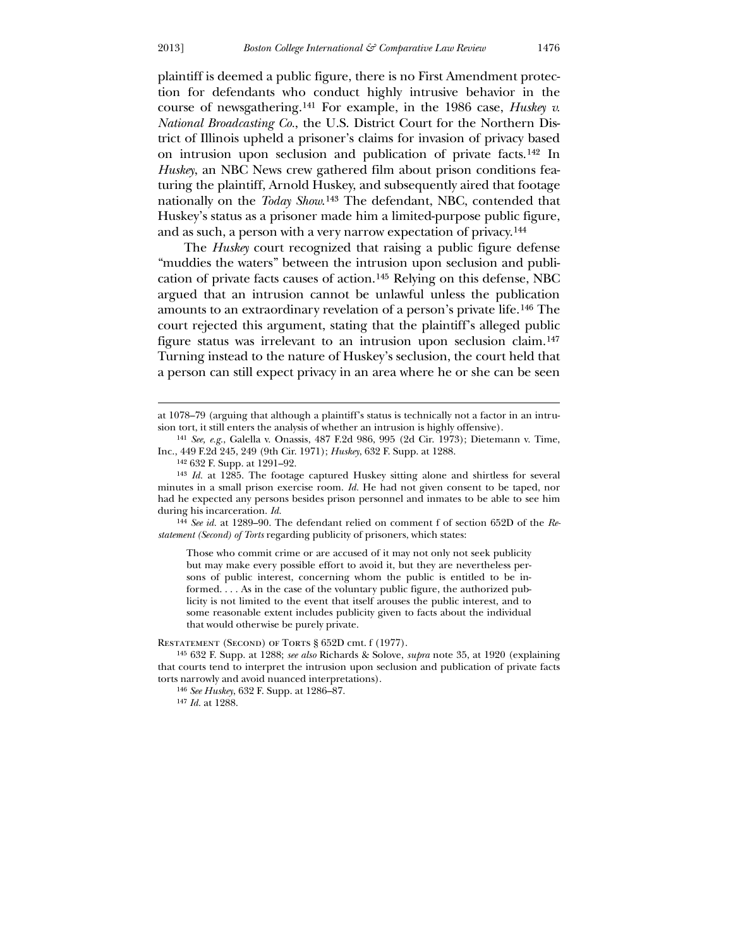$\overline{a}$ 

plaintiff is deemed a public figure, there is no First Amendment protection for defendants who conduct highly intrusive behavior in the course of newsgathering.[141](#page-22-0) For example, in the 1986 case, *Huskey v. National Broadcasting Co.*, the U.S. District Court for the Northern District of Illinois upheld a prisoner's claims for invasion of privacy based on intrusion upon seclusion and publication of private facts.[142](#page-22-1) In *Huskey*, an NBC News crew gathered film about prison conditions featuring the plaintiff, Arnold Huskey, and subsequently aired that footage nationally on the *Today Show*.[143](#page-22-2) The defendant, NBC, contended that Huskey's status as a prisoner made him a limited-purpose public figure, and as such, a person with a very narrow expectation of privacy.[144](#page-22-3)

 The *Huskey* court recognized that raising a public figure defense "muddies the waters" between the intrusion upon seclusion and publication of private facts causes of action.[145](#page-22-4) Relying on this defense, NBC argued that an intrusion cannot be unlawful unless the publication amounts to an extraordinary revelation of a person's private life.[146](#page-22-5) The court rejected this argument, stating that the plaintiff's alleged public figure status was irrelevant to an intrusion upon seclusion claim.[147](#page-22-6) Turning instead to the nature of Huskey's seclusion, the court held that a person can still expect privacy in an area where he or she can be seen

142 632 F. Supp. at 1291–92.

144 *See id.* at 1289–90. The defendant relied on comment f of section 652D of the *Restatement (Second) of Torts* regarding publicity of prisoners, which states:

Those who commit crime or are accused of it may not only not seek publicity but may make every possible effort to avoid it, but they are nevertheless persons of public interest, concerning whom the public is entitled to be informed. . . . As in the case of the voluntary public figure, the authorized publicity is not limited to the event that itself arouses the public interest, and to some reasonable extent includes publicity given to facts about the individual that would otherwise be purely private.

<span id="page-22-2"></span><span id="page-22-1"></span><span id="page-22-0"></span>RESTATEMENT (SECOND) OF TORTS § 652D cmt. f (1977).

<span id="page-22-3"></span>145 632 F. Supp. at 1288; *see also* Richards & Solove, *supra* note 35, at 1920 (explaining that courts tend to interpret the intrusion upon seclusion and publication of private facts torts narrowly and avoid nuanced interpretations).

146 *See Huskey*, 632 F. Supp. at 1286–87.

<span id="page-22-6"></span><span id="page-22-5"></span><span id="page-22-4"></span>147 *Id.* at 1288.

at 1078–79 (arguing that although a plaintiff's status is technically not a factor in an intrusion tort, it still enters the analysis of whether an intrusion is highly offensive).

<sup>141</sup> *See, e.g.*, Galella v. Onassis, 487 F.2d 986, 995 (2d Cir. 1973); Dietemann v. Time, Inc., 449 F.2d 245, 249 (9th Cir. 1971); *Huskey*, 632 F. Supp. at 1288.

<sup>143</sup> *Id.* at 1285. The footage captured Huskey sitting alone and shirtless for several minutes in a small prison exercise room. *Id.* He had not given consent to be taped, nor had he expected any persons besides prison personnel and inmates to be able to see him during his incarceration. *Id.*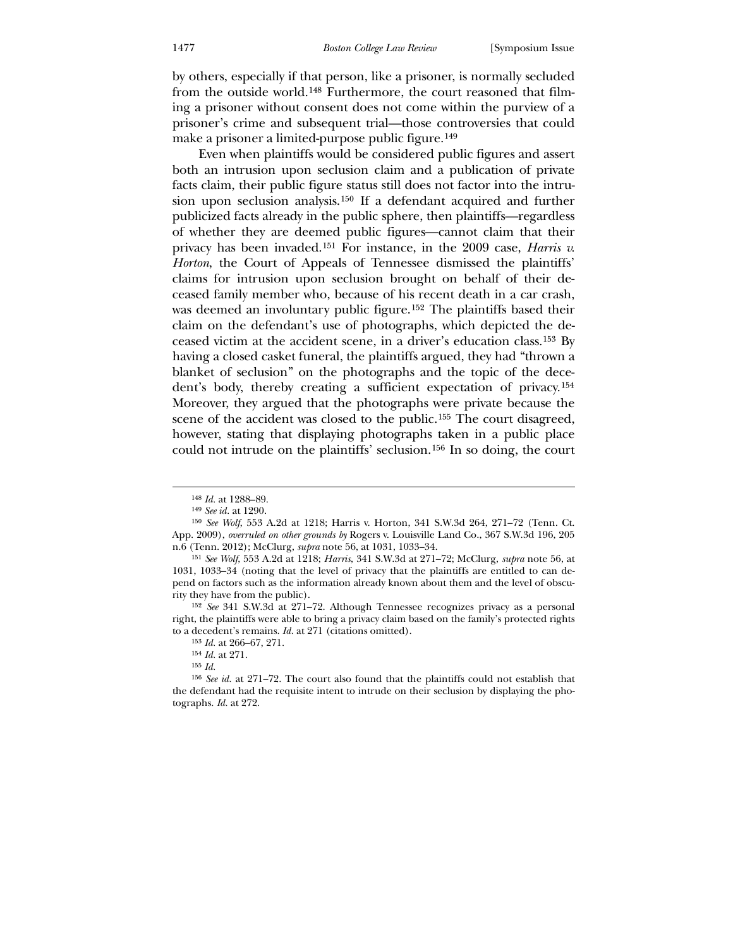by others, especially if that person, like a prisoner, is normally secluded from the outside world.[148](#page-23-0) Furthermore, the court reasoned that filming a prisoner without consent does not come within the purview of a prisoner's crime and subsequent trial—those controversies that could make a prisoner a limited-purpose public figure.<sup>[149](#page-23-1)</sup>

 Even when plaintiffs would be considered public figures and assert both an intrusion upon seclusion claim and a publication of private facts claim, their public figure status still does not factor into the intrusion upon seclusion analysis.[150](#page-23-2) If a defendant acquired and further publicized facts already in the public sphere, then plaintiffs—regardless of whether they are deemed public figures—cannot claim that their privacy has been invaded.[151](#page-23-3) For instance, in the 2009 case, *Harris v. Horton*, the Court of Appeals of Tennessee dismissed the plaintiffs' claims for intrusion upon seclusion brought on behalf of their deceased family member who, because of his recent death in a car crash, was deemed an involuntary public figure.[152](#page-23-4) The plaintiffs based their claim on the defendant's use of photographs, which depicted the deceased victim at the accident scene, in a driver's education class.[153](#page-23-5) By having a closed casket funeral, the plaintiffs argued, they had "thrown a blanket of seclusion" on the photographs and the topic of the decedent's body, thereby creating a sufficient expectation of privacy.[154](#page-23-6) Moreover, they argued that the photographs were private because the scene of the accident was closed to the public.<sup>[155](#page-23-7)</sup> The court disagreed, however, stating that displaying photographs taken in a public place could not intrude on the plaintiffs' seclusion.[156](#page-23-8) In so doing, the court

<sup>148</sup> *Id.* at 1288–89.

<sup>149</sup> *See id.* at 1290.

<sup>150</sup> *See Wolf*, 553 A.2d at 1218; Harris v. Horton, 341 S.W.3d 264, 271–72 (Tenn. Ct. App. 2009), *overruled on other grounds by* Rogers v. Louisville Land Co., 367 S.W.3d 196, 205 n.6 (Tenn. 2012); McClurg, *supra* note 56, at 1031, 1033–34.

<sup>151</sup> *See Wolf*, 553 A.2d at 1218; *Harris*, 341 S.W.3d at 271–72; McClurg, *supra* note 56, at 1031, 1033–34 (noting that the level of privacy that the plaintiffs are entitled to can depend on factors such as the information already known about them and the level of obscurity they have from the public).

<sup>152</sup> *See* 341 S.W.3d at 271–72. Although Tennessee recognizes privacy as a personal right, the plaintiffs were able to bring a privacy claim based on the family's protected rights to a decedent's remains. *Id.* at 271 (citations omitted).

<sup>153</sup> *Id.* at 266–67, 271.

<sup>154</sup> *Id.* at 271.

<sup>155</sup> *Id.*

<span id="page-23-8"></span><span id="page-23-7"></span><span id="page-23-6"></span><span id="page-23-5"></span><span id="page-23-4"></span><span id="page-23-3"></span><span id="page-23-2"></span><span id="page-23-1"></span><span id="page-23-0"></span><sup>156</sup> *See id.* at 271–72. The court also found that the plaintiffs could not establish that the defendant had the requisite intent to intrude on their seclusion by displaying the photographs. *Id.* at 272.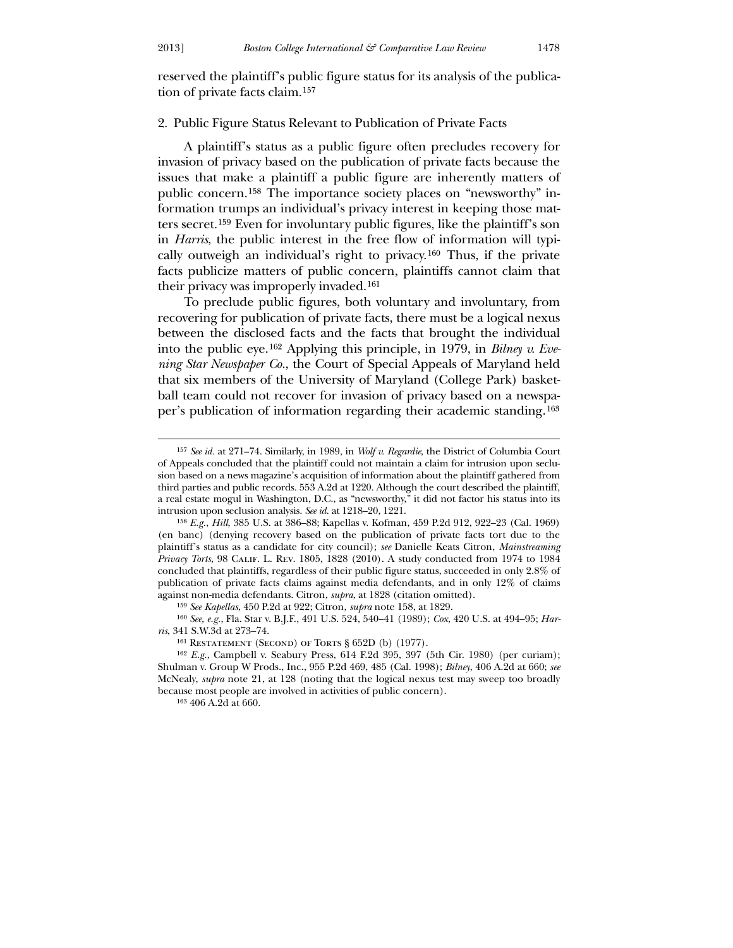$\overline{a}$ 

## 2. Public Figure Status Relevant to Publication of Private Facts

 A plaintiff's status as a public figure often precludes recovery for invasion of privacy based on the publication of private facts because the issues that make a plaintiff a public figure are inherently matters of public concern.[158](#page-24-1) The importance society places on "newsworthy" information trumps an individual's privacy interest in keeping those matters secret.[159](#page-24-2) Even for involuntary public figures, like the plaintiff's son in *Harris*, the public interest in the free flow of information will typically outweigh an individual's right to privacy.[160](#page-24-3) Thus, if the private facts publicize matters of public concern, plaintiffs cannot claim that their privacy was improperly invaded.[161](#page-24-4)

 To preclude public figures, both voluntary and involuntary, from recovering for publication of private facts, there must be a logical nexus between the disclosed facts and the facts that brought the individual into the public eye.[162](#page-24-5) Applying this principle, in 1979, in *Bilney v. Evening Star Newspaper Co.*, the Court of Special Appeals of Maryland held that six members of the University of Maryland (College Park) basketball team could not recover for invasion of privacy based on a newspaper's publication of information regarding their academic standing.[163](#page-24-6)

<sup>157</sup> *See id.* at 271–74. Similarly, in 1989, in *Wolf v. Regardie*, the District of Columbia Court of Appeals concluded that the plaintiff could not maintain a claim for intrusion upon seclusion based on a news magazine's acquisition of information about the plaintiff gathered from third parties and public records. 553 A.2d at 1220. Although the court described the plaintiff, a real estate mogul in Washington, D.C., as "newsworthy," it did not factor his status into its intrusion upon seclusion analysis. *See id.* at 1218–20, 1221.

<sup>158</sup> *E.g.*, *Hill*, 385 U.S. at 386–88; Kapellas v. Kofman, 459 P.2d 912, 922–23 (Cal. 1969) (en banc) (denying recovery based on the publication of private facts tort due to the plaintiff's status as a candidate for city council); *see* Danielle Keats Citron, *Mainstreaming Privacy Torts*, 98 Calif. L. Rev. 1805, 1828 (2010). A study conducted from 1974 to 1984 concluded that plaintiffs, regardless of their public figure status, succeeded in only 2.8% of publication of private facts claims against media defendants, and in only 12% of claims against non-media defendants. Citron, *supra*, at 1828 (citation omitted).

<sup>159</sup> *See Kapellas*, 450 P.2d at 922; Citron, *supra* note 158, at 1829.

<span id="page-24-0"></span><sup>160</sup> *See, e.g.*, Fla. Star v. B.J.F., 491 U.S. 524, 540–41 (1989); *Cox*, 420 U.S. at 494–95; *Harris*, 341 S.W.3d at 273–74.

<sup>&</sup>lt;sup>161</sup> RESTATEMENT (SECOND) OF TORTS § 652D (b) (1977).

<span id="page-24-1"></span><sup>162</sup> *E.g.*, Campbell v. Seabury Press, 614 F.2d 395, 397 (5th Cir. 1980) (per curiam); Shulman v. Group W Prods., Inc., 955 P.2d 469, 485 (Cal. 1998); *Bilney*, 406 A.2d at 660; *see* McNealy, *supra* note 21, at 128 (noting that the logical nexus test may sweep too broadly because most people are involved in activities of public concern).

<span id="page-24-6"></span><span id="page-24-5"></span><span id="page-24-4"></span><span id="page-24-3"></span><span id="page-24-2"></span><sup>163</sup> 406 A.2d at 660.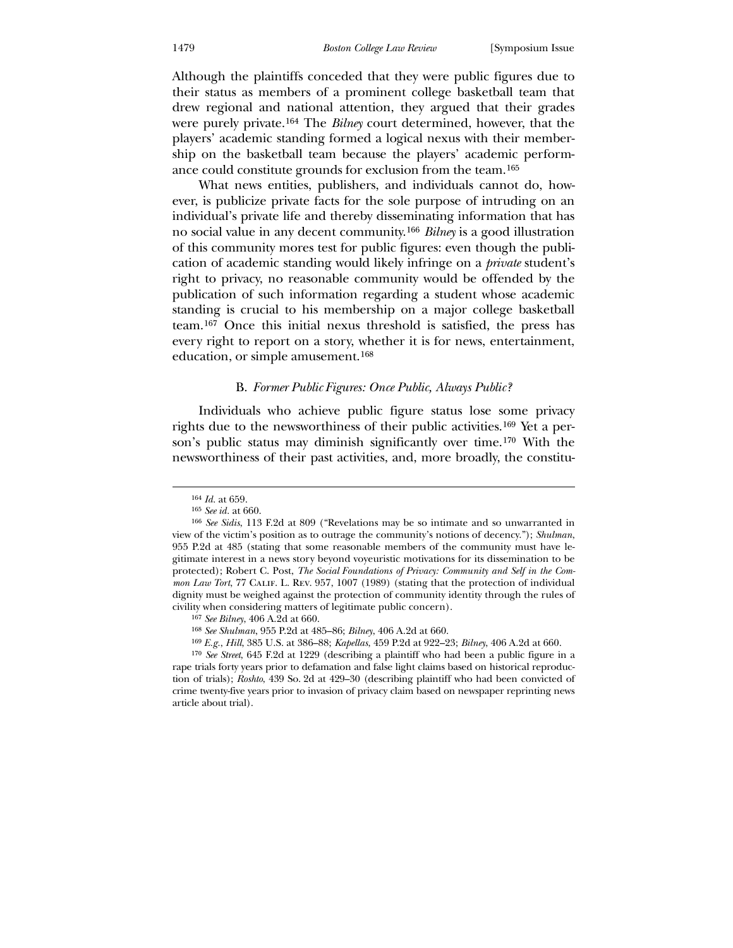Although the plaintiffs conceded that they were public figures due to their status as members of a prominent college basketball team that drew regional and national attention, they argued that their grades were purely private.[164](#page-25-0) The *Bilney* court determined, however, that the players' academic standing formed a logical nexus with their membership on the basketball team because the players' academic performance could constitute grounds for exclusion from the team.[165](#page-25-1)

 What news entities, publishers, and individuals cannot do, however, is publicize private facts for the sole purpose of intruding on an individual's private life and thereby disseminating information that has no social value in any decent community.[166](#page-25-2) *Bilney* is a good illustration of this community mores test for public figures: even though the publication of academic standing would likely infringe on a *private* student's right to privacy, no reasonable community would be offended by the publication of such information regarding a student whose academic standing is crucial to his membership on a major college basketball team.[167](#page-25-3) Once this initial nexus threshold is satisfied, the press has every right to report on a story, whether it is for news, entertainment, education, or simple amusement.168

## B. *Former Public Figures: Once Public, Always Public?*

 Individuals who achieve public figure status lose some privacy rights due to the newsworthiness of their public activities.[169](#page-25-4) Yet a person's public status may diminish significantly over time.[170](#page-25-5) With the newsworthiness of their past activities, and, more broadly, the constitu-

 $\overline{a}$ 

169 *E.g.*, *Hill*, 385 U.S. at 386–88; *Kapellas*, 459 P.2d at 922–23; *Bilney*, 406 A.2d at 660.

<sup>164</sup> *Id.* at 659.

<sup>165</sup> *See id.* at 660.

<sup>166</sup> *See Sidis*, 113 F.2d at 809 ("Revelations may be so intimate and so unwarranted in view of the victim's position as to outrage the community's notions of decency."); *Shulman*, 955 P.2d at 485 (stating that some reasonable members of the community must have legitimate interest in a news story beyond voyeuristic motivations for its dissemination to be protected); Robert C. Post, *The Social Foundations of Privacy: Community and Self in the Common Law Tort*, 77 CALIF. L. REV. 957, 1007 (1989) (stating that the protection of individual dignity must be weighed against the protection of community identity through the rules of civility when considering matters of legitimate public concern).

<sup>167</sup> *See Bilney*, 406 A.2d at 660.

<sup>168</sup> *See Shulman*, 955 P.2d at 485–86; *Bilney*, 406 A.2d at 660.

<span id="page-25-5"></span><span id="page-25-4"></span><span id="page-25-3"></span><span id="page-25-2"></span><span id="page-25-1"></span><span id="page-25-0"></span><sup>170</sup> *See Street*, 645 F.2d at 1229 (describing a plaintiff who had been a public figure in a rape trials forty years prior to defamation and false light claims based on historical reproduction of trials); *Roshto*, 439 So. 2d at 429–30 (describing plaintiff who had been convicted of crime twenty-five years prior to invasion of privacy claim based on newspaper reprinting news article about trial).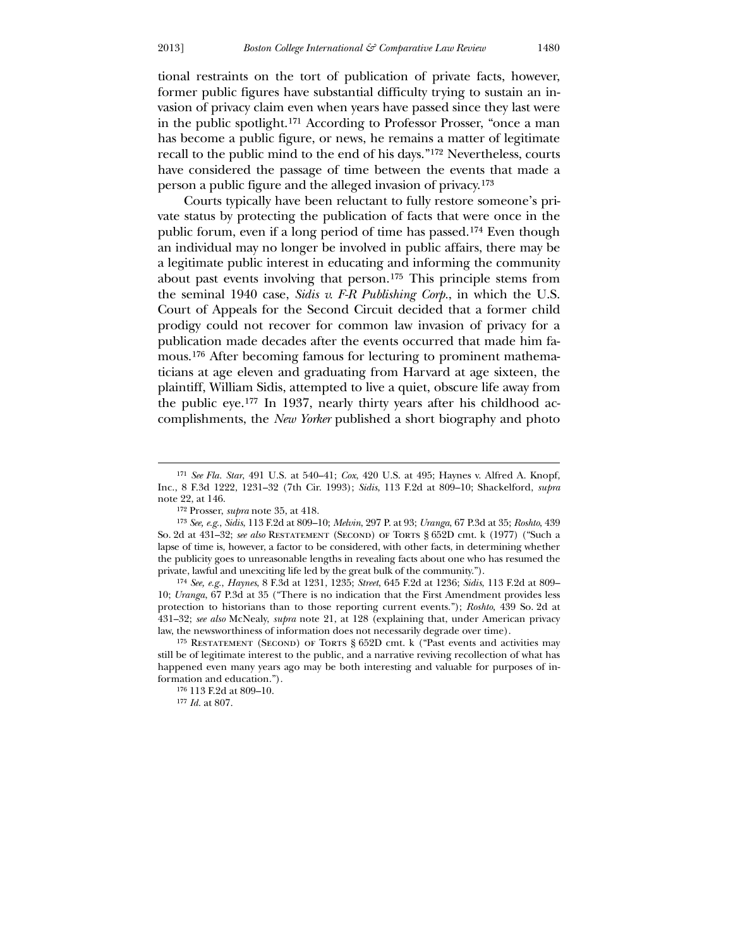$\overline{a}$ 

tional restraints on the tort of publication of private facts, however, former public figures have substantial difficulty trying to sustain an invasion of privacy claim even when years have passed since they last were in the public spotlight.[171](#page-26-0) According to Professor Prosser, "once a man has become a public figure, or news, he remains a matter of legitimate recall to the public mind to the end of his days."[172](#page-26-1) Nevertheless, courts have considered the passage of time between the events that made a person a public figure and the alleged invasion of privacy.[173](#page-26-2)

 Courts typically have been reluctant to fully restore someone's private status by protecting the publication of facts that were once in the public forum, even if a long period of time has passed.[174](#page-26-3) Even though an individual may no longer be involved in public affairs, there may be a legitimate public interest in educating and informing the community about past events involving that person.[175](#page-26-4) This principle stems from the seminal 1940 case, *Sidis v. F-R Publishing Corp.*, in which the U.S. Court of Appeals for the Second Circuit decided that a former child prodigy could not recover for common law invasion of privacy for a publication made decades after the events occurred that made him famous.[176](#page-26-5) After becoming famous for lecturing to prominent mathematicians at age eleven and graduating from Harvard at age sixteen, the plaintiff, William Sidis, attempted to live a quiet, obscure life away from the public eye.[177](#page-26-6) In 1937, nearly thirty years after his childhood accomplishments, the *New Yorker* published a short biography and photo

174 *See, e.g.*, *Haynes*, 8 F.3d at 1231, 1235; *Street*, 645 F.2d at 1236; *Sidis*, 113 F.2d at 809– 10; *Uranga*, 67 P.3d at 35 ("There is no indication that the First Amendment provides less protection to historians than to those reporting current events."); *Roshto*, 439 So. 2d at 431–32; *see also* McNealy, *supra* note 21, at 128 (explaining that, under American privacy law, the newsworthiness of information does not necessarily degrade over time).

<sup>171</sup> *See Fla. Star*, 491 U.S. at 540–41; *Cox*, 420 U.S. at 495; Haynes v. Alfred A. Knopf, Inc., 8 F.3d 1222, 1231–32 (7th Cir. 1993); *Sidis*, 113 F.2d at 809–10; Shackelford, *supra* note 22, at 146.

<sup>172</sup> Prosser, *supra* note 35, at 418.

<sup>173</sup> *See, e.g.*, *Sidis*, 113 F.2d at 809–10; *Melvin*, 297 P. at 93; *Uranga*, 67 P.3d at 35; *Roshto*, 439 So. 2d at 431–32; *see also* Restatement (Second) of Torts § 652D cmt. k (1977) ("Such a lapse of time is, however, a factor to be considered, with other facts, in determining whether the publicity goes to unreasonable lengths in revealing facts about one who has resumed the private, lawful and unexciting life led by the great bulk of the community.").

<span id="page-26-2"></span><span id="page-26-1"></span><span id="page-26-0"></span><sup>&</sup>lt;sup>175</sup> RESTATEMENT (SECOND) OF TORTS § 652D cmt. k ("Past events and activities may still be of legitimate interest to the public, and a narrative reviving recollection of what has happened even many years ago may be both interesting and valuable for purposes of information and education.").

<sup>176</sup> 113 F.2d at 809–10.

<span id="page-26-6"></span><span id="page-26-5"></span><span id="page-26-4"></span><span id="page-26-3"></span><sup>177</sup> *Id.* at 807.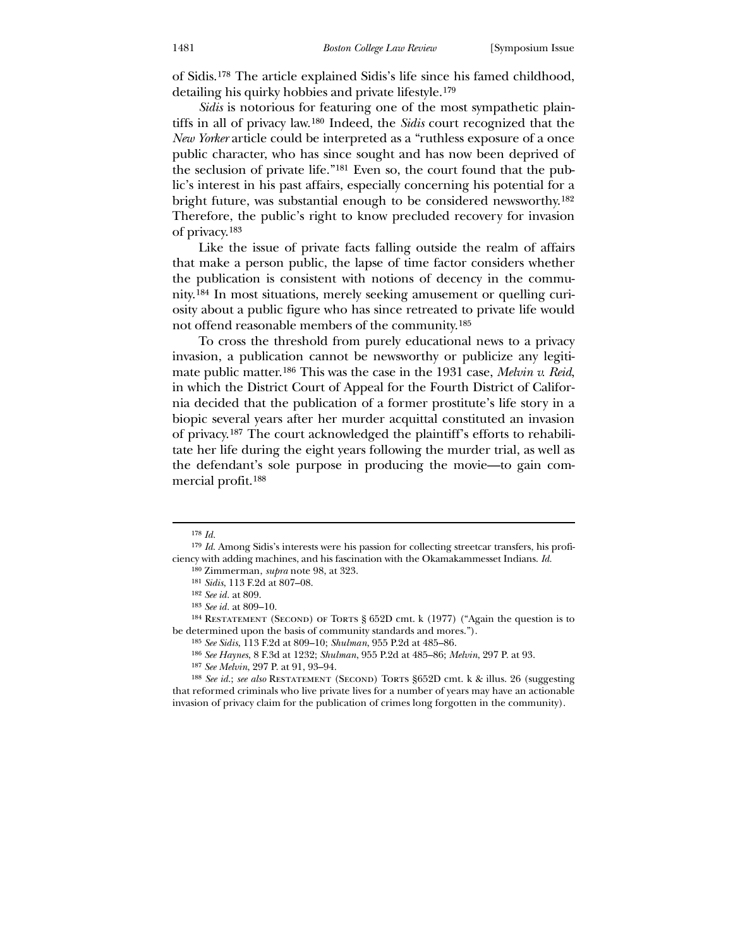of Sidis.[178](#page-27-0) The article explained Sidis's life since his famed childhood, detailing his quirky hobbies and private lifestyle.[179](#page-27-1)

*Sidis* is notorious for featuring one of the most sympathetic plaintiffs in all of privacy law.[180](#page-27-2) Indeed, the *Sidis* court recognized that the *New Yorker* article could be interpreted as a "ruthless exposure of a once public character, who has since sought and has now been deprived of the seclusion of private life."[181](#page-27-3) Even so, the court found that the public's interest in his past affairs, especially concerning his potential for a bright future, was substantial enough to be considered newsworthy.[182](#page-27-4) Therefore, the public's right to know precluded recovery for invasion of privacy.[183](#page-27-5)

 Like the issue of private facts falling outside the realm of affairs that make a person public, the lapse of time factor considers whether the publication is consistent with notions of decency in the community.[184](#page-27-6) In most situations, merely seeking amusement or quelling curiosity about a public figure who has since retreated to private life would not offend reasonable members of the community.[185](#page-27-7)

 To cross the threshold from purely educational news to a privacy invasion, a publication cannot be newsworthy or publicize any legitimate public matter.[186](#page-27-8) This was the case in the 1931 case, *Melvin v. Reid*, in which the District Court of Appeal for the Fourth District of California decided that the publication of a former prostitute's life story in a biopic several years after her murder acquittal constituted an invasion of privacy.[187](#page-27-9) The court acknowledged the plaintiff's efforts to rehabilitate her life during the eight years following the murder trial, as well as the defendant's sole purpose in producing the movie—to gain commercial profit.[188](#page-27-10)

<sup>178</sup> *Id.*

<sup>179</sup> *Id.* Among Sidis's interests were his passion for collecting streetcar transfers, his proficiency with adding machines, and his fascination with the Okamakammesset Indians. *Id.*

<sup>180</sup> Zimmerman, *supra* note 98, at 323.

<sup>181</sup> *Sidis*, 113 F.2d at 807–08.

<sup>182</sup> *See id.* at 809.

<sup>183</sup> *See id.* at 809–10.

<sup>184</sup> Restatement (Second) of Torts § 652D cmt. k (1977) ("Again the question is to be determined upon the basis of community standards and mores.").

<sup>185</sup> *See Sidis*, 113 F.2d at 809–10; *Shulman*, 955 P.2d at 485–86.

<sup>186</sup> *See Haynes*, 8 F.3d at 1232; *Shulman*, 955 P.2d at 485–86; *Melvin*, 297 P. at 93.

<sup>187</sup> *See Melvin*, 297 P. at 91, 93–94.

<span id="page-27-10"></span><span id="page-27-9"></span><span id="page-27-8"></span><span id="page-27-7"></span><span id="page-27-6"></span><span id="page-27-5"></span><span id="page-27-4"></span><span id="page-27-3"></span><span id="page-27-2"></span><span id="page-27-1"></span><span id="page-27-0"></span><sup>188</sup> *See id.*; *see also* Restatement (Second) Torts §652D cmt. k & illus. 26 (suggesting that reformed criminals who live private lives for a number of years may have an actionable invasion of privacy claim for the publication of crimes long forgotten in the community).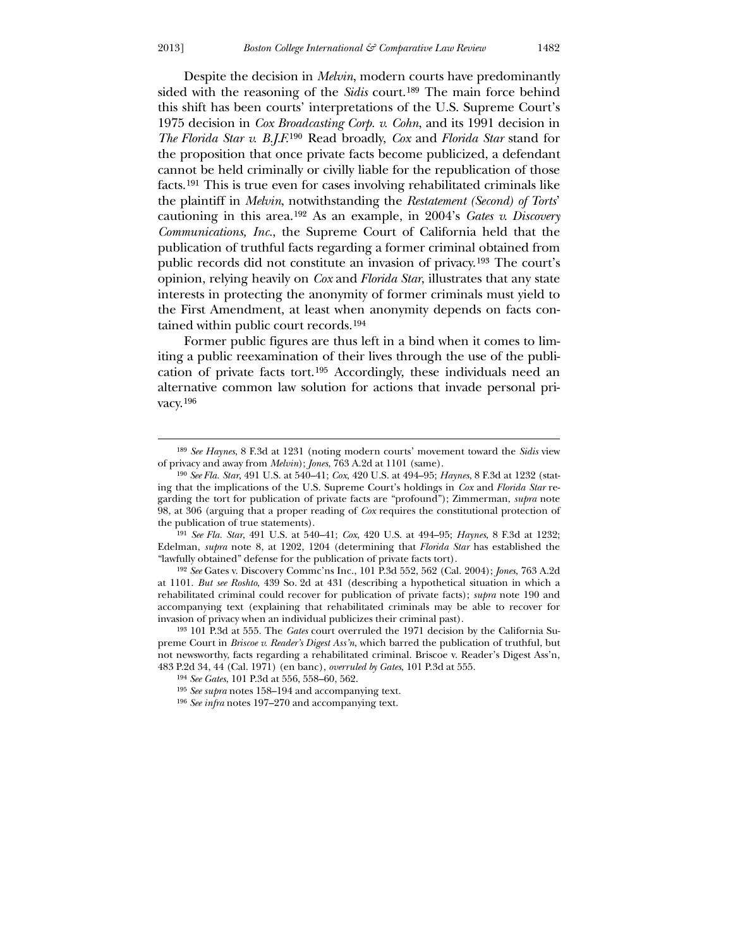Despite the decision in *Melvin*, modern courts have predominantly sided with the reasoning of the *Sidis* court.[189](#page-28-0) The main force behind this shift has been courts' interpretations of the U.S. Supreme Court's 1975 decision in *Cox Broadcasting Corp. v. Cohn*, and its 1991 decision in *The Florida Star v. B.J.F.*[190](#page-28-1) Read broadly, *Cox* and *Florida Star* stand for the proposition that once private facts become publicized, a defendant cannot be held criminally or civilly liable for the republication of those facts.[191](#page-28-2) This is true even for cases involving rehabilitated criminals like the plaintiff in *Melvin*, notwithstanding the *Restatement (Second) of Torts*' cautioning in this area.[192](#page-28-3) As an example, in 2004's *Gates v. Discovery Communications, Inc.*, the Supreme Court of California held that the publication of truthful facts regarding a former criminal obtained from public records did not constitute an invasion of privacy.[193](#page-28-4) The court's opinion, relying heavily on *Cox* and *Florida Star*, illustrates that any state interests in protecting the anonymity of former criminals must yield to the First Amendment, at least when anonymity depends on facts contained within public court records.[194](#page-28-5)

 Former public figures are thus left in a bind when it comes to limiting a public reexamination of their lives through the use of the publication of private facts tort.[195](#page-28-6) Accordingly, these individuals need an alternative common law solution for actions that invade personal privacy.[196](#page-28-7)

191 *See Fla. Star*, 491 U.S. at 540–41; *Cox*, 420 U.S. at 494–95; *Haynes*, 8 F.3d at 1232; Edelman, *supra* note 8, at 1202, 1204 (determining that *Florida Star* has established the "lawfully obtained" defense for the publication of private facts tort).

192 *See* Gates v. Discovery Commc'ns Inc., 101 P.3d 552, 562 (Cal. 2004); *Jones*, 763 A.2d at 1101. *But see Roshto*, 439 So. 2d at 431 (describing a hypothetical situation in which a rehabilitated criminal could recover for publication of private facts); *supra* note 190 and accompanying text (explaining that rehabilitated criminals may be able to recover for invasion of privacy when an individual publicizes their criminal past).

<sup>189</sup> *See Haynes*, 8 F.3d at 1231 (noting modern courts' movement toward the *Sidis* view of privacy and away from *Melvin*); *Jones*, 763 A.2d at 1101 (same).

<sup>190</sup> *See Fla. Star*, 491 U.S. at 540–41; *Cox*, 420 U.S. at 494–95; *Haynes*, 8 F.3d at 1232 (stating that the implications of the U.S. Supreme Court's holdings in *Cox* and *Florida Star* regarding the tort for publication of private facts are "profound"); Zimmerman, *supra* note 98, at 306 (arguing that a proper reading of *Cox* requires the constitutional protection of the publication of true statements).

<span id="page-28-2"></span><span id="page-28-1"></span><span id="page-28-0"></span><sup>193</sup> 101 P.3d at 555. The *Gates* court overruled the 1971 decision by the California Supreme Court in *Briscoe v. Reader's Digest Ass'n*, which barred the publication of truthful, but not newsworthy, facts regarding a rehabilitated criminal. Briscoe v. Reader's Digest Ass'n, 483 P.2d 34, 44 (Cal. 1971) (en banc), *overruled by Gates*, 101 P.3d at 555.

<sup>194</sup> *See Gates*, 101 P.3d at 556, 558–60, 562.

<sup>195</sup> *See supra* notes 158–194 and accompanying text.

<span id="page-28-7"></span><span id="page-28-6"></span><span id="page-28-5"></span><span id="page-28-4"></span><span id="page-28-3"></span><sup>196</sup> *See infra* notes 197–270 and accompanying text.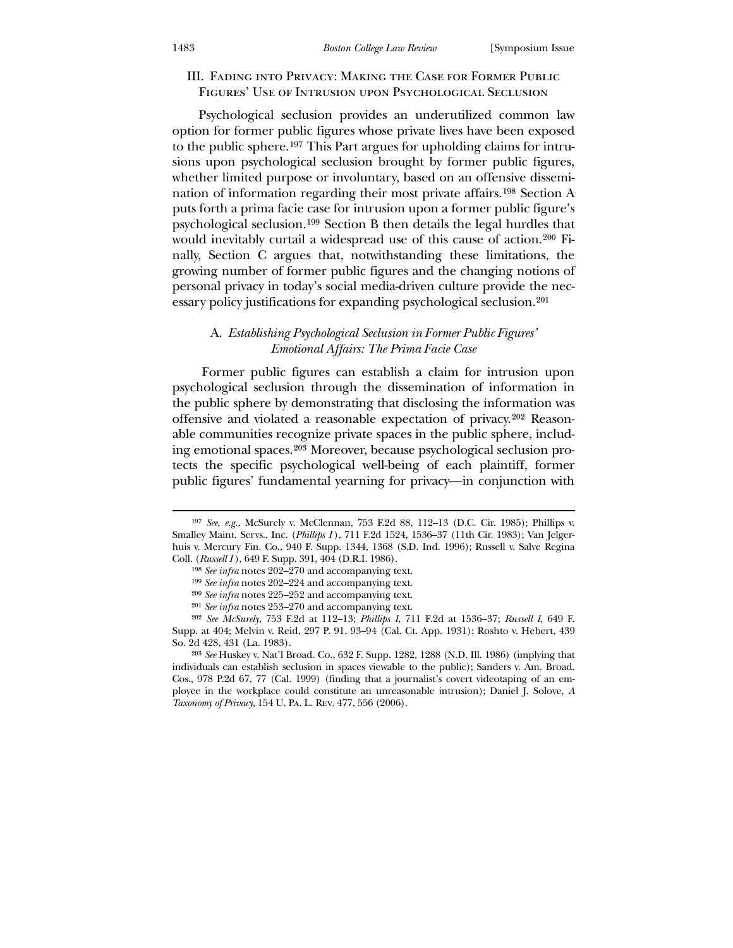## III. Fading into Privacy: Making the Case for Former Public Figures' Use of Intrusion upon Psychological Seclusion

 Psychological seclusion provides an underutilized common law option for former public figures whose private lives have been exposed to the public sphere.[197](#page-29-0) This Part argues for upholding claims for intrusions upon psychological seclusion brought by former public figures, whether limited purpose or involuntary, based on an offensive dissemination of information regarding their most private affairs.[198](#page-29-1) Section A puts forth a prima facie case for intrusion upon a former public figure's psychological seclusion.[199](#page-29-2) Section B then details the legal hurdles that would inevitably curtail a widespread use of this cause of action.[200](#page-29-3) Finally, Section C argues that, notwithstanding these limitations, the growing number of former public figures and the changing notions of personal privacy in today's social media-driven culture provide the necessary policy justifications for expanding psychological seclusion.[201](#page-29-4)

## A. *Establishing Psychological Seclusion in Former Public Figures' Emotional Affairs: The Prima Facie Case*

 Former public figures can establish a claim for intrusion upon psychological seclusion through the dissemination of information in the public sphere by demonstrating that disclosing the information was offensive and violated a reasonable expectation of privacy.[202](#page-29-5) Reasonable communities recognize private spaces in the public sphere, including emotional spaces.[203](#page-29-6) Moreover, because psychological seclusion protects the specific psychological well-being of each plaintiff, former public figures' fundamental yearning for privacy—in conjunction with

-

<sup>197</sup> *See, e.g.*, McSurely v. McClennan, 753 F.2d 88, 112–13 (D.C. Cir. 1985); Phillips v. Smalley Maint. Servs., Inc. (*Phillips I* ), 711 F.2d 1524, 1536–37 (11th Cir. 1983); Van Jelgerhuis v. Mercury Fin. Co., 940 F. Supp. 1344, 1368 (S.D. Ind. 1996); Russell v. Salve Regina Coll. (*Russell I* ), 649 F. Supp. 391, 404 (D.R.I. 1986).

<sup>198</sup> *See infra* notes 202–270 and accompanying text.

<sup>199</sup> *See infra* notes 202–224 and accompanying text.

<sup>200</sup> *See infra* notes 225–252 and accompanying text.

<sup>201</sup> *See infra* notes 253–270 and accompanying text.

<sup>202</sup> *See McSurely*, 753 F.2d at 112–13; *Phillips I*, 711 F.2d at 1536–37; *Russell I*, 649 F. Supp. at 404; Melvin v. Reid, 297 P. 91, 93–94 (Cal. Ct. App. 1931); Roshto v. Hebert, 439 So. 2d 428, 431 (La. 1983).

<span id="page-29-6"></span><span id="page-29-5"></span><span id="page-29-4"></span><span id="page-29-3"></span><span id="page-29-2"></span><span id="page-29-1"></span><span id="page-29-0"></span><sup>203</sup> *See* Huskey v. Nat'l Broad. Co., 632 F. Supp. 1282, 1288 (N.D. Ill. 1986) (implying that individuals can establish seclusion in spaces viewable to the public); Sanders v. Am. Broad. Cos., 978 P.2d 67, 77 (Cal. 1999) (finding that a journalist's covert videotaping of an employee in the workplace could constitute an unreasonable intrusion); Daniel J. Solove, *A Taxonomy of Privacy*, 154 U. Pa. L. Rev. 477, 556 (2006).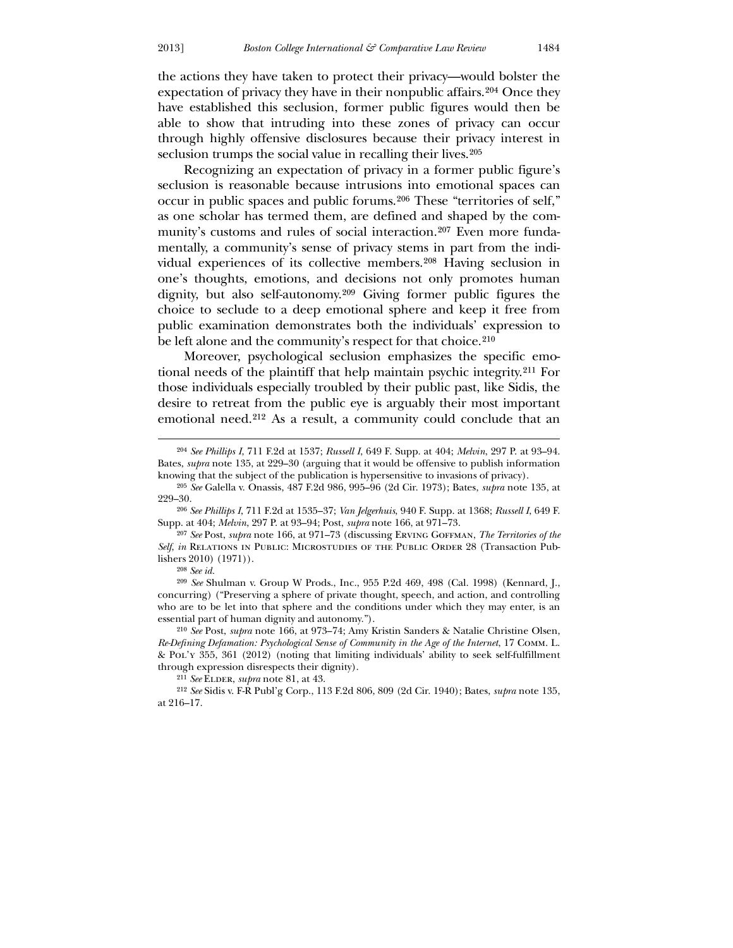the actions they have taken to protect their privacy—would bolster the expectation of privacy they have in their nonpublic affairs.[204](#page-30-0) Once they have established this seclusion, former public figures would then be able to show that intruding into these zones of privacy can occur through highly offensive disclosures because their privacy interest in seclusion trumps the social value in recalling their lives.<sup>[205](#page-30-1)</sup>

 Recognizing an expectation of privacy in a former public figure's seclusion is reasonable because intrusions into emotional spaces can occur in public spaces and public forums.[206](#page-30-2) These "territories of self," as one scholar has termed them, are defined and shaped by the community's customs and rules of social interaction.[207](#page-30-3) Even more fundamentally, a community's sense of privacy stems in part from the individual experiences of its collective members.[208](#page-30-4) Having seclusion in one's thoughts, emotions, and decisions not only promotes human dignity, but also self-autonomy.[209](#page-30-5) Giving former public figures the choice to seclude to a deep emotional sphere and keep it free from public examination demonstrates both the individuals' expression to be left alone and the community's respect for that choice.<sup>[210](#page-30-6)</sup>

 Moreover, psychological seclusion emphasizes the specific emotional needs of the plaintiff that help maintain psychic integrity.[211](#page-30-7) For those individuals especially troubled by their public past, like Sidis, the desire to retreat from the public eye is arguably their most important emotional need.[212](#page-30-8) As a result, a community could conclude that an

208 *See id.*

 $\overline{a}$ 

209 *See* Shulman v. Group W Prods., Inc., 955 P.2d 469, 498 (Cal. 1998) (Kennard, J., concurring) ("Preserving a sphere of private thought, speech, and action, and controlling who are to be let into that sphere and the conditions under which they may enter, is an essential part of human dignity and autonomy.").

<span id="page-30-0"></span>210 *See* Post, *supra* note 166, at 973–74; Amy Kristin Sanders & Natalie Christine Olsen, *Re-Defining Defamation: Psychological Sense of Community in the Age of the Internet*, 17 Comm. L. & Pol'y 355, 361 (2012) (noting that limiting individuals' ability to seek self-fulfillment through expression disrespects their dignity).

<sup>204</sup> *See Phillips I*, 711 F.2d at 1537; *Russell I*, 649 F. Supp. at 404; *Melvin*, 297 P. at 93–94. Bates, *supra* note 135, at 229–30 (arguing that it would be offensive to publish information knowing that the subject of the publication is hypersensitive to invasions of privacy).

<sup>205</sup> *See* Galella v. Onassis, 487 F.2d 986, 995–96 (2d Cir. 1973); Bates, *supra* note 135, at 229–30.

<sup>206</sup> *See Phillips I*, 711 F.2d at 1535–37; *Van Jelgerhuis*, 940 F. Supp. at 1368; *Russell I*, 649 F. Supp. at 404; *Melvin*, 297 P. at 93–94; Post, *supra* note 166, at 971–73.

<sup>207</sup> *See* Post, *supra* note 166, at 971–73 (discussing Erving Goffman, *The Territories of the Self*, *in* Relations in Public: Microstudies of the Public Order 28 (Transaction Publishers 2010) (1971)).

<sup>&</sup>lt;sup>211</sup> *See* ELDER, *supra* note 81, at 43.

<span id="page-30-8"></span><span id="page-30-7"></span><span id="page-30-6"></span><span id="page-30-5"></span><span id="page-30-4"></span><span id="page-30-3"></span><span id="page-30-2"></span><span id="page-30-1"></span><sup>212</sup> *See* Sidis v. F-R Publ'g Corp., 113 F.2d 806, 809 (2d Cir. 1940); Bates, *supra* note 135, at 216–17.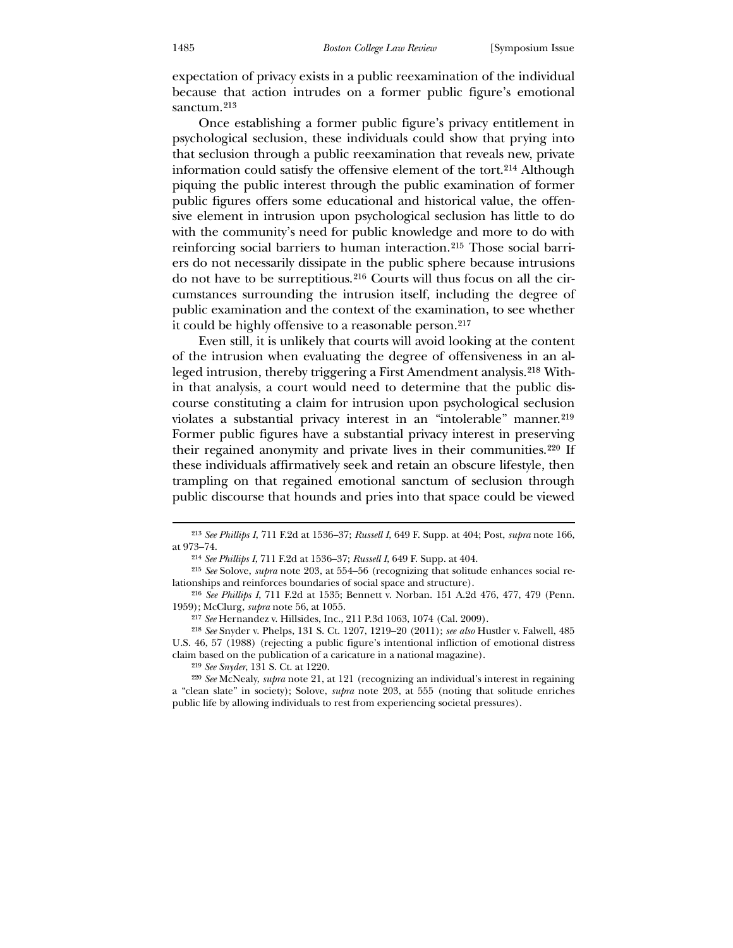expectation of privacy exists in a public reexamination of the individual because that action intrudes on a former public figure's emotional sanctum.[213](#page-31-0)

 Once establishing a former public figure's privacy entitlement in psychological seclusion, these individuals could show that prying into that seclusion through a public reexamination that reveals new, private information could satisfy the offensive element of the tort.[214](#page-31-1) Although piquing the public interest through the public examination of former public figures offers some educational and historical value, the offensive element in intrusion upon psychological seclusion has little to do with the community's need for public knowledge and more to do with reinforcing social barriers to human interaction.[215](#page-31-2) Those social barriers do not necessarily dissipate in the public sphere because intrusions do not have to be surreptitious.[216](#page-31-3) Courts will thus focus on all the circumstances surrounding the intrusion itself, including the degree of public examination and the context of the examination, to see whether it could be highly offensive to a reasonable person.[217](#page-31-4)

 Even still, it is unlikely that courts will avoid looking at the content of the intrusion when evaluating the degree of offensiveness in an alleged intrusion, thereby triggering a First Amendment analysis.[218](#page-31-5) Within that analysis, a court would need to determine that the public discourse constituting a claim for intrusion upon psychological seclusion violates a substantial privacy interest in an "intolerable" manner.<sup>[219](#page-31-6)</sup> Former public figures have a substantial privacy interest in preserving their regained anonymity and private lives in their communities.[220](#page-31-7) If these individuals affirmatively seek and retain an obscure lifestyle, then trampling on that regained emotional sanctum of seclusion through public discourse that hounds and pries into that space could be viewed

<sup>213</sup> *See Phillips I*, 711 F.2d at 1536–37; *Russell I*, 649 F. Supp. at 404; Post, *supra* note 166, at 973–74.

<sup>214</sup> *See Phillips I*, 711 F.2d at 1536–37; *Russell I*, 649 F. Supp. at 404.

<sup>215</sup> *See* Solove, *supra* note 203, at 554–56 (recognizing that solitude enhances social relationships and reinforces boundaries of social space and structure).

<sup>216</sup> *See Phillips I*, 711 F.2d at 1535; Bennett v. Norban. 151 A.2d 476, 477, 479 (Penn. 1959); McClurg, *supra* note 56, at 1055.

<sup>217</sup> *See* Hernandez v. Hillsides, Inc., 211 P.3d 1063, 1074 (Cal. 2009).

<sup>218</sup> *See* Snyder v. Phelps, 131 S. Ct. 1207, 1219–20 (2011); *see also* Hustler v. Falwell, 485 U.S. 46, 57 (1988) (rejecting a public figure's intentional infliction of emotional distress claim based on the publication of a caricature in a national magazine).

<sup>219</sup> *See Snyder*, 131 S. Ct. at 1220.

<span id="page-31-7"></span><span id="page-31-6"></span><span id="page-31-5"></span><span id="page-31-4"></span><span id="page-31-3"></span><span id="page-31-2"></span><span id="page-31-1"></span><span id="page-31-0"></span><sup>220</sup> *See* McNealy, *supra* note 21, at 121 (recognizing an individual's interest in regaining a "clean slate" in society); Solove, *supra* note 203, at 555 (noting that solitude enriches public life by allowing individuals to rest from experiencing societal pressures).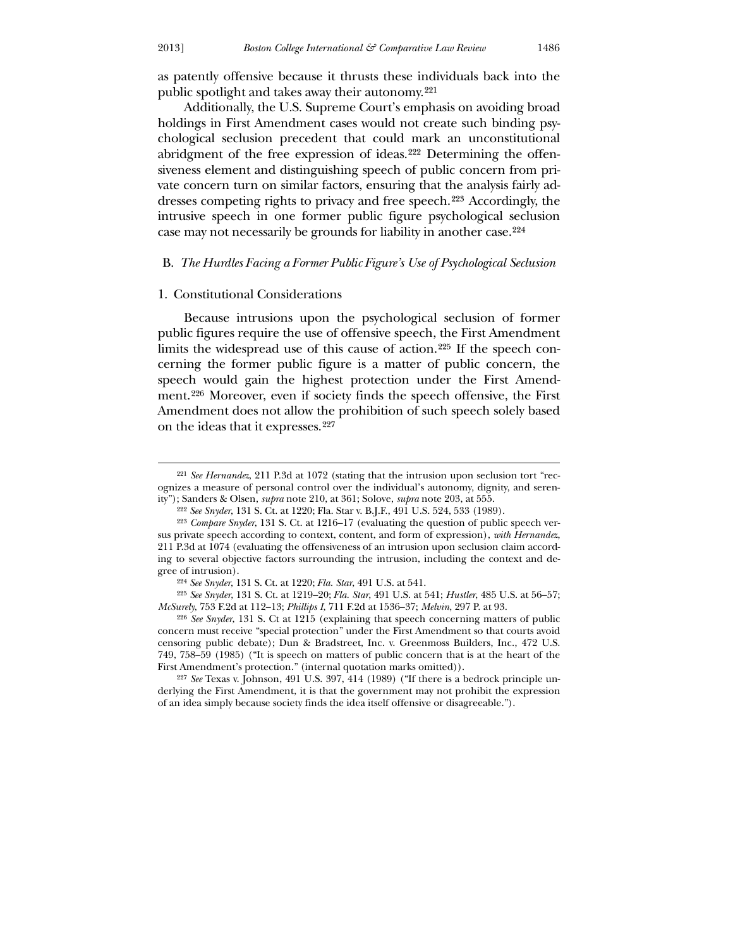as patently offensive because it thrusts these individuals back into the public spotlight and takes away their autonomy.[221](#page-32-0)

 Additionally, the U.S. Supreme Court's emphasis on avoiding broad holdings in First Amendment cases would not create such binding psychological seclusion precedent that could mark an unconstitutional abridgment of the free expression of ideas.[222](#page-32-1) Determining the offensiveness element and distinguishing speech of public concern from private concern turn on similar factors, ensuring that the analysis fairly addresses competing rights to privacy and free speech.[223](#page-32-2) Accordingly, the intrusive speech in one former public figure psychological seclusion case may not necessarily be grounds for liability in another case.[224](#page-32-3)

## B. *The Hurdles Facing a Former Public Figure's Use of Psychological Seclusion*

#### 1. Constitutional Considerations

 Because intrusions upon the psychological seclusion of former public figures require the use of offensive speech, the First Amendment limits the widespread use of this cause of action.[225](#page-32-4) If the speech concerning the former public figure is a matter of public concern, the speech would gain the highest protection under the First Amendment.[226](#page-32-5) Moreover, even if society finds the speech offensive, the First Amendment does not allow the prohibition of such speech solely based on the ideas that it expresses.[227](#page-32-6)

<sup>221</sup> *See Hernandez*, 211 P.3d at 1072 (stating that the intrusion upon seclusion tort "recognizes a measure of personal control over the individual's autonomy, dignity, and serenity"); Sanders & Olsen, *supra* note 210, at 361; Solove, *supra* note 203, at 555.

<sup>222</sup> *See Snyder*, 131 S. Ct. at 1220; Fla. Star v. B.J.F., 491 U.S. 524, 533 (1989).

<sup>223</sup> *Compare Snyder*, 131 S. Ct. at 1216–17 (evaluating the question of public speech versus private speech according to context, content, and form of expression), *with Hernandez*, 211 P.3d at 1074 (evaluating the offensiveness of an intrusion upon seclusion claim according to several objective factors surrounding the intrusion, including the context and degree of intrusion).

<sup>224</sup> *See Snyder*, 131 S. Ct. at 1220; *Fla. Star*, 491 U.S. at 541.

<sup>225</sup> *See Snyder*, 131 S. Ct. at 1219–20; *Fla. Star*, 491 U.S. at 541; *Hustler*, 485 U.S. at 56–57; *McSurely*, 753 F.2d at 112–13; *Phillips I*, 711 F.2d at 1536–37; *Melvin*, 297 P. at 93.

<span id="page-32-0"></span><sup>226</sup> *See Snyder*, 131 S. Ct at 1215 (explaining that speech concerning matters of public concern must receive "special protection" under the First Amendment so that courts avoid censoring public debate); Dun & Bradstreet, Inc. v. Greenmoss Builders, Inc., 472 U.S. 749, 758–59 (1985) ("It is speech on matters of public concern that is at the heart of the First Amendment's protection." (internal quotation marks omitted)).

<span id="page-32-6"></span><span id="page-32-5"></span><span id="page-32-4"></span><span id="page-32-3"></span><span id="page-32-2"></span><span id="page-32-1"></span><sup>227</sup> *See* Texas v. Johnson, 491 U.S. 397, 414 (1989) ("If there is a bedrock principle underlying the First Amendment, it is that the government may not prohibit the expression of an idea simply because society finds the idea itself offensive or disagreeable.").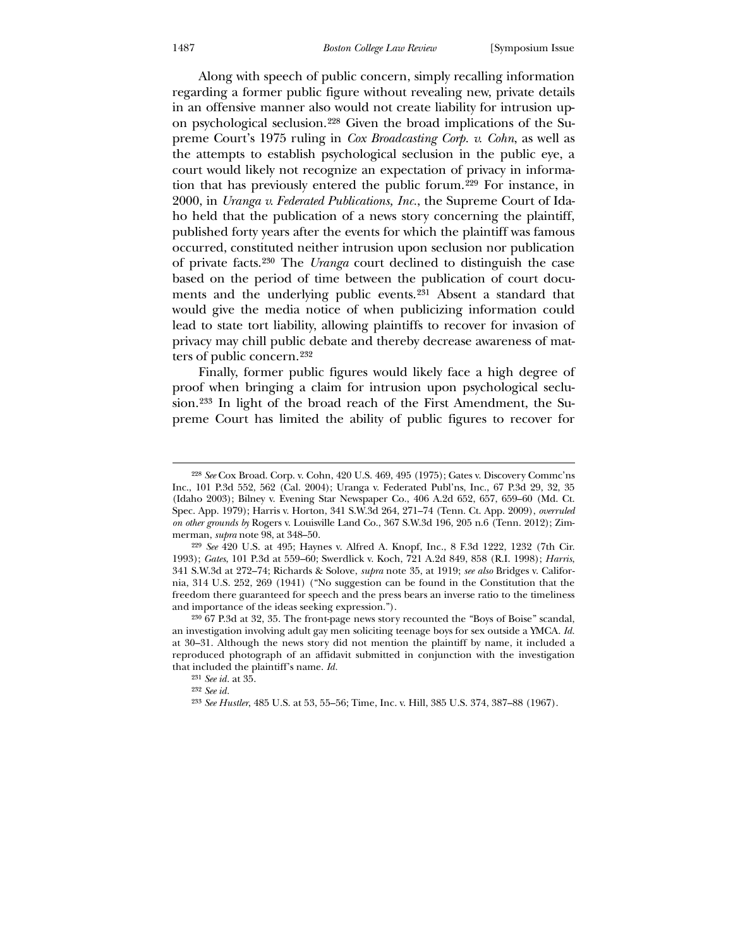Along with speech of public concern, simply recalling information regarding a former public figure without revealing new, private details in an offensive manner also would not create liability for intrusion upon psychological seclusion.[228](#page-33-0) Given the broad implications of the Supreme Court's 1975 ruling in *Cox Broadcasting Corp. v. Cohn*, as well as the attempts to establish psychological seclusion in the public eye, a court would likely not recognize an expectation of privacy in information that has previously entered the public forum.[229](#page-33-1) For instance, in 2000, in *Uranga v. Federated Publications, Inc.*, the Supreme Court of Idaho held that the publication of a news story concerning the plaintiff, published forty years after the events for which the plaintiff was famous occurred, constituted neither intrusion upon seclusion nor publication of private facts.[230](#page-33-2) The *Uranga* court declined to distinguish the case based on the period of time between the publication of court documents and the underlying public events.[231](#page-33-3) Absent a standard that would give the media notice of when publicizing information could lead to state tort liability, allowing plaintiffs to recover for invasion of privacy may chill public debate and thereby decrease awareness of matters of public concern.[232](#page-33-4)

 Finally, former public figures would likely face a high degree of proof when bringing a claim for intrusion upon psychological seclusion.[233](#page-33-5) In light of the broad reach of the First Amendment, the Supreme Court has limited the ability of public figures to recover for

<u>.</u>

<sup>228</sup> *See* Cox Broad. Corp. v. Cohn, 420 U.S. 469, 495 (1975); Gates v. Discovery Commc'ns Inc., 101 P.3d 552, 562 (Cal. 2004); Uranga v. Federated Publ'ns, Inc., 67 P.3d 29, 32, 35 (Idaho 2003); Bilney v. Evening Star Newspaper Co., 406 A.2d 652, 657, 659–60 (Md. Ct. Spec. App. 1979); Harris v. Horton, 341 S.W.3d 264, 271–74 (Tenn. Ct. App. 2009), *overruled on other grounds by* Rogers v. Louisville Land Co., 367 S.W.3d 196, 205 n.6 (Tenn. 2012); Zimmerman, *supra* note 98, at 348–50.

<sup>229</sup> *See* 420 U.S. at 495; Haynes v. Alfred A. Knopf, Inc., 8 F.3d 1222, 1232 (7th Cir. 1993); *Gates*, 101 P.3d at 559–60; Swerdlick v. Koch, 721 A.2d 849, 858 (R.I. 1998); *Harris*, 341 S.W.3d at 272–74; Richards & Solove, *supra* note 35, at 1919; *see also* Bridges v. California, 314 U.S. 252, 269 (1941) ("No suggestion can be found in the Constitution that the freedom there guaranteed for speech and the press bears an inverse ratio to the timeliness and importance of the ideas seeking expression.").

<span id="page-33-0"></span><sup>230</sup> 67 P.3d at 32, 35. The front-page news story recounted the "Boys of Boise" scandal, an investigation involving adult gay men soliciting teenage boys for sex outside a YMCA. *Id.* at 30–31. Although the news story did not mention the plaintiff by name, it included a reproduced photograph of an affidavit submitted in conjunction with the investigation that included the plaintiff's name. *Id.*

<sup>231</sup> *See id.* at 35.

<sup>232</sup> *See id.*

<span id="page-33-5"></span><span id="page-33-4"></span><span id="page-33-3"></span><span id="page-33-2"></span><span id="page-33-1"></span><sup>233</sup> *See Hustler*, 485 U.S. at 53, 55–56; Time, Inc. v. Hill, 385 U.S. 374, 387–88 (1967).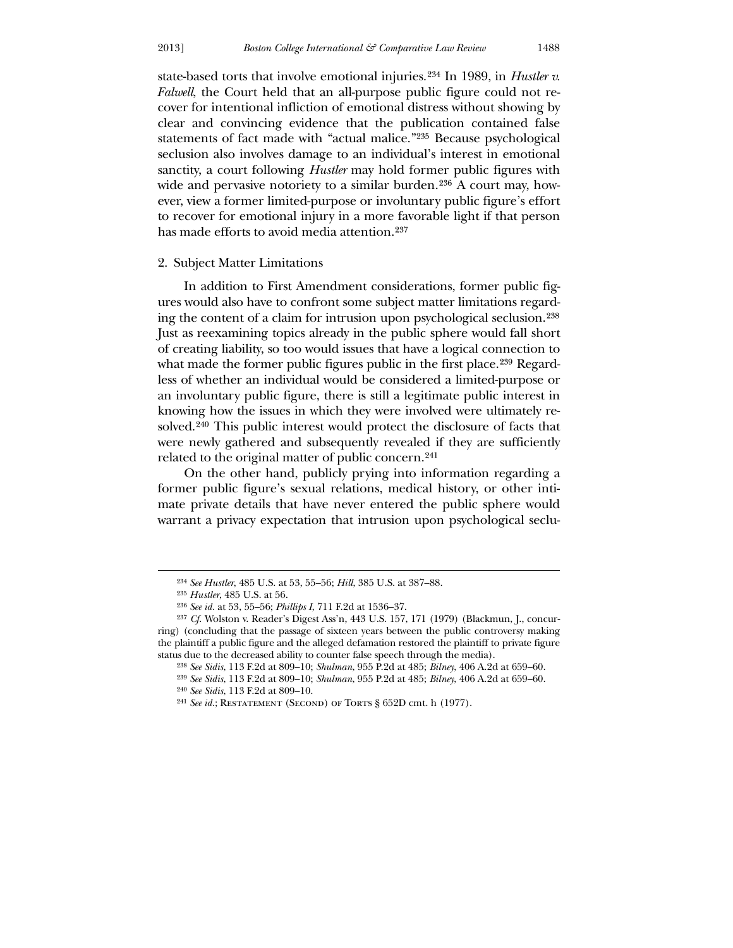state-based torts that involve emotional injuries.[234](#page-34-0) In 1989, in *Hustler v. Falwell*, the Court held that an all-purpose public figure could not recover for intentional infliction of emotional distress without showing by clear and convincing evidence that the publication contained false statements of fact made with "actual malice."[235](#page-34-1) Because psychological seclusion also involves damage to an individual's interest in emotional sanctity, a court following *Hustler* may hold former public figures with wide and pervasive notoriety to a similar burden.<sup>[236](#page-34-2)</sup> A court may, however, view a former limited-purpose or involuntary public figure's effort to recover for emotional injury in a more favorable light if that person has made efforts to avoid media attention.<sup>[237](#page-34-3)</sup>

## 2. Subject Matter Limitations

In addition to First Amendment considerations, former public figures would also have to confront some subject matter limitations regarding the content of a claim for intrusion upon psychological seclusion.[238](#page-34-4) Just as reexamining topics already in the public sphere would fall short of creating liability, so too would issues that have a logical connection to what made the former public figures public in the first place.<sup>[239](#page-34-5)</sup> Regardless of whether an individual would be considered a limited-purpose or an involuntary public figure, there is still a legitimate public interest in knowing how the issues in which they were involved were ultimately resolved.[240](#page-34-6) This public interest would protect the disclosure of facts that were newly gathered and subsequently revealed if they are sufficiently related to the original matter of public concern.[241](#page-34-7)

 On the other hand, publicly prying into information regarding a former public figure's sexual relations, medical history, or other intimate private details that have never entered the public sphere would warrant a privacy expectation that intrusion upon psychological seclu-

<sup>234</sup> *See Hustler*, 485 U.S. at 53, 55–56; *Hill*, 385 U.S. at 387–88.

<sup>235</sup> *Hustler*, 485 U.S. at 56.

<sup>236</sup> *See id.* at 53, 55–56; *Phillips I*, 711 F.2d at 1536–37.

<sup>237</sup> *Cf.* Wolston v. Reader's Digest Ass'n, 443 U.S. 157, 171 (1979) (Blackmun, J., concurring) (concluding that the passage of sixteen years between the public controversy making the plaintiff a public figure and the alleged defamation restored the plaintiff to private figure status due to the decreased ability to counter false speech through the media).

<sup>238</sup> *See Sidis*, 113 F.2d at 809–10; *Shulman*, 955 P.2d at 485; *Bilney*, 406 A.2d at 659–60.

<sup>239</sup> *See Sidis*, 113 F.2d at 809–10; *Shulman*, 955 P.2d at 485; *Bilney*, 406 A.2d at 659–60. 240 *See Sidis*, 113 F.2d at 809–10.

<span id="page-34-7"></span><span id="page-34-6"></span><span id="page-34-5"></span><span id="page-34-4"></span><span id="page-34-3"></span><span id="page-34-2"></span><span id="page-34-1"></span><span id="page-34-0"></span><sup>&</sup>lt;sup>241</sup> *See id.*; RESTATEMENT (SECOND) OF TORTS § 652D cmt. h (1977).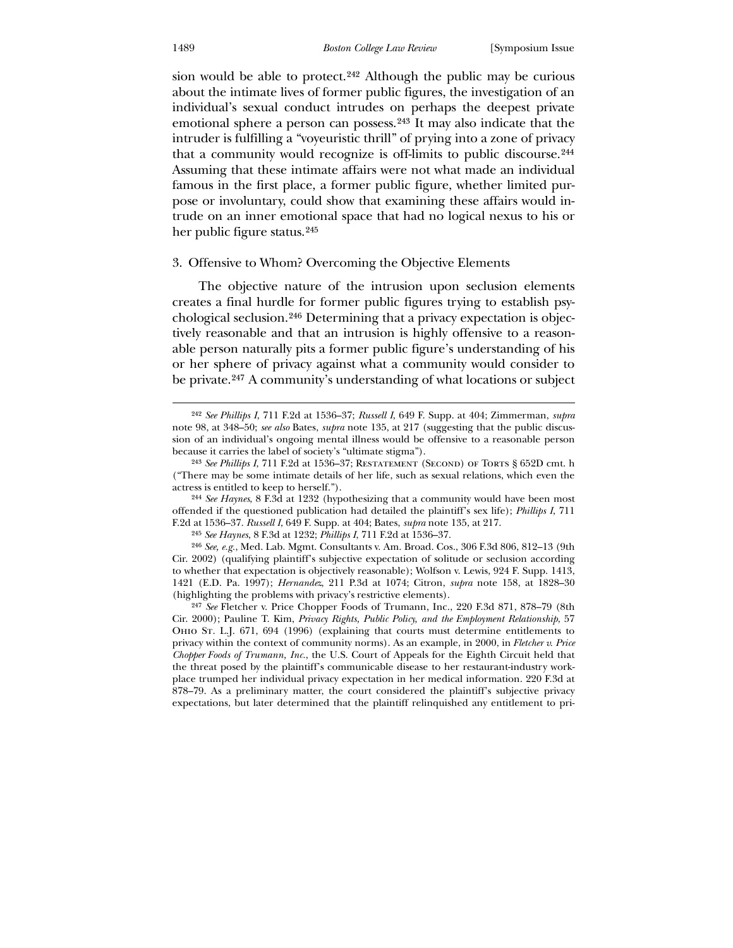#### 1489 *Boston College Law Review* [Symposium Issue

sion would be able to protect.<sup>[242](#page-35-0)</sup> Although the public may be curious about the intimate lives of former public figures, the investigation of an individual's sexual conduct intrudes on perhaps the deepest private emotional sphere a person can possess.[243](#page-35-1) It may also indicate that the intruder is fulfilling a "voyeuristic thrill" of prying into a zone of privacy that a community would recognize is off-limits to public discourse.[244](#page-35-2) Assuming that these intimate affairs were not what made an individual famous in the first place, a former public figure, whether limited purpose or involuntary, could show that examining these affairs would intrude on an inner emotional space that had no logical nexus to his or her public figure status.[245](#page-35-3)

## 3. Offensive to Whom? Overcoming the Objective Elements

 The objective nature of the intrusion upon seclusion elements creates a final hurdle for former public figures trying to establish psychological seclusion.[246](#page-35-4) Determining that a privacy expectation is objectively reasonable and that an intrusion is highly offensive to a reasonable person naturally pits a former public figure's understanding of his or her sphere of privacy against what a community would consider to be private.[247](#page-35-5) A community's understanding of what locations or subject

244 *See Haynes*, 8 F.3d at 1232 (hypothesizing that a community would have been most offended if the questioned publication had detailed the plaintiff's sex life); *Phillips I*, 711 F.2d at 1536–37. *Russell I*, 649 F. Supp. at 404; Bates, *supra* note 135, at 217.

245 *See Haynes*, 8 F.3d at 1232; *Phillips I*, 711 F.2d at 1536–37.

246 *See, e.g.*, Med. Lab. Mgmt. Consultants v. Am. Broad. Cos., 306 F.3d 806, 812–13 (9th Cir. 2002) (qualifying plaintiff's subjective expectation of solitude or seclusion according to whether that expectation is objectively reasonable); Wolfson v. Lewis, 924 F. Supp. 1413, 1421 (E.D. Pa. 1997); *Hernandez*, 211 P.3d at 1074; Citron, *supra* note 158, at 1828–30 (highlighting the problems with privacy's restrictive elements).

<span id="page-35-5"></span><span id="page-35-4"></span><span id="page-35-3"></span><span id="page-35-2"></span><span id="page-35-1"></span><span id="page-35-0"></span>247 *See* Fletcher v. Price Chopper Foods of Trumann, Inc., 220 F.3d 871, 878–79 (8th Cir. 2000); Pauline T. Kim, *Privacy Rights, Public Policy, and the Employment Relationship*, 57 Ohio St. L.J. 671, 694 (1996) (explaining that courts must determine entitlements to privacy within the context of community norms). As an example, in 2000, in *Fletcher v. Price Chopper Foods of Trumann, Inc.*, the U.S. Court of Appeals for the Eighth Circuit held that the threat posed by the plaintiff's communicable disease to her restaurant-industry workplace trumped her individual privacy expectation in her medical information. 220 F.3d at 878–79. As a preliminary matter, the court considered the plaintiff's subjective privacy expectations, but later determined that the plaintiff relinquished any entitlement to pri-

<sup>242</sup> *See Phillips I*, 711 F.2d at 1536–37; *Russell I*, 649 F. Supp. at 404; Zimmerman, *supra* note 98, at 348–50; *see also* Bates, *supra* note 135, at 217 (suggesting that the public discussion of an individual's ongoing mental illness would be offensive to a reasonable person because it carries the label of society's "ultimate stigma").

<sup>243</sup> *See Phillips I*, 711 F.2d at 1536–37; Restatement (Second) of Torts § 652D cmt. h ("There may be some intimate details of her life, such as sexual relations, which even the actress is entitled to keep to herself.").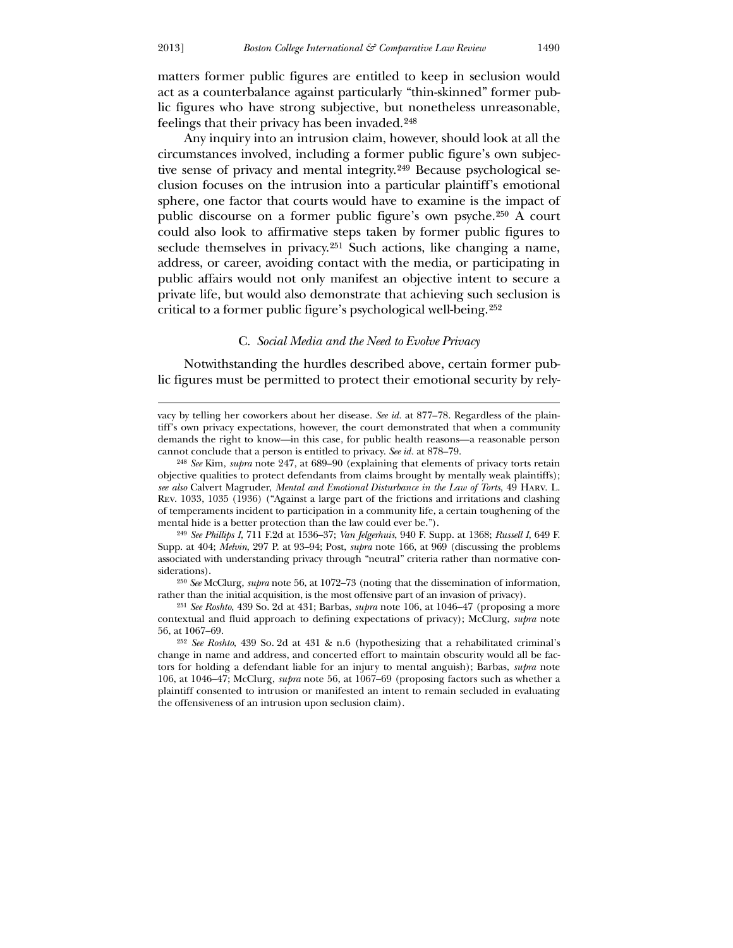$\overline{a}$ 

matters former public figures are entitled to keep in seclusion would act as a counterbalance against particularly "thin-skinned" former public figures who have strong subjective, but nonetheless unreasonable, feelings that their privacy has been invaded.[248](#page-36-0)

 Any inquiry into an intrusion claim, however, should look at all the circumstances involved, including a former public figure's own subjective sense of privacy and mental integrity.[249](#page-36-1) Because psychological seclusion focuses on the intrusion into a particular plaintiff's emotional sphere, one factor that courts would have to examine is the impact of public discourse on a former public figure's own psyche.[250](#page-36-2) A court could also look to affirmative steps taken by former public figures to seclude themselves in privacy.<sup>[251](#page-36-3)</sup> Such actions, like changing a name, address, or career, avoiding contact with the media, or participating in public affairs would not only manifest an objective intent to secure a private life, but would also demonstrate that achieving such seclusion is critical to a former public figure's psychological well-being.[252](#page-36-4)

#### C. *Social Media and the Need to Evolve Privacy*

 Notwithstanding the hurdles described above, certain former public figures must be permitted to protect their emotional security by rely-

249 *See Phillips I*, 711 F.2d at 1536–37; *Van Jelgerhuis*, 940 F. Supp. at 1368; *Russell I*, 649 F. Supp. at 404; *Melvin*, 297 P. at 93–94; Post, *supra* note 166, at 969 (discussing the problems associated with understanding privacy through "neutral" criteria rather than normative considerations).

250 *See* McClurg, *supra* note 56, at 1072–73 (noting that the dissemination of information, rather than the initial acquisition, is the most offensive part of an invasion of privacy).

251 *See Roshto*, 439 So. 2d at 431; Barbas, *supra* note 106, at 1046–47 (proposing a more contextual and fluid approach to defining expectations of privacy); McClurg, *supra* note 56, at 1067–69.

<span id="page-36-4"></span><span id="page-36-3"></span><span id="page-36-2"></span><span id="page-36-1"></span><span id="page-36-0"></span>252 *See Roshto*, 439 So. 2d at 431 & n.6 (hypothesizing that a rehabilitated criminal's change in name and address, and concerted effort to maintain obscurity would all be factors for holding a defendant liable for an injury to mental anguish); Barbas, *supra* note 106, at 1046–47; McClurg, *supra* note 56, at 1067–69 (proposing factors such as whether a plaintiff consented to intrusion or manifested an intent to remain secluded in evaluating the offensiveness of an intrusion upon seclusion claim).

vacy by telling her coworkers about her disease. *See id.* at 877–78. Regardless of the plaintiff's own privacy expectations, however, the court demonstrated that when a community demands the right to know—in this case, for public health reasons—a reasonable person cannot conclude that a person is entitled to privacy. *See id.* at 878–79.

<sup>248</sup> *See* Kim, *supra* note 247, at 689–90 (explaining that elements of privacy torts retain objective qualities to protect defendants from claims brought by mentally weak plaintiffs); *see also* Calvert Magruder, *Mental and Emotional Disturbance in the Law of Torts*, 49 Harv. L. Rev. 1033, 1035 (1936) ("Against a large part of the frictions and irritations and clashing of temperaments incident to participation in a community life, a certain toughening of the mental hide is a better protection than the law could ever be.").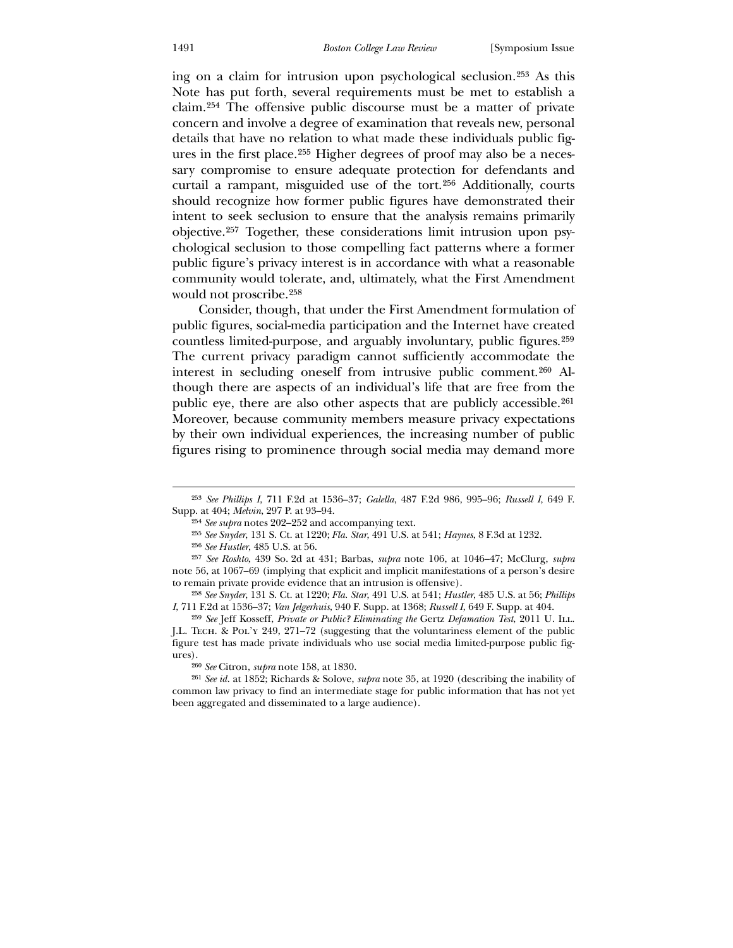ing on a claim for intrusion upon psychological seclusion.[253](#page-37-0) As this Note has put forth, several requirements must be met to establish a claim.[254](#page-37-1) The offensive public discourse must be a matter of private concern and involve a degree of examination that reveals new, personal details that have no relation to what made these individuals public figures in the first place.[255](#page-37-2) Higher degrees of proof may also be a necessary compromise to ensure adequate protection for defendants and curtail a rampant, misguided use of the tort.[256](#page-37-3) Additionally, courts should recognize how former public figures have demonstrated their intent to seek seclusion to ensure that the analysis remains primarily objective.[257](#page-37-4) Together, these considerations limit intrusion upon psychological seclusion to those compelling fact patterns where a former public figure's privacy interest is in accordance with what a reasonable community would tolerate, and, ultimately, what the First Amendment would not proscribe.[258](#page-37-5)

 Consider, though, that under the First Amendment formulation of public figures, social-media participation and the Internet have created countless limited-purpose, and arguably involuntary, public figures.[259](#page-37-6) The current privacy paradigm cannot sufficiently accommodate the interest in secluding oneself from intrusive public comment.[260](#page-37-7) Although there are aspects of an individual's life that are free from the public eye, there are also other aspects that are publicly accessible.[261](#page-37-8) Moreover, because community members measure privacy expectations by their own individual experiences, the increasing number of public figures rising to prominence through social media may demand more

<u>.</u>

260 *See* Citron, *supra* note 158, at 1830.

<sup>253</sup> *See Phillips I*, 711 F.2d at 1536–37; *Galella*, 487 F.2d 986, 995–96; *Russell I*, 649 F. Supp. at 404; *Melvin*, 297 P. at 93–94.

<sup>254</sup> *See supra* notes 202–252 and accompanying text.

<sup>255</sup> *See Snyder*, 131 S. Ct. at 1220; *Fla. Star*, 491 U.S. at 541; *Haynes*, 8 F.3d at 1232.

<sup>256</sup> *See Hustler*, 485 U.S. at 56.

<sup>257</sup> *See Roshto*, 439 So. 2d at 431; Barbas, *supra* note 106, at 1046–47; McClurg, *supra* note 56, at 1067–69 (implying that explicit and implicit manifestations of a person's desire to remain private provide evidence that an intrusion is offensive).

<sup>258</sup> *See Snyder*, 131 S. Ct. at 1220; *Fla. Star*, 491 U.S. at 541; *Hustler*, 485 U.S. at 56; *Phillips I*, 711 F.2d at 1536–37; *Van Jelgerhuis*, 940 F. Supp. at 1368; *Russell I*, 649 F. Supp. at 404.

<sup>259</sup> *See* Jeff Kosseff, *Private or Public? Eliminating the* Gertz *Defamation Test*, 2011 U. Ill. J.L. Tech. & Pol'y 249, 271–72 (suggesting that the voluntariness element of the public figure test has made private individuals who use social media limited-purpose public figures).

<span id="page-37-8"></span><span id="page-37-7"></span><span id="page-37-6"></span><span id="page-37-5"></span><span id="page-37-4"></span><span id="page-37-3"></span><span id="page-37-2"></span><span id="page-37-1"></span><span id="page-37-0"></span><sup>261</sup> *See id.* at 1852; Richards & Solove, *supra* note 35, at 1920 (describing the inability of common law privacy to find an intermediate stage for public information that has not yet been aggregated and disseminated to a large audience).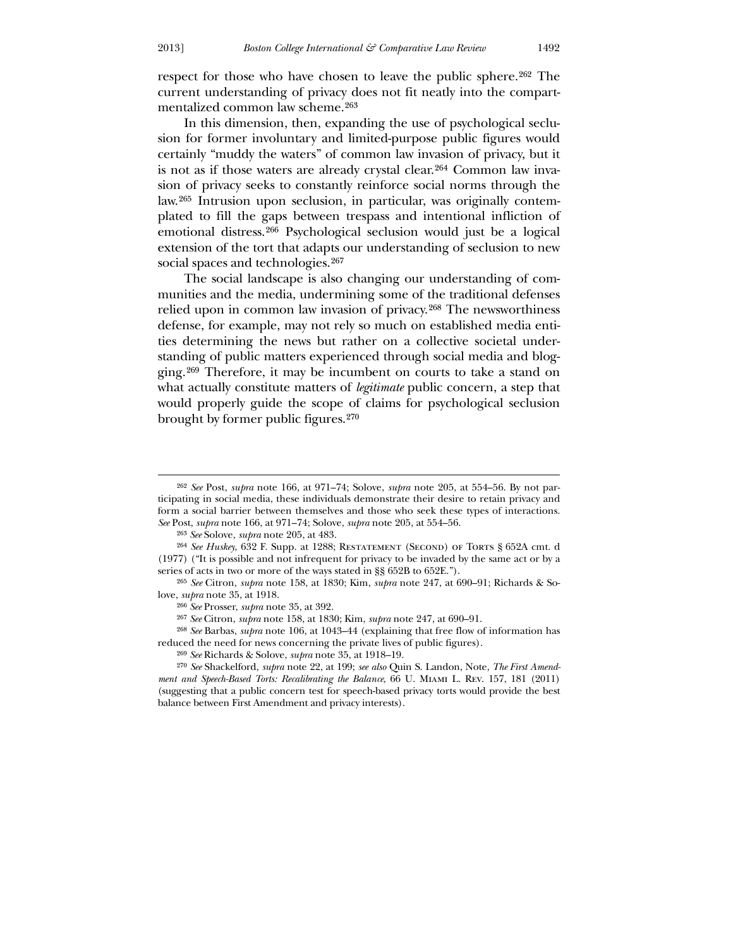respect for those who have chosen to leave the public sphere.[262](#page-38-0) The current understanding of privacy does not fit neatly into the compartmentalized common law scheme.[263](#page-38-1)

 In this dimension, then, expanding the use of psychological seclusion for former involuntary and limited-purpose public figures would certainly "muddy the waters" of common law invasion of privacy, but it is not as if those waters are already crystal clear.[264](#page-38-2) Common law invasion of privacy seeks to constantly reinforce social norms through the law.[265](#page-38-3) Intrusion upon seclusion, in particular, was originally contemplated to fill the gaps between trespass and intentional infliction of emotional distress.[266](#page-38-4) Psychological seclusion would just be a logical extension of the tort that adapts our understanding of seclusion to new social spaces and technologies.<sup>[267](#page-38-5)</sup>

 The social landscape is also changing our understanding of communities and the media, undermining some of the traditional defenses relied upon in common law invasion of privacy.[268](#page-38-6) The newsworthiness defense, for example, may not rely so much on established media entities determining the news but rather on a collective societal understanding of public matters experienced through social media and blogging.[269](#page-38-7) Therefore, it may be incumbent on courts to take a stand on what actually constitute matters of *legitimate* public concern, a step that would properly guide the scope of claims for psychological seclusion brought by former public figures.[270](#page-38-8)

<sup>262</sup> *See* Post, *supra* note 166, at 971–74; Solove, *supra* note 205, at 554–56. By not participating in social media, these individuals demonstrate their desire to retain privacy and form a social barrier between themselves and those who seek these types of interactions. *See* Post, *supra* note 166, at 971–74; Solove, *supra* note 205, at 554–56.

<sup>263</sup> *See* Solove, *supra* note 205, at 483.

<sup>&</sup>lt;sup>264</sup> See Huskey, 632 F. Supp. at 1288; RESTATEMENT (SECOND) OF TORTS § 652A cmt. d (1977) ("It is possible and not infrequent for privacy to be invaded by the same act or by a series of acts in two or more of the ways stated in §§ 652B to 652E.").

<sup>265</sup> *See* Citron, *supra* note 158, at 1830; Kim, *supra* note 247, at 690–91; Richards & Solove, *supra* note 35, at 1918.

<sup>266</sup> *See* Prosser, *supra* note 35, at 392.

<sup>267</sup> *See* Citron, *supra* note 158, at 1830; Kim, *supra* note 247, at 690–91.

<sup>268</sup> *See* Barbas, *supra* note 106, at 1043–44 (explaining that free flow of information has reduced the need for news concerning the private lives of public figures).

<sup>269</sup> *See* Richards & Solove, *supra* note 35, at 1918–19.

<span id="page-38-8"></span><span id="page-38-7"></span><span id="page-38-6"></span><span id="page-38-5"></span><span id="page-38-4"></span><span id="page-38-3"></span><span id="page-38-2"></span><span id="page-38-1"></span><span id="page-38-0"></span><sup>270</sup> *See* Shackelford, *supra* note 22, at 199; *see also* Quin S. Landon, Note, *The First Amendment and Speech-Based Torts: Recalibrating the Balance*, 66 U. Miami L. Rev. 157, 181 (2011) (suggesting that a public concern test for speech-based privacy torts would provide the best balance between First Amendment and privacy interests).